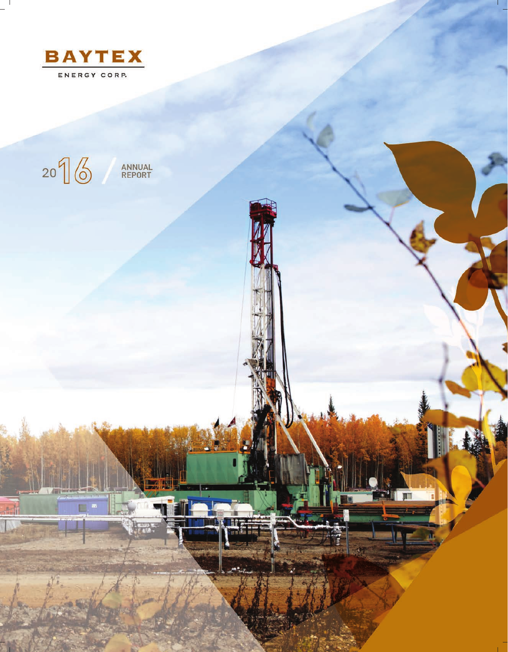

# $20\sqrt[4]{\bigotimes}$  ANNUAL

T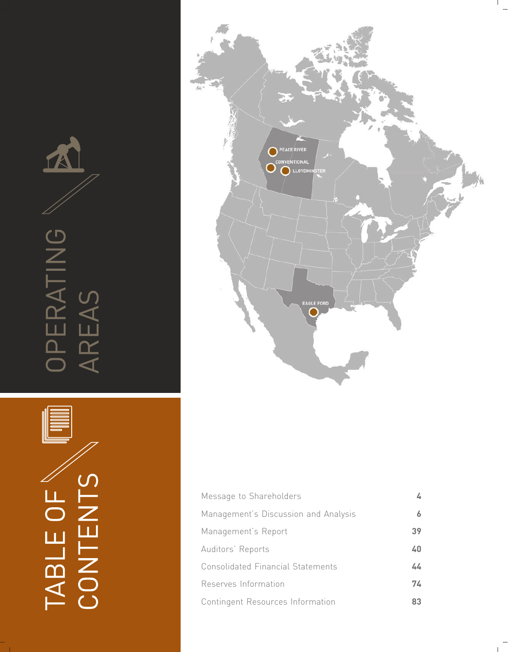OPERATING

E TABLE OF



| Message to Shareholders                  | $\mathbf{r}$ |
|------------------------------------------|--------------|
| Management's Discussion and Analysis     | 6            |
| Management's Report                      | 39           |
| Auditors' Reports                        | 40           |
| <b>Consolidated Financial Statements</b> | 44           |
| Reserves Information                     | 74           |
| Contingent Resources Information         | 83           |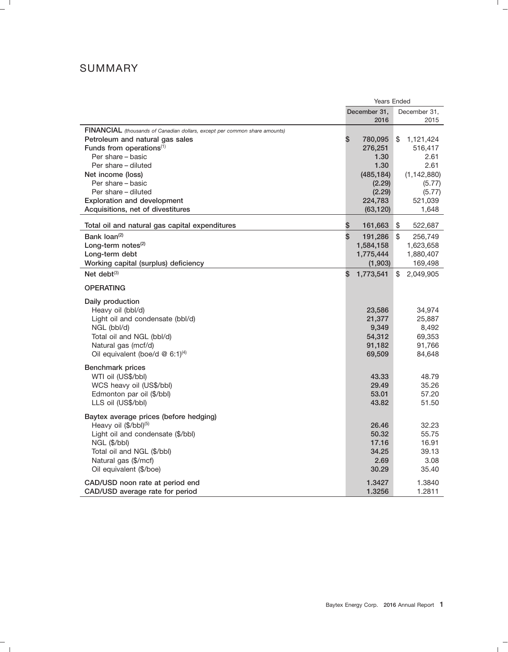# SUMMARY

|                                                                                   | <b>Years Ended</b> |                 |  |  |  |
|-----------------------------------------------------------------------------------|--------------------|-----------------|--|--|--|
|                                                                                   | December 31.       | December 31,    |  |  |  |
|                                                                                   | 2016               | 2015            |  |  |  |
| <b>FINANCIAL</b> (thousands of Canadian dollars, except per common share amounts) |                    |                 |  |  |  |
| Petroleum and natural gas sales                                                   | \$<br>780,095      | 1,121,424<br>S  |  |  |  |
| Funds from operations <sup>(1)</sup>                                              | 276,251            | 516,417         |  |  |  |
| Per share - basic                                                                 | 1.30               | 2.61            |  |  |  |
| Per share - diluted                                                               | 1.30               | 2.61            |  |  |  |
| Net income (loss)                                                                 | (485, 184)         | (1, 142, 880)   |  |  |  |
| Per share - basic                                                                 | (2.29)             | (5.77)          |  |  |  |
| Per share - diluted                                                               | (2.29)             | (5.77)          |  |  |  |
| <b>Exploration and development</b>                                                | 224,783            | 521,039         |  |  |  |
| Acquisitions, net of divestitures                                                 | (63, 120)          | 1,648           |  |  |  |
| Total oil and natural gas capital expenditures                                    | \$<br>161,663      | \$<br>522,687   |  |  |  |
| Bank loan <sup>(2)</sup>                                                          | \$.<br>191,286     | \$<br>256,749   |  |  |  |
| Long-term notes <sup>(2)</sup>                                                    | 1,584,158          | 1,623,658       |  |  |  |
| Long-term debt                                                                    | 1,775,444          | 1,880,407       |  |  |  |
| Working capital (surplus) deficiency                                              | (1,903)            | 169,498         |  |  |  |
| Net debt $(3)$                                                                    | \$<br>1,773,541    | \$<br>2,049,905 |  |  |  |
| <b>OPERATING</b>                                                                  |                    |                 |  |  |  |
| Daily production                                                                  |                    |                 |  |  |  |
| Heavy oil (bbl/d)                                                                 | 23,586             | 34,974          |  |  |  |
| Light oil and condensate (bbl/d)                                                  | 21,377             | 25,887          |  |  |  |
| NGL (bbl/d)                                                                       | 9,349              | 8,492           |  |  |  |
| Total oil and NGL (bbl/d)                                                         | 54,312             | 69,353          |  |  |  |
| Natural gas (mcf/d)                                                               | 91,182             | 91,766          |  |  |  |
| Oil equivalent (boe/d @ 6:1) <sup>(4)</sup>                                       | 69,509             | 84,648          |  |  |  |
|                                                                                   |                    |                 |  |  |  |
| <b>Benchmark prices</b><br>WTI oil (US\$/bbl)                                     | 43.33              | 48.79           |  |  |  |
| WCS heavy oil (US\$/bbl)                                                          | 29.49              | 35.26           |  |  |  |
| Edmonton par oil (\$/bbl)                                                         | 53.01              | 57.20           |  |  |  |
| LLS oil (US\$/bbl)                                                                | 43.82              | 51.50           |  |  |  |
|                                                                                   |                    |                 |  |  |  |
| Baytex average prices (before hedging)                                            |                    |                 |  |  |  |
| Heavy oil (\$/bbl) <sup>(5)</sup>                                                 | 26.46              | 32.23           |  |  |  |
| Light oil and condensate (\$/bbl)                                                 | 50.32              | 55.75           |  |  |  |
| NGL (\$/bbl)                                                                      | 17.16              | 16.91           |  |  |  |
| Total oil and NGL (\$/bbl)                                                        | 34.25              | 39.13           |  |  |  |
| Natural gas (\$/mcf)                                                              | 2.69               | 3.08            |  |  |  |
| Oil equivalent (\$/boe)                                                           | 30.29              | 35.40           |  |  |  |
| CAD/USD noon rate at period end                                                   | 1.3427             | 1.3840          |  |  |  |
| CAD/USD average rate for period                                                   | 1.3256             | 1.2811          |  |  |  |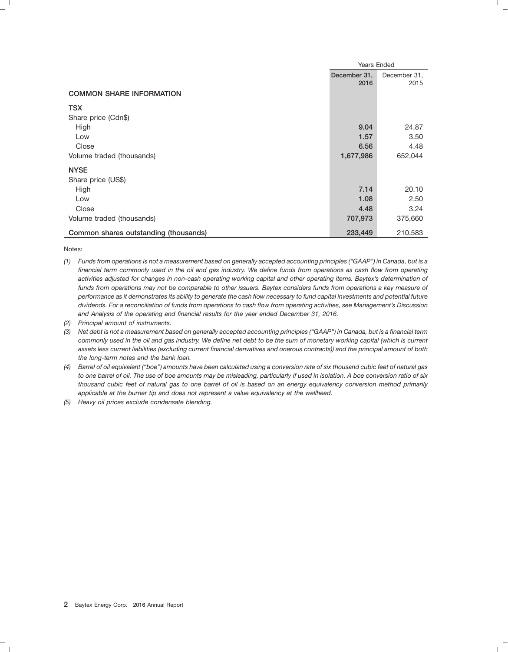|                                       | Years Ended  |              |  |  |  |
|---------------------------------------|--------------|--------------|--|--|--|
|                                       | December 31, | December 31, |  |  |  |
|                                       | 2016         | 2015         |  |  |  |
| <b>COMMON SHARE INFORMATION</b>       |              |              |  |  |  |
| <b>TSX</b>                            |              |              |  |  |  |
| Share price (Cdn\$)                   |              |              |  |  |  |
| High                                  | 9.04         | 24.87        |  |  |  |
| Low                                   | 1.57         | 3.50         |  |  |  |
| Close                                 | 6.56         | 4.48         |  |  |  |
| Volume traded (thousands)             | 1,677,986    | 652,044      |  |  |  |
| <b>NYSE</b>                           |              |              |  |  |  |
| Share price (US\$)                    |              |              |  |  |  |
| High                                  | 7.14         | 20.10        |  |  |  |
| Low                                   | 1.08         | 2.50         |  |  |  |
| Close                                 | 4.48         | 3.24         |  |  |  |
| Volume traded (thousands)             | 707,973      | 375,660      |  |  |  |
| Common shares outstanding (thousands) | 233,449      | 210,583      |  |  |  |

Notes:

- *(1) Funds from operations is not a measurement based on generally accepted accounting principles (''GAAP'') in Canada, but is a financial term commonly used in the oil and gas industry. We define funds from operations as cash flow from operating activities adjusted for changes in non-cash operating working capital and other operating items. Baytex's determination of funds from operations may not be comparable to other issuers. Baytex considers funds from operations a key measure of performance as it demonstrates its ability to generate the cash flow necessary to fund capital investments and potential future dividends. For a reconciliation of funds from operations to cash flow from operating activities, see Management's Discussion and Analysis of the operating and financial results for the year ended December 31, 2016.*
- *(2) Principal amount of instruments.*
- *(3) Net debt is not a measurement based on generally accepted accounting principles (''GAAP'') in Canada, but is a financial term commonly used in the oil and gas industry. We define net debt to be the sum of monetary working capital (which is current assets less current liabilities (excluding current financial derivatives and onerous contracts)) and the principal amount of both the long-term notes and the bank loan.*
- *(4) Barrel of oil equivalent (''boe'') amounts have been calculated using a conversion rate of six thousand cubic feet of natural gas to one barrel of oil. The use of boe amounts may be misleading, particularly if used in isolation. A boe conversion ratio of six thousand cubic feet of natural gas to one barrel of oil is based on an energy equivalency conversion method primarily applicable at the burner tip and does not represent a value equivalency at the wellhead.*
- *(5) Heavy oil prices exclude condensate blending.*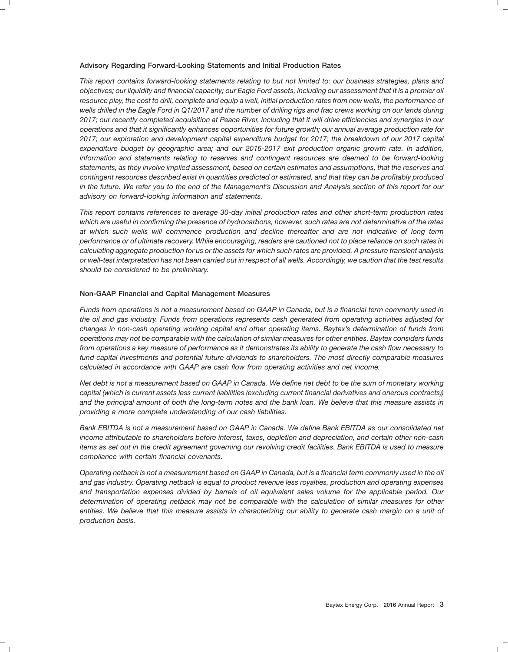#### **Advisory Regarding Forward-Looking Statements and Initial Production Rates**

*This report contains forward-looking statements relating to but not limited to: our business strategies, plans and objectives; our liquidity and financial capacity; our Eagle Ford assets, including our assessment that it is a premier oil resource play, the cost to drill, complete and equip a well, initial production rates from new wells, the performance of wells drilled in the Eagle Ford in Q1/2017 and the number of drilling rigs and frac crews working on our lands during 2017; our recently completed acquisition at Peace River, including that it will drive efficiencies and synergies in our operations and that it significantly enhances opportunities for future growth; our annual average production rate for 2017; our exploration and development capital expenditure budget for 2017; the breakdown of our 2017 capital expenditure budget by geographic area; and our 2016-2017 exit production organic growth rate. In addition, information and statements relating to reserves and contingent resources are deemed to be forward-looking statements, as they involve implied assessment, based on certain estimates and assumptions, that the reserves and contingent resources described exist in quantities predicted or estimated, and that they can be profitably produced in the future. We refer you to the end of the Management's Discussion and Analysis section of this report for our advisory on forward-looking information and statements.*

*This report contains references to average 30-day initial production rates and other short-term production rates which are useful in confirming the presence of hydrocarbons, however, such rates are not determinative of the rates at which such wells will commence production and decline thereafter and are not indicative of long term performance or of ultimate recovery. While encouraging, readers are cautioned not to place reliance on such rates in calculating aggregate production for us or the assets for which such rates are provided. A pressure transient analysis or well-test interpretation has not been carried out in respect of all wells. Accordingly, we caution that the test results should be considered to be preliminary.*

#### **Non-GAAP Financial and Capital Management Measures**

*Funds from operations is not a measurement based on GAAP in Canada, but is a financial term commonly used in the oil and gas industry. Funds from operations represents cash generated from operating activities adjusted for changes in non-cash operating working capital and other operating items. Baytex's determination of funds from operations may not be comparable with the calculation of similar measures for other entities. Baytex considers funds from operations a key measure of performance as it demonstrates its ability to generate the cash flow necessary to fund capital investments and potential future dividends to shareholders. The most directly comparable measures calculated in accordance with GAAP are cash flow from operating activities and net income.*

*Net debt is not a measurement based on GAAP in Canada. We define net debt to be the sum of monetary working capital (which is current assets less current liabilities (excluding current financial derivatives and onerous contracts)) and the principal amount of both the long-term notes and the bank loan. We believe that this measure assists in providing a more complete understanding of our cash liabilities.*

*Bank EBITDA is not a measurement based on GAAP in Canada. We define Bank EBITDA as our consolidated net income attributable to shareholders before interest, taxes, depletion and depreciation, and certain other non-cash items as set out in the credit agreement governing our revolving credit facilities. Bank EBITDA is used to measure compliance with certain financial covenants.*

*Operating netback is not a measurement based on GAAP in Canada, but is a financial term commonly used in the oil and gas industry. Operating netback is equal to product revenue less royalties, production and operating expenses and transportation expenses divided by barrels of oil equivalent sales volume for the applicable period. Our determination of operating netback may not be comparable with the calculation of similar measures for other entities. We believe that this measure assists in characterizing our ability to generate cash margin on a unit of production basis.*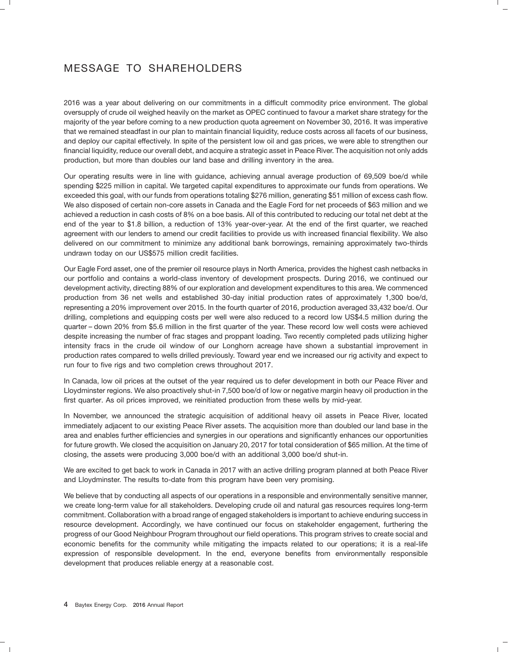# MESSAGE TO SHAREHOLDERS

2016 was a year about delivering on our commitments in a difficult commodity price environment. The global oversupply of crude oil weighed heavily on the market as OPEC continued to favour a market share strategy for the majority of the year before coming to a new production quota agreement on November 30, 2016. It was imperative that we remained steadfast in our plan to maintain financial liquidity, reduce costs across all facets of our business, and deploy our capital effectively. In spite of the persistent low oil and gas prices, we were able to strengthen our financial liquidity, reduce our overall debt, and acquire a strategic asset in Peace River. The acquisition not only adds production, but more than doubles our land base and drilling inventory in the area.

Our operating results were in line with guidance, achieving annual average production of 69,509 boe/d while spending \$225 million in capital. We targeted capital expenditures to approximate our funds from operations. We exceeded this goal, with our funds from operations totaling \$276 million, generating \$51 million of excess cash flow. We also disposed of certain non-core assets in Canada and the Eagle Ford for net proceeds of \$63 million and we achieved a reduction in cash costs of 8% on a boe basis. All of this contributed to reducing our total net debt at the end of the year to \$1.8 billion, a reduction of 13% year-over-year. At the end of the first quarter, we reached agreement with our lenders to amend our credit facilities to provide us with increased financial flexibility. We also delivered on our commitment to minimize any additional bank borrowings, remaining approximately two-thirds undrawn today on our US\$575 million credit facilities.

Our Eagle Ford asset, one of the premier oil resource plays in North America, provides the highest cash netbacks in our portfolio and contains a world-class inventory of development prospects. During 2016, we continued our development activity, directing 88% of our exploration and development expenditures to this area. We commenced production from 36 net wells and established 30-day initial production rates of approximately 1,300 boe/d, representing a 20% improvement over 2015. In the fourth quarter of 2016, production averaged 33,432 boe/d. Our drilling, completions and equipping costs per well were also reduced to a record low US\$4.5 million during the quarter – down 20% from \$5.6 million in the first quarter of the year. These record low well costs were achieved despite increasing the number of frac stages and proppant loading. Two recently completed pads utilizing higher intensity fracs in the crude oil window of our Longhorn acreage have shown a substantial improvement in production rates compared to wells drilled previously. Toward year end we increased our rig activity and expect to run four to five rigs and two completion crews throughout 2017.

In Canada, low oil prices at the outset of the year required us to defer development in both our Peace River and Lloydminster regions. We also proactively shut-in 7,500 boe/d of low or negative margin heavy oil production in the first quarter. As oil prices improved, we reinitiated production from these wells by mid-year.

In November, we announced the strategic acquisition of additional heavy oil assets in Peace River, located immediately adjacent to our existing Peace River assets. The acquisition more than doubled our land base in the area and enables further efficiencies and synergies in our operations and significantly enhances our opportunities for future growth. We closed the acquisition on January 20, 2017 for total consideration of \$65 million. At the time of closing, the assets were producing 3,000 boe/d with an additional 3,000 boe/d shut-in.

We are excited to get back to work in Canada in 2017 with an active drilling program planned at both Peace River and Lloydminster. The results to-date from this program have been very promising.

We believe that by conducting all aspects of our operations in a responsible and environmentally sensitive manner, we create long-term value for all stakeholders. Developing crude oil and natural gas resources requires long-term commitment. Collaboration with a broad range of engaged stakeholders is important to achieve enduring success in resource development. Accordingly, we have continued our focus on stakeholder engagement, furthering the progress of our Good Neighbour Program throughout our field operations. This program strives to create social and economic benefits for the community while mitigating the impacts related to our operations; it is a real-life expression of responsible development. In the end, everyone benefits from environmentally responsible development that produces reliable energy at a reasonable cost.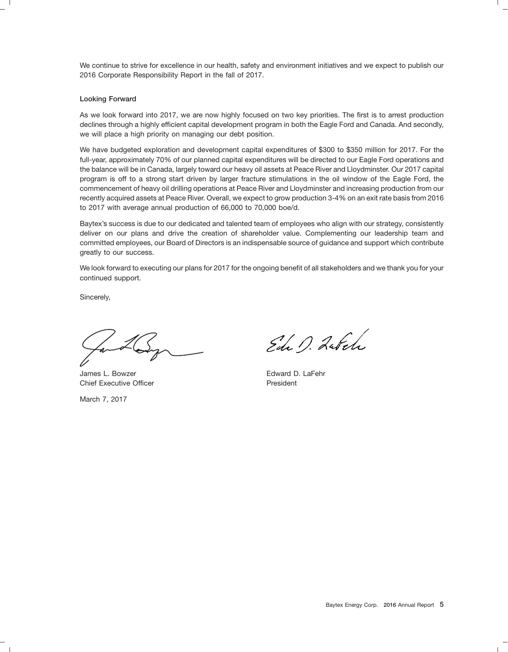We continue to strive for excellence in our health, safety and environment initiatives and we expect to publish our 2016 Corporate Responsibility Report in the fall of 2017.

#### **Looking Forward**

As we look forward into 2017, we are now highly focused on two key priorities. The first is to arrest production declines through a highly efficient capital development program in both the Eagle Ford and Canada. And secondly, we will place a high priority on managing our debt position.

We have budgeted exploration and development capital expenditures of \$300 to \$350 million for 2017. For the full-year, approximately 70% of our planned capital expenditures will be directed to our Eagle Ford operations and the balance will be in Canada, largely toward our heavy oil assets at Peace River and Lloydminster. Our 2017 capital program is off to a strong start driven by larger fracture stimulations in the oil window of the Eagle Ford, the commencement of heavy oil drilling operations at Peace River and Lloydminster and increasing production from our recently acquired assets at Peace River. Overall, we expect to grow production 3-4% on an exit rate basis from 2016 to 2017 with average annual production of 66,000 to 70,000 boe/d.

Baytex's success is due to our dedicated and talented team of employees who align with our strategy, consistently deliver on our plans and drive the creation of shareholder value. Complementing our leadership team and committed employees, our Board of Directors is an indispensable source of guidance and support which contribute greatly to our success.

We look forward to executing our plans for 2017 for the ongoing benefit of all stakeholders and we thank you for your continued support.

Sincerely,

James L. Bowzer **Edward D. LaFehr** Chief Executive Officer **President** President

March 7, 2017

Ede D. Labela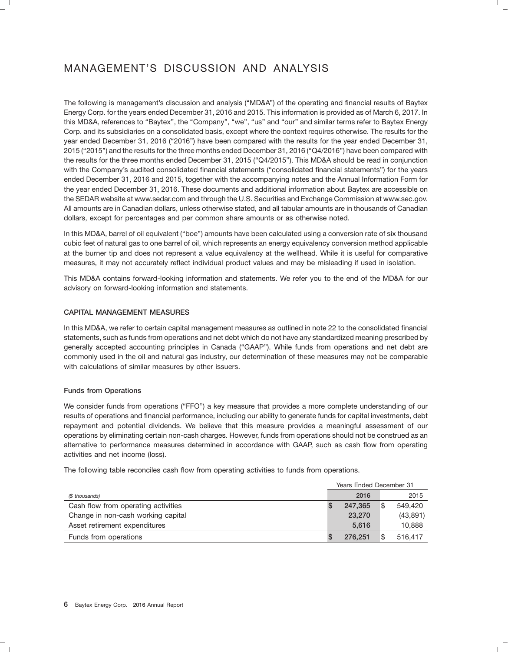# MANAGEMENT'S DISCUSSION AND ANALYSIS

The following is management's discussion and analysis (''MD&A'') of the operating and financial results of Baytex Energy Corp. for the years ended December 31, 2016 and 2015. This information is provided as of March 6, 2017. In this MD&A, references to "Baytex", the "Company", "we", "us" and "our" and similar terms refer to Baytex Energy Corp. and its subsidiaries on a consolidated basis, except where the context requires otherwise. The results for the year ended December 31, 2016 ("2016") have been compared with the results for the year ended December 31, 2015 (''2015'') and the results for the three months ended December 31, 2016 (''Q4/2016'') have been compared with the results for the three months ended December 31, 2015 (''Q4/2015''). This MD&A should be read in conjunction with the Company's audited consolidated financial statements (''consolidated financial statements'') for the years ended December 31, 2016 and 2015, together with the accompanying notes and the Annual Information Form for the year ended December 31, 2016. These documents and additional information about Baytex are accessible on the SEDAR website at www.sedar.com and through the U.S. Securities and Exchange Commission at www.sec.gov. All amounts are in Canadian dollars, unless otherwise stated, and all tabular amounts are in thousands of Canadian dollars, except for percentages and per common share amounts or as otherwise noted.

In this MD&A, barrel of oil equivalent (''boe'') amounts have been calculated using a conversion rate of six thousand cubic feet of natural gas to one barrel of oil, which represents an energy equivalency conversion method applicable at the burner tip and does not represent a value equivalency at the wellhead. While it is useful for comparative measures, it may not accurately reflect individual product values and may be misleading if used in isolation.

This MD&A contains forward-looking information and statements. We refer you to the end of the MD&A for our advisory on forward-looking information and statements.

# **CAPITAL MANAGEMENT MEASURES**

In this MD&A, we refer to certain capital management measures as outlined in note 22 to the consolidated financial statements, such as funds from operations and net debt which do not have any standardized meaning prescribed by generally accepted accounting principles in Canada ("GAAP"). While funds from operations and net debt are commonly used in the oil and natural gas industry, our determination of these measures may not be comparable with calculations of similar measures by other issuers.

## **Funds from Operations**

We consider funds from operations ("FFO") a key measure that provides a more complete understanding of our results of operations and financial performance, including our ability to generate funds for capital investments, debt repayment and potential dividends. We believe that this measure provides a meaningful assessment of our operations by eliminating certain non-cash charges. However, funds from operations should not be construed as an alternative to performance measures determined in accordance with GAAP, such as cash flow from operating activities and net income (loss).

The following table reconciles cash flow from operating activities to funds from operations.

|                                     | <b>Years Ended December 31</b> |         |    |           |
|-------------------------------------|--------------------------------|---------|----|-----------|
| (\$ thousands)                      |                                | 2016    |    | 2015      |
| Cash flow from operating activities |                                | 247.365 | \$ | 549,420   |
| Change in non-cash working capital  |                                | 23,270  |    | (43, 891) |
| Asset retirement expenditures       |                                | 5.616   |    | 10,888    |
| Funds from operations               | - T                            | 276.251 | S  | 516,417   |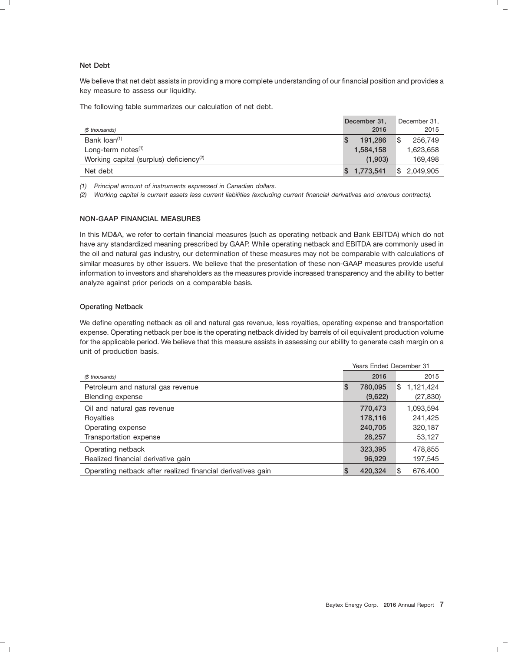# **Net Debt**

We believe that net debt assists in providing a more complete understanding of our financial position and provides a key measure to assess our liquidity.

The following table summarizes our calculation of net debt.

|                                                     | December 31,<br>2016 | December 31,<br>2015 |
|-----------------------------------------------------|----------------------|----------------------|
| (\$ thousands)                                      |                      |                      |
| Bank loan <sup>(1)</sup>                            | 191.286              | \$<br>256,749        |
| Long-term notes $(1)$                               | 1,584,158            | 1,623,658            |
| Working capital (surplus) deficiency <sup>(2)</sup> | (1,903)              | 169,498              |
| Net debt                                            | 1,773,541            | 2,049,905<br>\$      |

*(1) Principal amount of instruments expressed in Canadian dollars.*

*(2) Working capital is current assets less current liabilities (excluding current financial derivatives and onerous contracts).*

#### **NON-GAAP FINANCIAL MEASURES**

In this MD&A, we refer to certain financial measures (such as operating netback and Bank EBITDA) which do not have any standardized meaning prescribed by GAAP. While operating netback and EBITDA are commonly used in the oil and natural gas industry, our determination of these measures may not be comparable with calculations of similar measures by other issuers. We believe that the presentation of these non-GAAP measures provide useful information to investors and shareholders as the measures provide increased transparency and the ability to better analyze against prior periods on a comparable basis.

## **Operating Netback**

We define operating netback as oil and natural gas revenue, less royalties, operating expense and transportation expense. Operating netback per boe is the operating netback divided by barrels of oil equivalent production volume for the applicable period. We believe that this measure assists in assessing our ability to generate cash margin on a unit of production basis.

|                                                             | Years Ended December 31 |         |    |           |  |  |
|-------------------------------------------------------------|-------------------------|---------|----|-----------|--|--|
| (\$ thousands)                                              |                         | 2016    |    | 2015      |  |  |
| Petroleum and natural gas revenue                           | <b>S</b>                | 780,095 | \$ | 1,121,424 |  |  |
| <b>Blending expense</b>                                     |                         | (9,622) |    | (27, 830) |  |  |
| Oil and natural gas revenue                                 |                         | 770,473 |    | 1,093,594 |  |  |
| Royalties                                                   |                         | 178,116 |    | 241,425   |  |  |
| Operating expense                                           |                         | 240,705 |    | 320,187   |  |  |
| Transportation expense                                      |                         | 28,257  |    | 53,127    |  |  |
| Operating netback                                           |                         | 323,395 |    | 478,855   |  |  |
| Realized financial derivative gain                          |                         | 96,929  |    | 197,545   |  |  |
| Operating netback after realized financial derivatives gain |                         | 420.324 | \$ | 676,400   |  |  |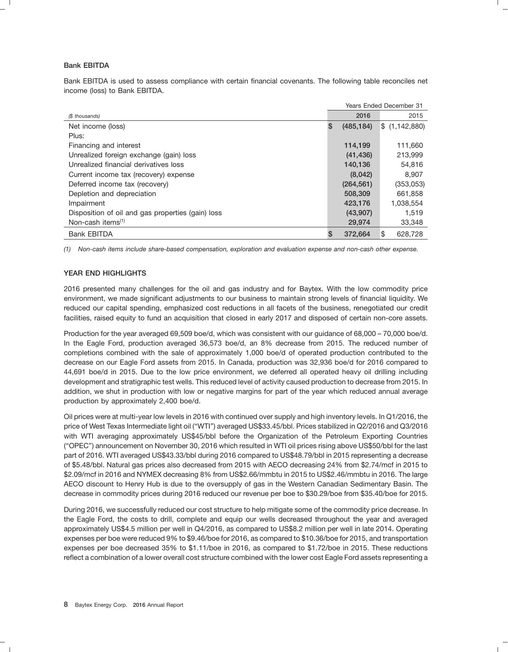# **Bank EBITDA**

Bank EBITDA is used to assess compliance with certain financial covenants. The following table reconciles net income (loss) to Bank EBITDA.

|                                                   | Years Ended December 31 |            |     |                  |  |  |  |
|---------------------------------------------------|-------------------------|------------|-----|------------------|--|--|--|
| (\$ thousands)                                    |                         | 2016       |     | 2015             |  |  |  |
| Net income (loss)                                 | <b>S</b>                | (485, 184) |     | $\$$ (1,142,880) |  |  |  |
| Plus:                                             |                         |            |     |                  |  |  |  |
| Financing and interest                            |                         | 114,199    |     | 111,660          |  |  |  |
| Unrealized foreign exchange (gain) loss           |                         | (41, 436)  |     | 213,999          |  |  |  |
| Unrealized financial derivatives loss             |                         | 140,136    |     | 54,816           |  |  |  |
| Current income tax (recovery) expense             |                         | (8,042)    |     | 8.907            |  |  |  |
| Deferred income tax (recovery)                    |                         | (264, 561) |     | (353,053)        |  |  |  |
| Depletion and depreciation                        |                         | 508,309    |     | 661,858          |  |  |  |
| Impairment                                        |                         | 423,176    |     | 1,038,554        |  |  |  |
| Disposition of oil and gas properties (gain) loss |                         | (43,907)   |     | 1.519            |  |  |  |
| Non-cash items $(1)$                              |                         | 29,974     |     | 33,348           |  |  |  |
| <b>Bank EBITDA</b>                                |                         | 372,664    | Ι\$ | 628.728          |  |  |  |

*(1) Non-cash items include share-based compensation, exploration and evaluation expense and non-cash other expense.*

# **YEAR END HIGHLIGHTS**

2016 presented many challenges for the oil and gas industry and for Baytex. With the low commodity price environment, we made significant adjustments to our business to maintain strong levels of financial liquidity. We reduced our capital spending, emphasized cost reductions in all facets of the business, renegotiated our credit facilities, raised equity to fund an acquisition that closed in early 2017 and disposed of certain non-core assets.

Production for the year averaged 69,509 boe/d, which was consistent with our guidance of 68,000 – 70,000 boe/d. In the Eagle Ford, production averaged 36,573 boe/d, an 8% decrease from 2015. The reduced number of completions combined with the sale of approximately 1,000 boe/d of operated production contributed to the decrease on our Eagle Ford assets from 2015. In Canada, production was 32,936 boe/d for 2016 compared to 44,691 boe/d in 2015. Due to the low price environment, we deferred all operated heavy oil drilling including development and stratigraphic test wells. This reduced level of activity caused production to decrease from 2015. In addition, we shut in production with low or negative margins for part of the year which reduced annual average production by approximately 2,400 boe/d.

Oil prices were at multi-year low levels in 2016 with continued over supply and high inventory levels. In Q1/2016, the price of West Texas Intermediate light oil (''WTI'') averaged US\$33.45/bbl. Prices stabilized in Q2/2016 and Q3/2016 with WTI averaging approximately US\$45/bbl before the Organization of the Petroleum Exporting Countries (''OPEC'') announcement on November 30, 2016 which resulted in WTI oil prices rising above US\$50/bbl for the last part of 2016. WTI averaged US\$43.33/bbl during 2016 compared to US\$48.79/bbl in 2015 representing a decrease of \$5.48/bbl. Natural gas prices also decreased from 2015 with AECO decreasing 24% from \$2.74/mcf in 2015 to \$2.09/mcf in 2016 and NYMEX decreasing 8% from US\$2.66/mmbtu in 2015 to US\$2.46/mmbtu in 2016. The large AECO discount to Henry Hub is due to the oversupply of gas in the Western Canadian Sedimentary Basin. The decrease in commodity prices during 2016 reduced our revenue per boe to \$30.29/boe from \$35.40/boe for 2015.

During 2016, we successfully reduced our cost structure to help mitigate some of the commodity price decrease. In the Eagle Ford, the costs to drill, complete and equip our wells decreased throughout the year and averaged approximately US\$4.5 million per well in Q4/2016, as compared to US\$8.2 million per well in late 2014. Operating expenses per boe were reduced 9% to \$9.46/boe for 2016, as compared to \$10.36/boe for 2015, and transportation expenses per boe decreased 35% to \$1.11/boe in 2016, as compared to \$1.72/boe in 2015. These reductions reflect a combination of a lower overall cost structure combined with the lower cost Eagle Ford assets representing a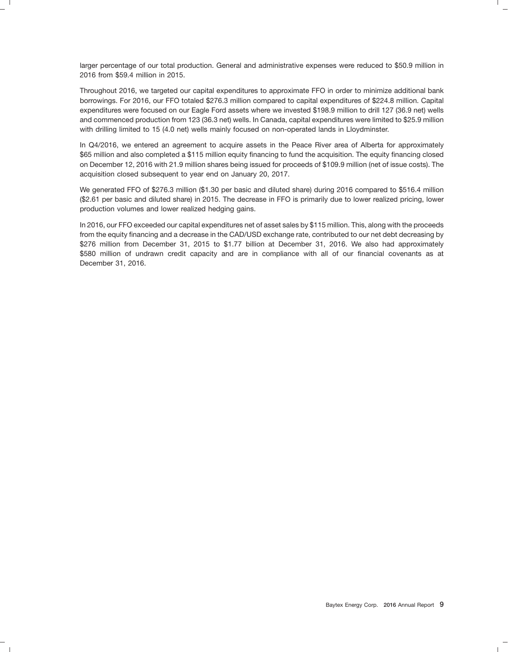larger percentage of our total production. General and administrative expenses were reduced to \$50.9 million in 2016 from \$59.4 million in 2015.

Throughout 2016, we targeted our capital expenditures to approximate FFO in order to minimize additional bank borrowings. For 2016, our FFO totaled \$276.3 million compared to capital expenditures of \$224.8 million. Capital expenditures were focused on our Eagle Ford assets where we invested \$198.9 million to drill 127 (36.9 net) wells and commenced production from 123 (36.3 net) wells. In Canada, capital expenditures were limited to \$25.9 million with drilling limited to 15 (4.0 net) wells mainly focused on non-operated lands in Lloydminster.

In Q4/2016, we entered an agreement to acquire assets in the Peace River area of Alberta for approximately \$65 million and also completed a \$115 million equity financing to fund the acquisition. The equity financing closed on December 12, 2016 with 21.9 million shares being issued for proceeds of \$109.9 million (net of issue costs). The acquisition closed subsequent to year end on January 20, 2017.

We generated FFO of \$276.3 million (\$1.30 per basic and diluted share) during 2016 compared to \$516.4 million (\$2.61 per basic and diluted share) in 2015. The decrease in FFO is primarily due to lower realized pricing, lower production volumes and lower realized hedging gains.

In 2016, our FFO exceeded our capital expenditures net of asset sales by \$115 million. This, along with the proceeds from the equity financing and a decrease in the CAD/USD exchange rate, contributed to our net debt decreasing by \$276 million from December 31, 2015 to \$1.77 billion at December 31, 2016. We also had approximately \$580 million of undrawn credit capacity and are in compliance with all of our financial covenants as at December 31, 2016.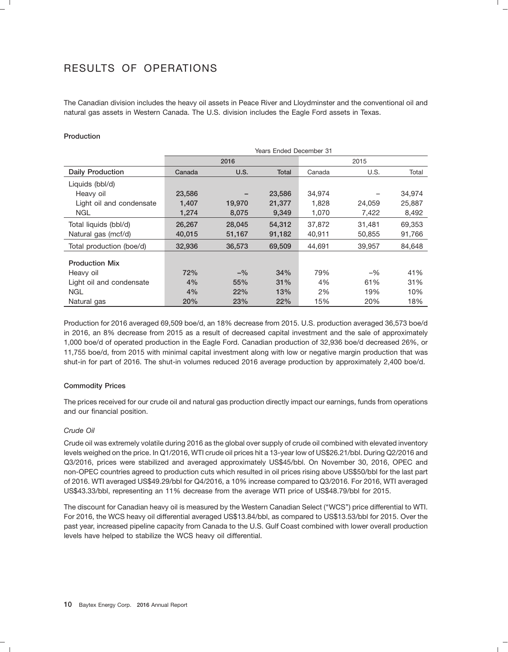# RESULTS OF OPERATIONS

The Canadian division includes the heavy oil assets in Peace River and Lloydminster and the conventional oil and natural gas assets in Western Canada. The U.S. division includes the Eagle Ford assets in Texas.

## **Production**

|                          | <b>Years Ended December 31</b> |        |              |        |        |        |  |  |  |  |  |
|--------------------------|--------------------------------|--------|--------------|--------|--------|--------|--|--|--|--|--|
|                          |                                | 2016   |              |        | 2015   |        |  |  |  |  |  |
| <b>Daily Production</b>  | Canada                         | U.S.   | <b>Total</b> | Canada | U.S.   | Total  |  |  |  |  |  |
| Liquids (bbl/d)          |                                |        |              |        |        |        |  |  |  |  |  |
| Heavy oil                | 23,586                         |        | 23,586       | 34.974 |        | 34,974 |  |  |  |  |  |
| Light oil and condensate | 1,407                          | 19,970 | 21,377       | 1,828  | 24,059 | 25,887 |  |  |  |  |  |
| NGL                      | 1,274                          | 8,075  | 9,349        | 1,070  | 7,422  | 8,492  |  |  |  |  |  |
| Total liquids (bbl/d)    | 26,267                         | 28,045 | 54,312       | 37,872 | 31,481 | 69,353 |  |  |  |  |  |
| Natural gas (mcf/d)      | 40,015                         | 51,167 | 91,182       | 40,911 | 50,855 | 91,766 |  |  |  |  |  |
| Total production (boe/d) | 32,936                         | 36,573 | 69,509       | 44,691 | 39,957 | 84,648 |  |  |  |  |  |
| <b>Production Mix</b>    |                                |        |              |        |        |        |  |  |  |  |  |
| Heavy oil                | 72%                            | $-$ %  | 34%          | 79%    | $-$ %  | 41%    |  |  |  |  |  |
| Light oil and condensate | 4%                             | 55%    | 31%          | 4%     | 61%    | 31%    |  |  |  |  |  |
| NGL                      | 4%                             | 22%    | 13%          | 2%     | 19%    | 10%    |  |  |  |  |  |
| Natural gas              | <b>20%</b>                     | 23%    | 22%          | 15%    | 20%    | 18%    |  |  |  |  |  |

Production for 2016 averaged 69,509 boe/d, an 18% decrease from 2015. U.S. production averaged 36,573 boe/d in 2016, an 8% decrease from 2015 as a result of decreased capital investment and the sale of approximately 1,000 boe/d of operated production in the Eagle Ford. Canadian production of 32,936 boe/d decreased 26%, or 11,755 boe/d, from 2015 with minimal capital investment along with low or negative margin production that was shut-in for part of 2016. The shut-in volumes reduced 2016 average production by approximately 2,400 boe/d.

## **Commodity Prices**

The prices received for our crude oil and natural gas production directly impact our earnings, funds from operations and our financial position.

## *Crude Oil*

Crude oil was extremely volatile during 2016 as the global over supply of crude oil combined with elevated inventory levels weighed on the price. In Q1/2016, WTI crude oil prices hit a 13-year low of US\$26.21/bbl. During Q2/2016 and Q3/2016, prices were stabilized and averaged approximately US\$45/bbl. On November 30, 2016, OPEC and non-OPEC countries agreed to production cuts which resulted in oil prices rising above US\$50/bbl for the last part of 2016. WTI averaged US\$49.29/bbl for Q4/2016, a 10% increase compared to Q3/2016. For 2016, WTI averaged US\$43.33/bbl, representing an 11% decrease from the average WTI price of US\$48.79/bbl for 2015.

The discount for Canadian heavy oil is measured by the Western Canadian Select (''WCS'') price differential to WTI. For 2016, the WCS heavy oil differential averaged US\$13.84/bbl, as compared to US\$13.53/bbl for 2015. Over the past year, increased pipeline capacity from Canada to the U.S. Gulf Coast combined with lower overall production levels have helped to stabilize the WCS heavy oil differential.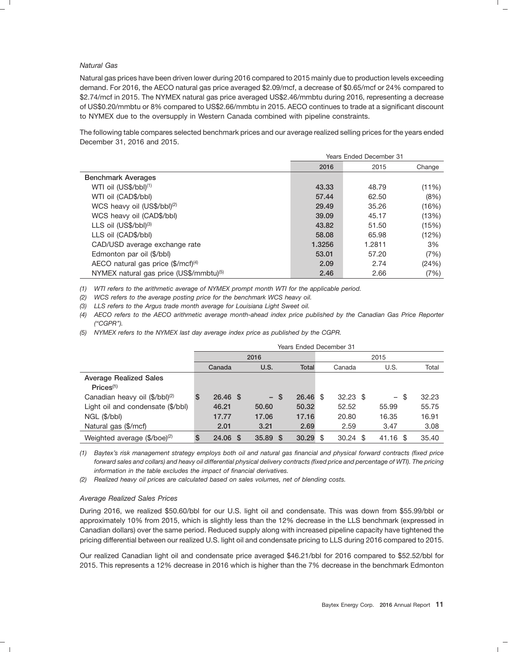# *Natural Gas*

Natural gas prices have been driven lower during 2016 compared to 2015 mainly due to production levels exceeding demand. For 2016, the AECO natural gas price averaged \$2.09/mcf, a decrease of \$0.65/mcf or 24% compared to \$2.74/mcf in 2015. The NYMEX natural gas price averaged US\$2.46/mmbtu during 2016, representing a decrease of US\$0.20/mmbtu or 8% compared to US\$2.66/mmbtu in 2015. AECO continues to trade at a significant discount to NYMEX due to the oversupply in Western Canada combined with pipeline constraints.

The following table compares selected benchmark prices and our average realized selling prices for the years ended December 31, 2016 and 2015.

|                                                     | Years Ended December 31 |        |          |  |  |  |
|-----------------------------------------------------|-------------------------|--------|----------|--|--|--|
|                                                     | 2016                    | 2015   | Change   |  |  |  |
| <b>Benchmark Averages</b>                           |                         |        |          |  |  |  |
| WTI oil (US\$/bbl) <sup>(1)</sup>                   | 43.33                   | 48.79  | $(11\%)$ |  |  |  |
| WTI oil (CAD\$/bbl)                                 | 57.44                   | 62.50  | (8%)     |  |  |  |
| WCS heavy oil (US\$/bbl) <sup>(2)</sup>             | 29.49                   | 35.26  | (16%)    |  |  |  |
| WCS heavy oil (CAD\$/bbl)                           | 39.09                   | 45.17  | (13%)    |  |  |  |
| LLS oil (US\$/bbl) <sup>(3)</sup>                   | 43.82                   | 51.50  | (15%)    |  |  |  |
| LLS oil (CAD\$/bbl)                                 | 58.08                   | 65.98  | (12%)    |  |  |  |
| CAD/USD average exchange rate                       | 1.3256                  | 1.2811 | 3%       |  |  |  |
| Edmonton par oil (\$/bbl)                           | 53.01                   | 57.20  | (7%)     |  |  |  |
| AECO natural gas price $(\frac{5}{mcf})^{(4)}$      | 2.09                    | 2.74   | (24%)    |  |  |  |
| NYMEX natural gas price (US\$/mmbtu) <sup>(5)</sup> | 2.46                    | 2.66   | (7%)     |  |  |  |

*(1) WTI refers to the arithmetic average of NYMEX prompt month WTI for the applicable period.*

*(2) WCS refers to the average posting price for the benchmark WCS heavy oil.*

*(3) LLS refers to the Argus trade month average for Louisiana Light Sweet oil.*

*(4) AECO refers to the AECO arithmetic average month-ahead index price published by the Canadian Gas Price Reporter (''CGPR'').*

*(5) NYMEX refers to the NYMEX last day average index price as published by the CGPR.*

|                                            | <b>Years Ended December 31</b> |  |       |        |              |      |            |  |            |  |       |
|--------------------------------------------|--------------------------------|--|-------|--------|--------------|------|------------|--|------------|--|-------|
|                                            |                                |  | 2016  |        |              | 2015 |            |  |            |  |       |
|                                            | Canada                         |  | U.S.  |        | <b>Total</b> |      | Canada     |  | U.S.       |  | Total |
| <b>Average Realized Sales</b>              |                                |  |       |        |              |      |            |  |            |  |       |
| PriceS <sup>(1)</sup>                      |                                |  |       |        |              |      |            |  |            |  |       |
| Canadian heavy oil (\$/bbl) <sup>(2)</sup> | \$<br>$26.46$ \$               |  |       | $-$ \$ | $26.46$ \$   |      | $32.23$ \$ |  | - \$       |  | 32.23 |
| Light oil and condensate (\$/bbl)          | 46.21                          |  | 50.60 |        | 50.32        |      | 52.52      |  | 55.99      |  | 55.75 |
| NGL (\$/bbl)                               | 17.77                          |  | 17.06 |        | 17.16        |      | 20.80      |  | 16.35      |  | 16.91 |
| Natural gas (\$/mcf)                       | 2.01                           |  | 3.21  |        | 2.69         |      | 2.59       |  | 3.47       |  | 3.08  |
| Weighted average $(\frac{6}{\log^2})$      | \$<br>24.06 \$                 |  | 35.89 | S      | 30.29        | -\$  | $30.24$ \$ |  | $41.16$ \$ |  | 35.40 |

*(1) Baytex's risk management strategy employs both oil and natural gas financial and physical forward contracts (fixed price forward sales and collars) and heavy oil differential physical delivery contracts (fixed price and percentage of WTI). The pricing information in the table excludes the impact of financial derivatives.*

*(2) Realized heavy oil prices are calculated based on sales volumes, net of blending costs.*

## *Average Realized Sales Prices*

During 2016, we realized \$50.60/bbl for our U.S. light oil and condensate. This was down from \$55.99/bbl or approximately 10% from 2015, which is slightly less than the 12% decrease in the LLS benchmark (expressed in Canadian dollars) over the same period. Reduced supply along with increased pipeline capacity have tightened the pricing differential between our realized U.S. light oil and condensate pricing to LLS during 2016 compared to 2015.

Our realized Canadian light oil and condensate price averaged \$46.21/bbl for 2016 compared to \$52.52/bbl for 2015. This represents a 12% decrease in 2016 which is higher than the 7% decrease in the benchmark Edmonton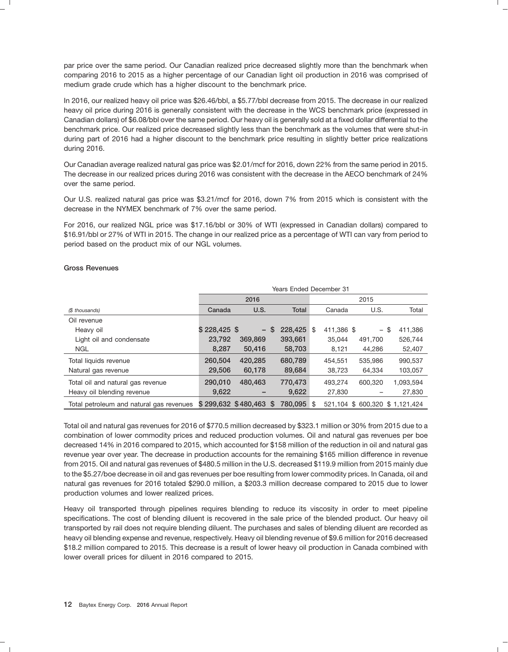par price over the same period. Our Canadian realized price decreased slightly more than the benchmark when comparing 2016 to 2015 as a higher percentage of our Canadian light oil production in 2016 was comprised of medium grade crude which has a higher discount to the benchmark price.

In 2016, our realized heavy oil price was \$26.46/bbl, a \$5.77/bbl decrease from 2015. The decrease in our realized heavy oil price during 2016 is generally consistent with the decrease in the WCS benchmark price (expressed in Canadian dollars) of \$6.08/bbl over the same period. Our heavy oil is generally sold at a fixed dollar differential to the benchmark price. Our realized price decreased slightly less than the benchmark as the volumes that were shut-in during part of 2016 had a higher discount to the benchmark price resulting in slightly better price realizations during 2016.

Our Canadian average realized natural gas price was \$2.01/mcf for 2016, down 22% from the same period in 2015. The decrease in our realized prices during 2016 was consistent with the decrease in the AECO benchmark of 24% over the same period.

Our U.S. realized natural gas price was \$3.21/mcf for 2016, down 7% from 2015 which is consistent with the decrease in the NYMEX benchmark of 7% over the same period.

For 2016, our realized NGL price was \$17.16/bbl or 30% of WTI (expressed in Canadian dollars) compared to \$16.91/bbl or 27% of WTI in 2015. The change in our realized price as a percentage of WTI can vary from period to period based on the product mix of our NGL volumes.

# **Gross Revenues**

|                                          | Years Ended December 31 |                         |              |    |            |         |                                 |  |  |  |  |
|------------------------------------------|-------------------------|-------------------------|--------------|----|------------|---------|---------------------------------|--|--|--|--|
|                                          |                         | 2016                    |              |    | 2015       |         |                                 |  |  |  |  |
| (\$ thousands)                           | Canada                  | U.S.                    | <b>Total</b> |    | Canada     | U.S.    | Total                           |  |  |  |  |
| Oil revenue                              |                         |                         |              |    |            |         |                                 |  |  |  |  |
| Heavy oil                                | $$228,425$ \$           | $-$ \$                  | 228,425      | \$ | 411.386 \$ | $-$ \$  | 411.386                         |  |  |  |  |
| Light oil and condensate                 | 23.792                  | 369,869                 | 393,661      |    | 35.044     | 491.700 | 526,744                         |  |  |  |  |
| <b>NGL</b>                               | 8,287                   | 50,416                  | 58,703       |    | 8,121      | 44,286  | 52,407                          |  |  |  |  |
| Total liquids revenue                    | 260,504                 | 420,285                 | 680.789      |    | 454.551    | 535.986 | 990.537                         |  |  |  |  |
| Natural gas revenue                      | 29,506                  | 60,178                  | 89,684       |    | 38,723     | 64,334  | 103,057                         |  |  |  |  |
| Total oil and natural gas revenue        | 290,010                 | 480,463                 | 770,473      |    | 493.274    | 600.320 | 1,093,594                       |  |  |  |  |
| Heavy oil blending revenue               | 9,622                   |                         | 9.622        |    | 27,830     |         | 27,830                          |  |  |  |  |
| Total petroleum and natural gas revenues |                         | $$299.632$ \$480.463 \$ | 780.095      | \$ |            |         | 521.104 \$ 600.320 \$ 1.121.424 |  |  |  |  |

Total oil and natural gas revenues for 2016 of \$770.5 million decreased by \$323.1 million or 30% from 2015 due to a combination of lower commodity prices and reduced production volumes. Oil and natural gas revenues per boe decreased 14% in 2016 compared to 2015, which accounted for \$158 million of the reduction in oil and natural gas revenue year over year. The decrease in production accounts for the remaining \$165 million difference in revenue from 2015. Oil and natural gas revenues of \$480.5 million in the U.S. decreased \$119.9 million from 2015 mainly due to the \$5.27/boe decrease in oil and gas revenues per boe resulting from lower commodity prices. In Canada, oil and natural gas revenues for 2016 totaled \$290.0 million, a \$203.3 million decrease compared to 2015 due to lower production volumes and lower realized prices.

Heavy oil transported through pipelines requires blending to reduce its viscosity in order to meet pipeline specifications. The cost of blending diluent is recovered in the sale price of the blended product. Our heavy oil transported by rail does not require blending diluent. The purchases and sales of blending diluent are recorded as heavy oil blending expense and revenue, respectively. Heavy oil blending revenue of \$9.6 million for 2016 decreased \$18.2 million compared to 2015. This decrease is a result of lower heavy oil production in Canada combined with lower overall prices for diluent in 2016 compared to 2015.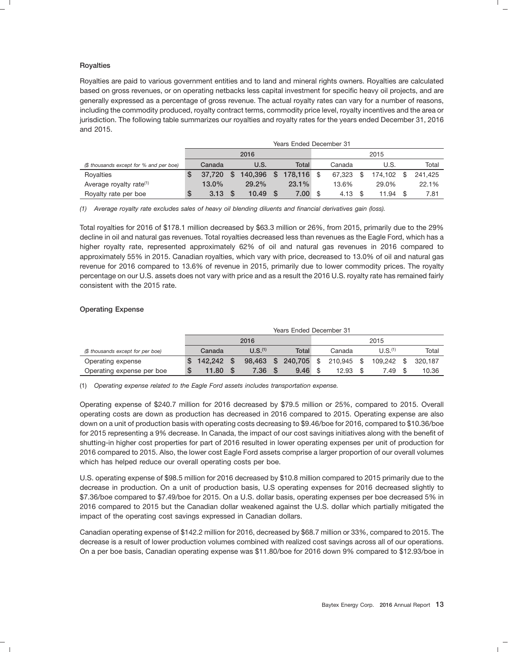# **Royalties**

Royalties are paid to various government entities and to land and mineral rights owners. Royalties are calculated based on gross revenues, or on operating netbacks less capital investment for specific heavy oil projects, and are generally expressed as a percentage of gross revenue. The actual royalty rates can vary for a number of reasons, including the commodity produced, royalty contract terms, commodity price level, royalty incentives and the area or jurisdiction. The following table summarizes our royalties and royalty rates for the years ended December 31, 2016 and 2015.

|                                         | <b>Years Ended December 31</b> |          |    |            |  |            |  |        |  |         |  |         |
|-----------------------------------------|--------------------------------|----------|----|------------|--|------------|--|--------|--|---------|--|---------|
|                                         |                                |          |    | 2016       |  |            |  |        |  | 2015    |  |         |
| (\$ thousands except for % and per boe) |                                | Canada   |    | U.S.       |  | Total      |  | Canada |  | U.S.    |  | Total   |
| Royalties                               |                                | 37.720   | \$ | 140,396 \$ |  | 178.116 \$ |  | 67.323 |  | 174.102 |  | 241.425 |
| Average royalty rate $(1)$              |                                | $13.0\%$ |    | $29.2\%$   |  | $23.1\%$   |  | 13.6%  |  | 29.0%   |  | 22.1%   |
| Royalty rate per boe                    | S                              | 3.13     |    | 10.49      |  | 7.00       |  | 4.13   |  | 11.94   |  | 7.81    |

*(1) Average royalty rate excludes sales of heavy oil blending diluents and financial derivatives gain (loss).*

Total royalties for 2016 of \$178.1 million decreased by \$63.3 million or 26%, from 2015, primarily due to the 29% decline in oil and natural gas revenues. Total royalties decreased less than revenues as the Eagle Ford, which has a higher royalty rate, represented approximately 62% of oil and natural gas revenues in 2016 compared to approximately 55% in 2015. Canadian royalties, which vary with price, decreased to 13.0% of oil and natural gas revenue for 2016 compared to 13.6% of revenue in 2015, primarily due to lower commodity prices. The royalty percentage on our U.S. assets does not vary with price and as a result the 2016 U.S. royalty rate has remained fairly consistent with the 2015 rate.

# **Operating Expense**

|                                   | Years Ended December 31 |         |      |                     |  |            |  |         |          |                     |  |         |
|-----------------------------------|-------------------------|---------|------|---------------------|--|------------|--|---------|----------|---------------------|--|---------|
|                                   |                         | 2016    |      |                     |  |            |  |         |          | 2015                |  |         |
| (\$ thousands except for per boe) |                         | Canada  |      | U.S. <sup>(1)</sup> |  | Total      |  | Canada  |          | U.S. <sup>(1)</sup> |  | Total   |
| Operating expense                 |                         | 142.242 | - \$ | 98,463 \$           |  | 240.705 \$ |  | 210.945 | <b>S</b> | 109.242             |  | 320.187 |
| Operating expense per boe         | S                       | 11.80   |      | 7.36                |  | 9.46       |  | 12.93   |          | 7.49                |  | 10.36   |

(1) *Operating expense related to the Eagle Ford assets includes transportation expense.*

Operating expense of \$240.7 million for 2016 decreased by \$79.5 million or 25%, compared to 2015. Overall operating costs are down as production has decreased in 2016 compared to 2015. Operating expense are also down on a unit of production basis with operating costs decreasing to \$9.46/boe for 2016, compared to \$10.36/boe for 2015 representing a 9% decrease. In Canada, the impact of our cost savings initiatives along with the benefit of shutting-in higher cost properties for part of 2016 resulted in lower operating expenses per unit of production for 2016 compared to 2015. Also, the lower cost Eagle Ford assets comprise a larger proportion of our overall volumes which has helped reduce our overall operating costs per boe.

U.S. operating expense of \$98.5 million for 2016 decreased by \$10.8 million compared to 2015 primarily due to the decrease in production. On a unit of production basis, U.S operating expenses for 2016 decreased slightly to \$7.36/boe compared to \$7.49/boe for 2015. On a U.S. dollar basis, operating expenses per boe decreased 5% in 2016 compared to 2015 but the Canadian dollar weakened against the U.S. dollar which partially mitigated the impact of the operating cost savings expressed in Canadian dollars.

Canadian operating expense of \$142.2 million for 2016, decreased by \$68.7 million or 33%, compared to 2015. The decrease is a result of lower production volumes combined with realized cost savings across all of our operations. On a per boe basis, Canadian operating expense was \$11.80/boe for 2016 down 9% compared to \$12.93/boe in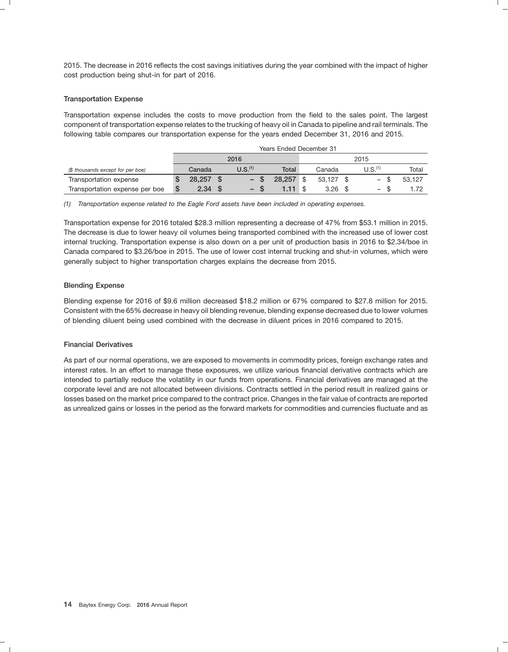2015. The decrease in 2016 reflects the cost savings initiatives during the year combined with the impact of higher cost production being shut-in for part of 2016.

#### **Transportation Expense**

Transportation expense includes the costs to move production from the field to the sales point. The largest component of transportation expense relates to the trucking of heavy oil in Canada to pipeline and rail terminals. The following table compares our transportation expense for the years ended December 31, 2016 and 2015.

|                                   | <b>Years Ended December 31</b> |           |  |                          |       |             |  |             |  |                     |        |  |
|-----------------------------------|--------------------------------|-----------|--|--------------------------|-------|-------------|--|-------------|--|---------------------|--------|--|
|                                   |                                |           |  | 2016                     |       |             |  | 2015        |  |                     |        |  |
| (\$ thousands except for per boe) |                                | Canada    |  | U.S. <sup>(1)</sup>      |       | Total       |  | Canada      |  | U.S. <sup>(1)</sup> | Total  |  |
| Transportation expense            |                                | 28.257 \$ |  |                          | $-$ S | $28.257$ \$ |  | $53.127$ \$ |  | $-$                 | 53.127 |  |
| Transportation expense per boe    |                                | $2.34$ \$ |  | $\overline{\phantom{0}}$ |       |             |  | $3.26$ \$   |  | -                   | 1.72   |  |

*(1) Transportation expense related to the Eagle Ford assets have been included in operating expenses.*

Transportation expense for 2016 totaled \$28.3 million representing a decrease of 47% from \$53.1 million in 2015. The decrease is due to lower heavy oil volumes being transported combined with the increased use of lower cost internal trucking. Transportation expense is also down on a per unit of production basis in 2016 to \$2.34/boe in Canada compared to \$3.26/boe in 2015. The use of lower cost internal trucking and shut-in volumes, which were generally subject to higher transportation charges explains the decrease from 2015.

## **Blending Expense**

Blending expense for 2016 of \$9.6 million decreased \$18.2 million or 67% compared to \$27.8 million for 2015. Consistent with the 65% decrease in heavy oil blending revenue, blending expense decreased due to lower volumes of blending diluent being used combined with the decrease in diluent prices in 2016 compared to 2015.

## **Financial Derivatives**

As part of our normal operations, we are exposed to movements in commodity prices, foreign exchange rates and interest rates. In an effort to manage these exposures, we utilize various financial derivative contracts which are intended to partially reduce the volatility in our funds from operations. Financial derivatives are managed at the corporate level and are not allocated between divisions. Contracts settled in the period result in realized gains or losses based on the market price compared to the contract price. Changes in the fair value of contracts are reported as unrealized gains or losses in the period as the forward markets for commodities and currencies fluctuate and as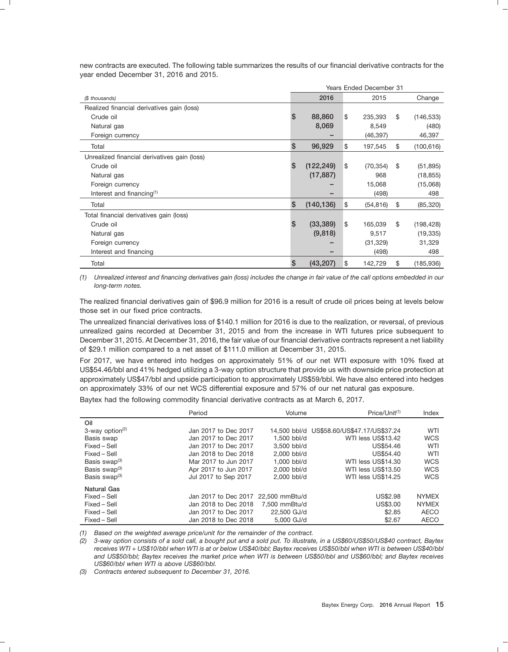new contracts are executed. The following table summarizes the results of our financial derivative contracts for the year ended December 31, 2016 and 2015.

|                                              | <b>Years Ended December 31</b> |            |     |           |    |            |  |  |
|----------------------------------------------|--------------------------------|------------|-----|-----------|----|------------|--|--|
| (\$ thousands)                               |                                | 2016       |     | 2015      |    | Change     |  |  |
| Realized financial derivatives gain (loss)   |                                |            |     |           |    |            |  |  |
| Crude oil                                    | \$                             | 88,860     | Ι\$ | 235,393   | \$ | (146, 533) |  |  |
| Natural gas                                  |                                | 8,069      |     | 8,549     |    | (480)      |  |  |
| Foreign currency                             |                                |            |     | (46, 397) |    | 46,397     |  |  |
| Total                                        | \$                             | 96,929     | \$  | 197,545   | \$ | (100, 616) |  |  |
| Unrealized financial derivatives gain (loss) |                                |            |     |           |    |            |  |  |
| Crude oil                                    | \$                             | (122, 249) | Ι\$ | (70, 354) | \$ | (51, 895)  |  |  |
| Natural gas                                  |                                | (17, 887)  |     | 968       |    | (18, 855)  |  |  |
| Foreign currency                             |                                |            |     | 15,068    |    | (15,068)   |  |  |
| Interest and financing $(1)$                 |                                |            |     | (498)     |    | 498        |  |  |
| Total                                        | \$                             | (140, 136) | \$  | (54, 816) | \$ | (85, 320)  |  |  |
| Total financial derivatives gain (loss)      |                                |            |     |           |    |            |  |  |
| Crude oil                                    | \$                             | (33, 389)  | Ι\$ | 165,039   | \$ | (198, 428) |  |  |
| Natural gas                                  |                                | (9,818)    |     | 9,517     |    | (19, 335)  |  |  |
| Foreign currency                             |                                |            |     | (31, 329) |    | 31,329     |  |  |
| Interest and financing                       |                                |            |     | (498)     |    | 498        |  |  |
| Total                                        | \$                             | (43, 207)  | 5   | 142,729   | \$ | (185, 936) |  |  |

*(1) Unrealized interest and financing derivatives gain (loss) includes the change in fair value of the call options embedded in our long-term notes.*

The realized financial derivatives gain of \$96.9 million for 2016 is a result of crude oil prices being at levels below those set in our fixed price contracts.

The unrealized financial derivatives loss of \$140.1 million for 2016 is due to the realization, or reversal, of previous unrealized gains recorded at December 31, 2015 and from the increase in WTI futures price subsequent to December 31, 2015. At December 31, 2016, the fair value of our financial derivative contracts represent a net liability of \$29.1 million compared to a net asset of \$111.0 million at December 31, 2015.

For 2017, we have entered into hedges on approximately 51% of our net WTI exposure with 10% fixed at US\$54.46/bbl and 41% hedged utilizing a 3-way option structure that provide us with downside price protection at approximately US\$47/bbl and upside participation to approximately US\$59/bbl. We have also entered into hedges on approximately 33% of our net WCS differential exposure and 57% of our net natural gas exposure.

Baytex had the following commodity financial derivative contracts as at March 6, 2017.

|                                | Period                              | Volume        | Price/Unit <sup>(1)</sup>     | Index        |
|--------------------------------|-------------------------------------|---------------|-------------------------------|--------------|
| Oil                            |                                     |               |                               |              |
| $3$ -way option <sup>(2)</sup> | Jan 2017 to Dec 2017                | 14.500 bbl/d  | US\$58.60/US\$47.17/US\$37.24 | <b>WTI</b>   |
| Basis swap                     | Jan 2017 to Dec 2017                | 1.500 bbl/d   | WTI less US\$13.42            | <b>WCS</b>   |
| Fixed - Sell                   | Jan 2017 to Dec 2017                | 3.500 bbl/d   | US\$54.46                     | <b>WTI</b>   |
| Fixed – Sell                   | Jan 2018 to Dec 2018                | 2.000 bbl/d   | US\$54.40                     | <b>WTI</b>   |
| Basis swap <sup>(3)</sup>      | Mar 2017 to Jun 2017                | 1.000 bbl/d   | WTI less US\$14.30            | <b>WCS</b>   |
| Basis swap <sup>(3)</sup>      | Apr 2017 to Jun 2017                | 2.000 bbl/d   | WTI less US\$13.50            | <b>WCS</b>   |
| Basis swap <sup>(3)</sup>      | Jul 2017 to Sep 2017                | 2.000 bbl/d   | WTI less US\$14.25            | <b>WCS</b>   |
| Natural Gas                    |                                     |               |                               |              |
| Fixed - Sell                   | Jan 2017 to Dec 2017 22,500 mmBtu/d |               | US\$2.98                      | <b>NYMEX</b> |
| Fixed – Sell                   | Jan 2018 to Dec 2018                | 7.500 mmBtu/d | US\$3.00                      | <b>NYMEX</b> |
| Fixed - Sell                   | Jan 2017 to Dec 2017                | 22,500 GJ/d   | \$2.85                        | <b>AECO</b>  |
| Fixed – Sell                   | Jan 2018 to Dec 2018                | 5,000 GJ/d    | \$2.67                        | <b>AECO</b>  |

*(1) Based on the weighted average price/unit for the remainder of the contract.*

*(2) 3-way option consists of a sold call, a bought put and a sold put. To illustrate, in a US\$60/US\$50/US\$40 contract, Baytex receives WTI + US\$10/bbl when WTI is at or below US\$40/bbl; Baytex receives US\$50/bbl when WTI is between US\$40/bbl and US\$50/bbl; Baytex receives the market price when WTI is between US\$50/bbl and US\$60/bbl; and Baytex receives US\$60/bbl when WTI is above US\$60/bbl.*

*(3) Contracts entered subsequent to December 31, 2016.*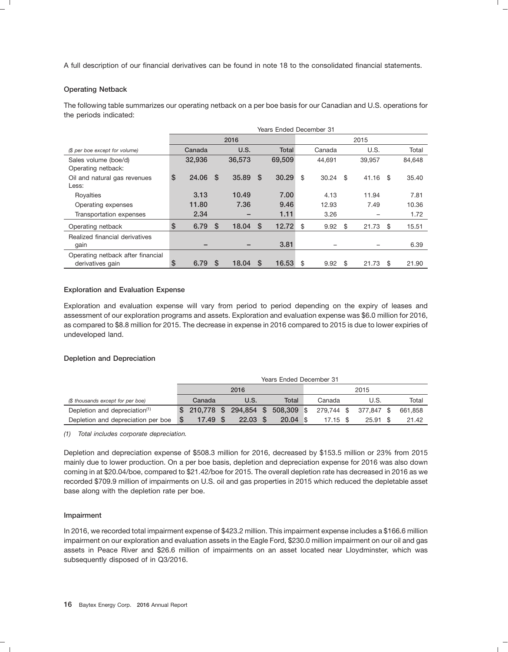A full description of our financial derivatives can be found in note 18 to the consolidated financial statements.

# **Operating Netback**

The following table summarizes our operating netback on a per boe basis for our Canadian and U.S. operations for the periods indicated:

|                                                       | <b>Years Ended December 31</b> |               |        |          |        |      |        |    |            |    |        |  |
|-------------------------------------------------------|--------------------------------|---------------|--------|----------|--------|------|--------|----|------------|----|--------|--|
|                                                       | 2016                           |               |        |          |        | 2015 |        |    |            |    |        |  |
| (\$ per boe except for volume)                        | Canada                         |               | U.S.   |          | Total  |      | Canada |    | U.S.       |    | Total  |  |
| Sales volume (boe/d)<br>Operating netback:            | 32,936                         |               | 36,573 |          | 69.509 |      | 44.691 |    | 39.957     |    | 84,648 |  |
| Oil and natural gas revenues<br>Less:                 | \$<br>24.06                    | <sup>\$</sup> | 35.89  | \$       | 30.29  | \$   | 30.24  | \$ | $41.16$ \$ |    | 35.40  |  |
| Royalties                                             | 3.13                           |               | 10.49  |          | 7.00   |      | 4.13   |    | 11.94      |    | 7.81   |  |
| Operating expenses                                    | 11.80                          |               | 7.36   |          | 9.46   |      | 12.93  |    | 7.49       |    | 10.36  |  |
| Transportation expenses                               | 2.34                           |               |        |          | 1.11   |      | 3.26   |    | -          |    | 1.72   |  |
| Operating netback                                     | \$<br>6.79                     | <sup>\$</sup> | 18.04  | - \$     | 12.72  | \$   | 9.92   | \$ | 21.73      | \$ | 15.51  |  |
| Realized financial derivatives<br>gain                |                                |               |        |          | 3.81   |      |        |    |            |    | 6.39   |  |
| Operating netback after financial<br>derivatives gain | \$<br>6.79                     | S             | 18.04  | <b>S</b> | 16.53  | \$   | 9.92   | \$ | 21.73      | -S | 21.90  |  |

## **Exploration and Evaluation Expense**

Exploration and evaluation expense will vary from period to period depending on the expiry of leases and assessment of our exploration programs and assets. Exploration and evaluation expense was \$6.0 million for 2016, as compared to \$8.8 million for 2015. The decrease in expense in 2016 compared to 2015 is due to lower expiries of undeveloped land.

## **Depletion and Depreciation**

|                                           | Years Ended December 31  |  |            |  |                       |  |            |  |            |  |         |
|-------------------------------------------|--------------------------|--|------------|--|-----------------------|--|------------|--|------------|--|---------|
|                                           | 2016                     |  |            |  |                       |  |            |  |            |  |         |
| (\$ thousands except for per boe)         | Canada                   |  | U.S.       |  | Total                 |  | Canada     |  | U.S.       |  | Total   |
| Depletion and depreciation <sup>(1)</sup> | $$210,778$ \$ 294,854 \$ |  |            |  | 508,309 \$ 279,744 \$ |  |            |  | 377.847 \$ |  | 661.858 |
| Depletion and depreciation per boe        | 17.49 S                  |  | $22.03$ \$ |  | $20.04$ \$            |  | $17.15$ \$ |  | $25.91$ \$ |  | 21.42   |

*(1) Total includes corporate depreciation.*

Depletion and depreciation expense of \$508.3 million for 2016, decreased by \$153.5 million or 23% from 2015 mainly due to lower production. On a per boe basis, depletion and depreciation expense for 2016 was also down coming in at \$20.04/boe, compared to \$21.42/boe for 2015. The overall depletion rate has decreased in 2016 as we recorded \$709.9 million of impairments on U.S. oil and gas properties in 2015 which reduced the depletable asset base along with the depletion rate per boe.

## **Impairment**

In 2016, we recorded total impairment expense of \$423.2 million. This impairment expense includes a \$166.6 million impairment on our exploration and evaluation assets in the Eagle Ford, \$230.0 million impairment on our oil and gas assets in Peace River and \$26.6 million of impairments on an asset located near Lloydminster, which was subsequently disposed of in Q3/2016.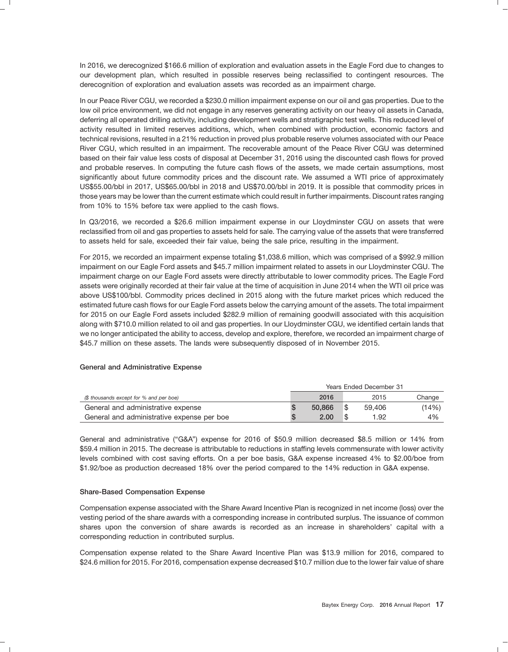In 2016, we derecognized \$166.6 million of exploration and evaluation assets in the Eagle Ford due to changes to our development plan, which resulted in possible reserves being reclassified to contingent resources. The derecognition of exploration and evaluation assets was recorded as an impairment charge.

In our Peace River CGU, we recorded a \$230.0 million impairment expense on our oil and gas properties. Due to the low oil price environment, we did not engage in any reserves generating activity on our heavy oil assets in Canada, deferring all operated drilling activity, including development wells and stratigraphic test wells. This reduced level of activity resulted in limited reserves additions, which, when combined with production, economic factors and technical revisions, resulted in a 21% reduction in proved plus probable reserve volumes associated with our Peace River CGU, which resulted in an impairment. The recoverable amount of the Peace River CGU was determined based on their fair value less costs of disposal at December 31, 2016 using the discounted cash flows for proved and probable reserves. In computing the future cash flows of the assets, we made certain assumptions, most significantly about future commodity prices and the discount rate. We assumed a WTI price of approximately US\$55.00/bbl in 2017, US\$65.00/bbl in 2018 and US\$70.00/bbl in 2019. It is possible that commodity prices in those years may be lower than the current estimate which could result in further impairments. Discount rates ranging from 10% to 15% before tax were applied to the cash flows.

In Q3/2016, we recorded a \$26.6 million impairment expense in our Lloydminster CGU on assets that were reclassified from oil and gas properties to assets held for sale. The carrying value of the assets that were transferred to assets held for sale, exceeded their fair value, being the sale price, resulting in the impairment.

For 2015, we recorded an impairment expense totaling \$1,038.6 million, which was comprised of a \$992.9 million impairment on our Eagle Ford assets and \$45.7 million impairment related to assets in our Lloydminster CGU. The impairment charge on our Eagle Ford assets were directly attributable to lower commodity prices. The Eagle Ford assets were originally recorded at their fair value at the time of acquisition in June 2014 when the WTI oil price was above US\$100/bbl. Commodity prices declined in 2015 along with the future market prices which reduced the estimated future cash flows for our Eagle Ford assets below the carrying amount of the assets. The total impairment for 2015 on our Eagle Ford assets included \$282.9 million of remaining goodwill associated with this acquisition along with \$710.0 million related to oil and gas properties. In our Lloydminster CGU, we identified certain lands that we no longer anticipated the ability to access, develop and explore, therefore, we recorded an impairment charge of \$45.7 million on these assets. The lands were subsequently disposed of in November 2015.

|                                            | Years Ended December 31 |     |        |        |  |  |  |  |
|--------------------------------------------|-------------------------|-----|--------|--------|--|--|--|--|
| (\$ thousands except for % and per boe)    | 2016                    |     | 2015   | Change |  |  |  |  |
| General and administrative expense         | 50.866                  | ∣\$ | 59.406 | (14%)  |  |  |  |  |
| General and administrative expense per boe | 2.00                    |     | 1.92   | 4%     |  |  |  |  |

## **General and Administrative Expense**

General and administrative (''G&A'') expense for 2016 of \$50.9 million decreased \$8.5 million or 14% from \$59.4 million in 2015. The decrease is attributable to reductions in staffing levels commensurate with lower activity levels combined with cost saving efforts. On a per boe basis, G&A expense increased 4% to \$2.00/boe from \$1.92/boe as production decreased 18% over the period compared to the 14% reduction in G&A expense.

## **Share-Based Compensation Expense**

Compensation expense associated with the Share Award Incentive Plan is recognized in net income (loss) over the vesting period of the share awards with a corresponding increase in contributed surplus. The issuance of common shares upon the conversion of share awards is recorded as an increase in shareholders' capital with a corresponding reduction in contributed surplus.

Compensation expense related to the Share Award Incentive Plan was \$13.9 million for 2016, compared to \$24.6 million for 2015. For 2016, compensation expense decreased \$10.7 million due to the lower fair value of share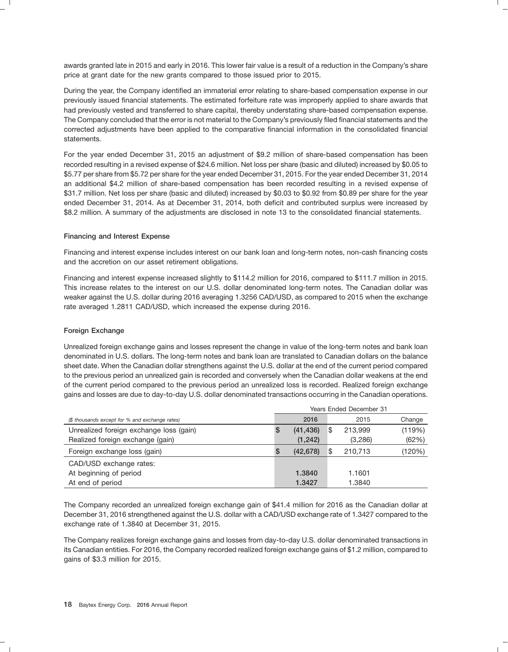awards granted late in 2015 and early in 2016. This lower fair value is a result of a reduction in the Company's share price at grant date for the new grants compared to those issued prior to 2015.

During the year, the Company identified an immaterial error relating to share-based compensation expense in our previously issued financial statements. The estimated forfeiture rate was improperly applied to share awards that had previously vested and transferred to share capital, thereby understating share-based compensation expense. The Company concluded that the error is not material to the Company's previously filed financial statements and the corrected adjustments have been applied to the comparative financial information in the consolidated financial statements.

For the year ended December 31, 2015 an adjustment of \$9.2 million of share-based compensation has been recorded resulting in a revised expense of \$24.6 million. Net loss per share (basic and diluted) increased by \$0.05 to \$5.77 per share from \$5.72 per share for the year ended December 31, 2015. For the year ended December 31, 2014 an additional \$4.2 million of share-based compensation has been recorded resulting in a revised expense of \$31.7 million. Net loss per share (basic and diluted) increased by \$0.03 to \$0.92 from \$0.89 per share for the year ended December 31, 2014. As at December 31, 2014, both deficit and contributed surplus were increased by \$8.2 million. A summary of the adjustments are disclosed in note 13 to the consolidated financial statements.

## **Financing and Interest Expense**

Financing and interest expense includes interest on our bank loan and long-term notes, non-cash financing costs and the accretion on our asset retirement obligations.

Financing and interest expense increased slightly to \$114.2 million for 2016, compared to \$111.7 million in 2015. This increase relates to the interest on our U.S. dollar denominated long-term notes. The Canadian dollar was weaker against the U.S. dollar during 2016 averaging 1.3256 CAD/USD, as compared to 2015 when the exchange rate averaged 1.2811 CAD/USD, which increased the expense during 2016.

## **Foreign Exchange**

Unrealized foreign exchange gains and losses represent the change in value of the long-term notes and bank loan denominated in U.S. dollars. The long-term notes and bank loan are translated to Canadian dollars on the balance sheet date. When the Canadian dollar strengthens against the U.S. dollar at the end of the current period compared to the previous period an unrealized gain is recorded and conversely when the Canadian dollar weakens at the end of the current period compared to the previous period an unrealized loss is recorded. Realized foreign exchange gains and losses are due to day-to-day U.S. dollar denominated transactions occurring in the Canadian operations.

|                                                |    |           | Years Ended December 31 |        |
|------------------------------------------------|----|-----------|-------------------------|--------|
| (\$ thousands except for % and exchange rates) |    | 2016      | 2015                    | Change |
| Unrealized foreign exchange loss (gain)        | S  | (41, 436) | 213,999                 | (119%) |
| Realized foreign exchange (gain)               |    | (1, 242)  | (3,286)                 | (62%)  |
| Foreign exchange loss (gain)                   | S. | (42, 678) | 210,713                 | (120%) |
| CAD/USD exchange rates:                        |    |           |                         |        |
| At beginning of period                         |    | 1.3840    | 1.1601                  |        |
| At end of period                               |    | 1.3427    | 1.3840                  |        |

The Company recorded an unrealized foreign exchange gain of \$41.4 million for 2016 as the Canadian dollar at December 31, 2016 strengthened against the U.S. dollar with a CAD/USD exchange rate of 1.3427 compared to the exchange rate of 1.3840 at December 31, 2015.

The Company realizes foreign exchange gains and losses from day-to-day U.S. dollar denominated transactions in its Canadian entities. For 2016, the Company recorded realized foreign exchange gains of \$1.2 million, compared to gains of \$3.3 million for 2015.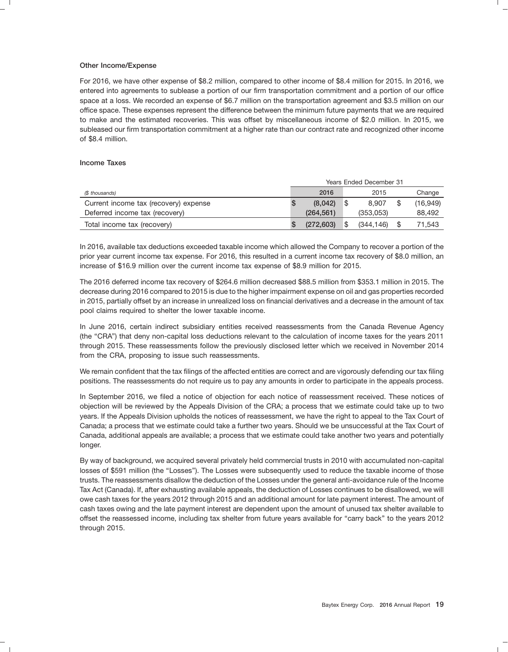#### **Other Income/Expense**

For 2016, we have other expense of \$8.2 million, compared to other income of \$8.4 million for 2015. In 2016, we entered into agreements to sublease a portion of our firm transportation commitment and a portion of our office space at a loss. We recorded an expense of \$6.7 million on the transportation agreement and \$3.5 million on our office space. These expenses represent the difference between the minimum future payments that we are required to make and the estimated recoveries. This was offset by miscellaneous income of \$2.0 million. In 2015, we subleased our firm transportation commitment at a higher rate than our contract rate and recognized other income of \$8.4 million.

#### **Income Taxes**

|                                       | <b>Years Ended December 31</b> |           |  |           |  |          |  |  |  |  |
|---------------------------------------|--------------------------------|-----------|--|-----------|--|----------|--|--|--|--|
| (\$ thousands)                        |                                | 2016      |  | 2015      |  | Change   |  |  |  |  |
| Current income tax (recovery) expense |                                | (8,042)   |  | 8.907     |  | (16,949) |  |  |  |  |
| Deferred income tax (recovery)        |                                | (264.561) |  | (353.053) |  | 88.492   |  |  |  |  |
| Total income tax (recovery)           |                                | (272.603) |  | (344.146) |  | 71.543   |  |  |  |  |

In 2016, available tax deductions exceeded taxable income which allowed the Company to recover a portion of the prior year current income tax expense. For 2016, this resulted in a current income tax recovery of \$8.0 million, an increase of \$16.9 million over the current income tax expense of \$8.9 million for 2015.

The 2016 deferred income tax recovery of \$264.6 million decreased \$88.5 million from \$353.1 million in 2015. The decrease during 2016 compared to 2015 is due to the higher impairment expense on oil and gas properties recorded in 2015, partially offset by an increase in unrealized loss on financial derivatives and a decrease in the amount of tax pool claims required to shelter the lower taxable income.

In June 2016, certain indirect subsidiary entities received reassessments from the Canada Revenue Agency (the ''CRA'') that deny non-capital loss deductions relevant to the calculation of income taxes for the years 2011 through 2015. These reassessments follow the previously disclosed letter which we received in November 2014 from the CRA, proposing to issue such reassessments.

We remain confident that the tax filings of the affected entities are correct and are vigorously defending our tax filing positions. The reassessments do not require us to pay any amounts in order to participate in the appeals process.

In September 2016, we filed a notice of objection for each notice of reassessment received. These notices of objection will be reviewed by the Appeals Division of the CRA; a process that we estimate could take up to two years. If the Appeals Division upholds the notices of reassessment, we have the right to appeal to the Tax Court of Canada; a process that we estimate could take a further two years. Should we be unsuccessful at the Tax Court of Canada, additional appeals are available; a process that we estimate could take another two years and potentially longer.

By way of background, we acquired several privately held commercial trusts in 2010 with accumulated non-capital losses of \$591 million (the ''Losses''). The Losses were subsequently used to reduce the taxable income of those trusts. The reassessments disallow the deduction of the Losses under the general anti-avoidance rule of the Income Tax Act (Canada). If, after exhausting available appeals, the deduction of Losses continues to be disallowed, we will owe cash taxes for the years 2012 through 2015 and an additional amount for late payment interest. The amount of cash taxes owing and the late payment interest are dependent upon the amount of unused tax shelter available to offset the reassessed income, including tax shelter from future years available for ''carry back'' to the years 2012 through 2015.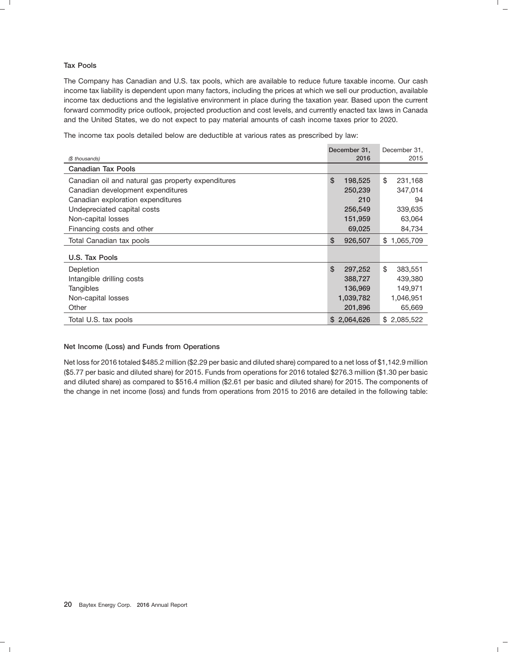# **Tax Pools**

The Company has Canadian and U.S. tax pools, which are available to reduce future taxable income. Our cash income tax liability is dependent upon many factors, including the prices at which we sell our production, available income tax deductions and the legislative environment in place during the taxation year. Based upon the current forward commodity price outlook, projected production and cost levels, and currently enacted tax laws in Canada and the United States, we do not expect to pay material amounts of cash income taxes prior to 2020.

The income tax pools detailed below are deductible at various rates as prescribed by law:

| (\$ thousands)                                     | December 31.<br>2016 | December 31.<br>2015 |
|----------------------------------------------------|----------------------|----------------------|
| <b>Canadian Tax Pools</b>                          |                      |                      |
| Canadian oil and natural gas property expenditures | \$<br>198,525        | \$<br>231,168        |
| Canadian development expenditures                  | 250,239              | 347,014              |
| Canadian exploration expenditures                  | 210                  | 94                   |
| Undepreciated capital costs                        | 256,549              | 339,635              |
| Non-capital losses                                 | 151,959              | 63,064               |
| Financing costs and other                          | 69,025               | 84,734               |
| Total Canadian tax pools                           | \$<br>926,507        | \$1,065,709          |
| U.S. Tax Pools                                     |                      |                      |
| Depletion                                          | \$<br>297,252        | \$<br>383,551        |
| Intangible drilling costs                          | 388,727              | 439,380              |
| Tangibles                                          | 136,969              | 149,971              |
| Non-capital losses                                 | 1,039,782            | 1,046,951            |
| Other                                              | 201,896              | 65,669               |
| Total U.S. tax pools                               | \$2,064,626          | \$2,085,522          |

## **Net Income (Loss) and Funds from Operations**

Net loss for 2016 totaled \$485.2 million (\$2.29 per basic and diluted share) compared to a net loss of \$1,142.9 million (\$5.77 per basic and diluted share) for 2015. Funds from operations for 2016 totaled \$276.3 million (\$1.30 per basic and diluted share) as compared to \$516.4 million (\$2.61 per basic and diluted share) for 2015. The components of the change in net income (loss) and funds from operations from 2015 to 2016 are detailed in the following table: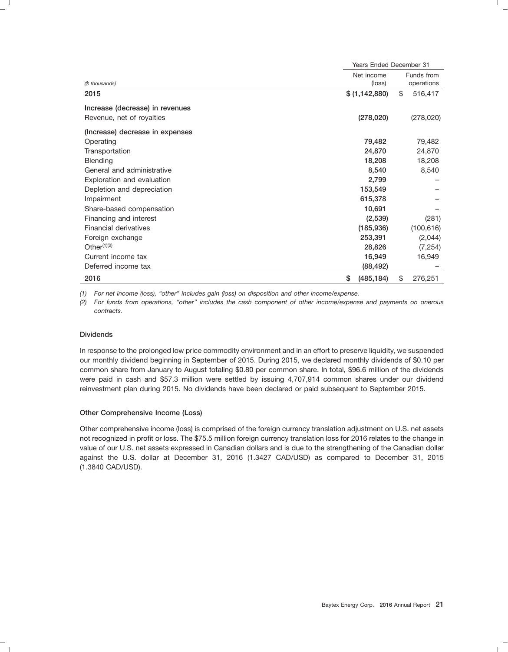|                                 | <b>Years Ended December 31</b> |               |
|---------------------------------|--------------------------------|---------------|
|                                 | Net income                     | Funds from    |
| (\$ thousands)                  | (loss)                         | operations    |
| 2015                            | \$ (1,142,880)                 | \$<br>516,417 |
| Increase (decrease) in revenues |                                |               |
| Revenue, net of royalties       | (278, 020)                     | (278,020)     |
| (Increase) decrease in expenses |                                |               |
| Operating                       | 79,482                         | 79,482        |
| Transportation                  | 24,870                         | 24,870        |
| <b>Blending</b>                 | 18,208                         | 18,208        |
| General and administrative      | 8,540                          | 8,540         |
| Exploration and evaluation      | 2,799                          |               |
| Depletion and depreciation      | 153,549                        |               |
| Impairment                      | 615,378                        |               |
| Share-based compensation        | 10,691                         |               |
| Financing and interest          | (2,539)                        | (281)         |
| <b>Financial derivatives</b>    | (185, 936)                     | (100, 616)    |
| Foreign exchange                | 253,391                        | (2,044)       |
| Other $(1)(2)$                  | 28,826                         | (7, 254)      |
| Current income tax              | 16,949                         | 16,949        |
| Deferred income tax             | (88, 492)                      |               |
| 2016                            | \$<br>(485, 184)               | \$<br>276,251 |

*(1) For net income (loss), ''other'' includes gain (loss) on disposition and other income/expense.*

*(2) For funds from operations, ''other'' includes the cash component of other income/expense and payments on onerous contracts.*

# **Dividends**

In response to the prolonged low price commodity environment and in an effort to preserve liquidity, we suspended our monthly dividend beginning in September of 2015. During 2015, we declared monthly dividends of \$0.10 per common share from January to August totaling \$0.80 per common share. In total, \$96.6 million of the dividends were paid in cash and \$57.3 million were settled by issuing 4,707,914 common shares under our dividend reinvestment plan during 2015. No dividends have been declared or paid subsequent to September 2015.

## **Other Comprehensive Income (Loss)**

Other comprehensive income (loss) is comprised of the foreign currency translation adjustment on U.S. net assets not recognized in profit or loss. The \$75.5 million foreign currency translation loss for 2016 relates to the change in value of our U.S. net assets expressed in Canadian dollars and is due to the strengthening of the Canadian dollar against the U.S. dollar at December 31, 2016 (1.3427 CAD/USD) as compared to December 31, 2015 (1.3840 CAD/USD).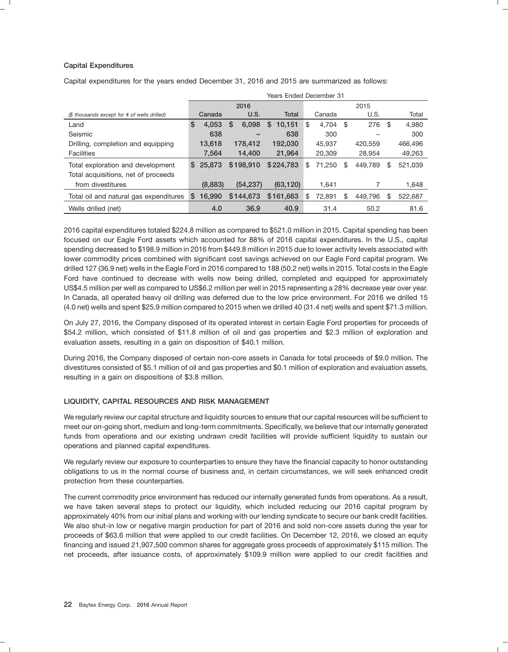#### **Capital Expenditures**

|                                              |              | <b>Years Ended December 31</b> |              |              |    |         |    |         |  |  |  |  |
|----------------------------------------------|--------------|--------------------------------|--------------|--------------|----|---------|----|---------|--|--|--|--|
|                                              |              | 2016                           |              | 2015         |    |         |    |         |  |  |  |  |
| (\$ thousands except for # of wells drilled) | Canada       | U.S.                           | Total        | Canada       |    | U.S.    |    | Total   |  |  |  |  |
| Land                                         | \$<br>4,053  | S<br>6,098                     | 10.151<br>\$ | \$<br>4.704  | \$ | 276     | \$ | 4,980   |  |  |  |  |
| Seismic                                      | 638          |                                | 638          | 300          |    |         |    | 300     |  |  |  |  |
| Drilling, completion and equipping           | 13.618       | 178.412                        | 192.030      | 45.937       |    | 420.559 |    | 466.496 |  |  |  |  |
| <b>Facilities</b>                            | 7.564        | 14.400                         | 21.964       | 20,309       |    | 28.954  |    | 49.263  |  |  |  |  |
| Total exploration and development            | 25,873<br>S. | \$198.910                      | \$224,783    | 71.250<br>\$ | S  | 449.789 | S  | 521.039 |  |  |  |  |
| Total acquisitions, net of proceeds          |              |                                |              |              |    |         |    |         |  |  |  |  |
| from divestitures                            | (8,883)      | (54, 237)                      | (63, 120)    | 1.641        |    |         |    | 1,648   |  |  |  |  |
| Total oil and natural gas expenditures       | 16,990<br>S  | \$144,673                      | \$161,663    | 72.891<br>\$ | \$ | 449.796 | S  | 522,687 |  |  |  |  |
| Wells drilled (net)                          | 4.0          | 36.9                           | 40.9         | 31.4         |    | 50.2    |    | 81.6    |  |  |  |  |

Capital expenditures for the years ended December 31, 2016 and 2015 are summarized as follows:

2016 capital expenditures totaled \$224.8 million as compared to \$521.0 million in 2015. Capital spending has been focused on our Eagle Ford assets which accounted for 88% of 2016 capital expenditures. In the U.S., capital spending decreased to \$198.9 million in 2016 from \$449.8 million in 2015 due to lower activity levels associated with lower commodity prices combined with significant cost savings achieved on our Eagle Ford capital program. We drilled 127 (36.9 net) wells in the Eagle Ford in 2016 compared to 188 (50.2 net) wells in 2015. Total costs in the Eagle Ford have continued to decrease with wells now being drilled, completed and equipped for approximately US\$4.5 million per well as compared to US\$6.2 million per well in 2015 representing a 28% decrease year over year. In Canada, all operated heavy oil drilling was deferred due to the low price environment. For 2016 we drilled 15 (4.0 net) wells and spent \$25.9 million compared to 2015 when we drilled 40 (31.4 net) wells and spent \$71.3 million.

On July 27, 2016, the Company disposed of its operated interest in certain Eagle Ford properties for proceeds of \$54.2 million, which consisted of \$11.8 million of oil and gas properties and \$2.3 million of exploration and evaluation assets, resulting in a gain on disposition of \$40.1 million.

During 2016, the Company disposed of certain non-core assets in Canada for total proceeds of \$9.0 million. The divestitures consisted of \$5.1 million of oil and gas properties and \$0.1 million of exploration and evaluation assets, resulting in a gain on dispositions of \$3.8 million.

## **LIQUIDITY, CAPITAL RESOURCES AND RISK MANAGEMENT**

We regularly review our capital structure and liquidity sources to ensure that our capital resources will be sufficient to meet our on-going short, medium and long-term commitments. Specifically, we believe that our internally generated funds from operations and our existing undrawn credit facilities will provide sufficient liquidity to sustain our operations and planned capital expenditures.

We regularly review our exposure to counterparties to ensure they have the financial capacity to honor outstanding obligations to us in the normal course of business and, in certain circumstances, we will seek enhanced credit protection from these counterparties.

The current commodity price environment has reduced our internally generated funds from operations. As a result, we have taken several steps to protect our liquidity, which included reducing our 2016 capital program by approximately 40% from our initial plans and working with our lending syndicate to secure our bank credit facilities. We also shut-in low or negative margin production for part of 2016 and sold non-core assets during the year for proceeds of \$63.6 million that were applied to our credit facilities. On December 12, 2016, we closed an equity financing and issued 21,907,500 common shares for aggregate gross proceeds of approximately \$115 million. The net proceeds, after issuance costs, of approximately \$109.9 million were applied to our credit facilities and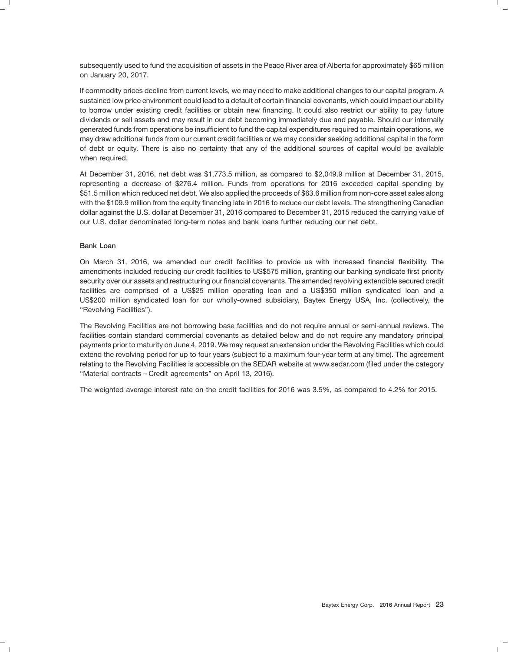subsequently used to fund the acquisition of assets in the Peace River area of Alberta for approximately \$65 million on January 20, 2017.

If commodity prices decline from current levels, we may need to make additional changes to our capital program. A sustained low price environment could lead to a default of certain financial covenants, which could impact our ability to borrow under existing credit facilities or obtain new financing. It could also restrict our ability to pay future dividends or sell assets and may result in our debt becoming immediately due and payable. Should our internally generated funds from operations be insufficient to fund the capital expenditures required to maintain operations, we may draw additional funds from our current credit facilities or we may consider seeking additional capital in the form of debt or equity. There is also no certainty that any of the additional sources of capital would be available when required.

At December 31, 2016, net debt was \$1,773.5 million, as compared to \$2,049.9 million at December 31, 2015, representing a decrease of \$276.4 million. Funds from operations for 2016 exceeded capital spending by \$51.5 million which reduced net debt. We also applied the proceeds of \$63.6 million from non-core asset sales along with the \$109.9 million from the equity financing late in 2016 to reduce our debt levels. The strengthening Canadian dollar against the U.S. dollar at December 31, 2016 compared to December 31, 2015 reduced the carrying value of our U.S. dollar denominated long-term notes and bank loans further reducing our net debt.

#### **Bank Loan**

On March 31, 2016, we amended our credit facilities to provide us with increased financial flexibility. The amendments included reducing our credit facilities to US\$575 million, granting our banking syndicate first priority security over our assets and restructuring our financial covenants. The amended revolving extendible secured credit facilities are comprised of a US\$25 million operating loan and a US\$350 million syndicated loan and a US\$200 million syndicated loan for our wholly-owned subsidiary, Baytex Energy USA, Inc. (collectively, the ''Revolving Facilities'').

The Revolving Facilities are not borrowing base facilities and do not require annual or semi-annual reviews. The facilities contain standard commercial covenants as detailed below and do not require any mandatory principal payments prior to maturity on June 4, 2019. We may request an extension under the Revolving Facilities which could extend the revolving period for up to four years (subject to a maximum four-year term at any time). The agreement relating to the Revolving Facilities is accessible on the SEDAR website at www.sedar.com (filed under the category "Material contracts - Credit agreements" on April 13, 2016).

The weighted average interest rate on the credit facilities for 2016 was 3.5%, as compared to 4.2% for 2015.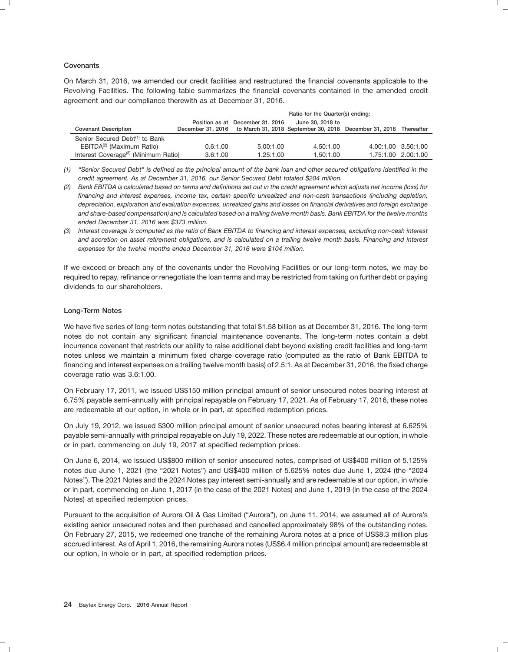#### **Covenants**

On March 31, 2016, we amended our credit facilities and restructured the financial covenants applicable to the Revolving Facilities. The following table summarizes the financial covenants contained in the amended credit agreement and our compliance therewith as at December 31, 2016.

|                                                  |          | Ratio for the Quarter(s) ending: |                                                                                                         |  |                     |  |  |  |
|--------------------------------------------------|----------|----------------------------------|---------------------------------------------------------------------------------------------------------|--|---------------------|--|--|--|
| <b>Covenant Description</b>                      |          | Position as at December 31, 2016 | June 30, 2018 to<br>December 31, 2016 to March 31, 2018 September 30, 2018 December 31, 2018 Thereafter |  |                     |  |  |  |
| Senior Secured Debt <sup>(1)</sup> to Bank       |          |                                  |                                                                                                         |  |                     |  |  |  |
| EBITDA <sup>(2)</sup> (Maximum Ratio)            | 0.6:1.00 | 5.00:1.00                        | 4.50:1.00                                                                                               |  | 4.00:1.00 3.50:1.00 |  |  |  |
| Interest Coverage <sup>(3)</sup> (Minimum Ratio) | 3.6:1.00 | 1.25:1.00                        | 1.50:1.00                                                                                               |  | 1.75:1.00 2.00:1.00 |  |  |  |

*(1) ''Senior Secured Debt'' is defined as the principal amount of the bank loan and other secured obligations identified in the credit agreement. As at December 31, 2016, our Senior Secured Debt totaled \$204 million.*

- *(2) Bank EBITDA is calculated based on terms and definitions set out in the credit agreement which adjusts net income (loss) for financing and interest expenses, income tax, certain specific unrealized and non-cash transactions (including depletion, depreciation, exploration and evaluation expenses, unrealized gains and losses on financial derivatives and foreign exchange and share-based compensation) and is calculated based on a trailing twelve month basis. Bank EBITDA for the twelve months ended December 31, 2016 was \$373 million.*
- *(3) Interest coverage is computed as the ratio of Bank EBITDA to financing and interest expenses, excluding non-cash interest and accretion on asset retirement obligations, and is calculated on a trailing twelve month basis. Financing and interest expenses for the twelve months ended December 31, 2016 were \$104 million.*

If we exceed or breach any of the covenants under the Revolving Facilities or our long-term notes, we may be required to repay, refinance or renegotiate the loan terms and may be restricted from taking on further debt or paying dividends to our shareholders.

## **Long-Term Notes**

We have five series of long-term notes outstanding that total \$1.58 billion as at December 31, 2016. The long-term notes do not contain any significant financial maintenance covenants. The long-term notes contain a debt incurrence covenant that restricts our ability to raise additional debt beyond existing credit facilities and long-term notes unless we maintain a minimum fixed charge coverage ratio (computed as the ratio of Bank EBITDA to financing and interest expenses on a trailing twelve month basis) of 2.5:1. As at December 31, 2016, the fixed charge coverage ratio was 3.6:1.00.

On February 17, 2011, we issued US\$150 million principal amount of senior unsecured notes bearing interest at 6.75% payable semi-annually with principal repayable on February 17, 2021. As of February 17, 2016, these notes are redeemable at our option, in whole or in part, at specified redemption prices.

On July 19, 2012, we issued \$300 million principal amount of senior unsecured notes bearing interest at 6.625% payable semi-annually with principal repayable on July 19, 2022. These notes are redeemable at our option, in whole or in part, commencing on July 19, 2017 at specified redemption prices.

On June 6, 2014, we issued US\$800 million of senior unsecured notes, comprised of US\$400 million of 5.125% notes due June 1, 2021 (the "2021 Notes") and US\$400 million of 5.625% notes due June 1, 2024 (the "2024 Notes''). The 2021 Notes and the 2024 Notes pay interest semi-annually and are redeemable at our option, in whole or in part, commencing on June 1, 2017 (in the case of the 2021 Notes) and June 1, 2019 (in the case of the 2024 Notes) at specified redemption prices.

Pursuant to the acquisition of Aurora Oil & Gas Limited (''Aurora''), on June 11, 2014, we assumed all of Aurora's existing senior unsecured notes and then purchased and cancelled approximately 98% of the outstanding notes. On February 27, 2015, we redeemed one tranche of the remaining Aurora notes at a price of US\$8.3 million plus accrued interest. As of April 1, 2016, the remaining Aurora notes (US\$6.4 million principal amount) are redeemable at our option, in whole or in part, at specified redemption prices.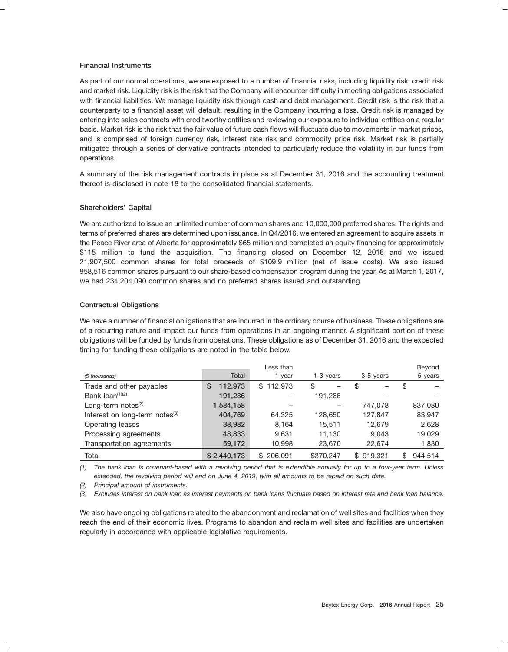#### **Financial Instruments**

As part of our normal operations, we are exposed to a number of financial risks, including liquidity risk, credit risk and market risk. Liquidity risk is the risk that the Company will encounter difficulty in meeting obligations associated with financial liabilities. We manage liquidity risk through cash and debt management. Credit risk is the risk that a counterparty to a financial asset will default, resulting in the Company incurring a loss. Credit risk is managed by entering into sales contracts with creditworthy entities and reviewing our exposure to individual entities on a regular basis. Market risk is the risk that the fair value of future cash flows will fluctuate due to movements in market prices, and is comprised of foreign currency risk, interest rate risk and commodity price risk. Market risk is partially mitigated through a series of derivative contracts intended to particularly reduce the volatility in our funds from operations.

A summary of the risk management contracts in place as at December 31, 2016 and the accounting treatment thereof is disclosed in note 18 to the consolidated financial statements.

#### **Shareholders' Capital**

We are authorized to issue an unlimited number of common shares and 10,000,000 preferred shares. The rights and terms of preferred shares are determined upon issuance. In Q4/2016, we entered an agreement to acquire assets in the Peace River area of Alberta for approximately \$65 million and completed an equity financing for approximately \$115 million to fund the acquisition. The financing closed on December 12, 2016 and we issued 21,907,500 common shares for total proceeds of \$109.9 million (net of issue costs). We also issued 958,516 common shares pursuant to our share-based compensation program during the year. As at March 1, 2017, we had 234,204,090 common shares and no preferred shares issued and outstanding.

#### **Contractual Obligations**

We have a number of financial obligations that are incurred in the ordinary course of business. These obligations are of a recurring nature and impact our funds from operations in an ongoing manner. A significant portion of these obligations will be funded by funds from operations. These obligations as of December 31, 2016 and the expected timing for funding these obligations are noted in the table below.

|                                            |              | Less than     |           | Beyond    |              |
|--------------------------------------------|--------------|---------------|-----------|-----------|--------------|
| (\$ thousands)                             | Total        | year          | 1-3 years | 3-5 years | 5 years      |
| Trade and other payables                   | 112,973<br>S | \$112,973     | \$        | \$        | \$           |
| Bank $\text{Ioan}^{(1)(2)}$                | 191,286      | 191,286       |           |           |              |
| Long-term notes <sup>(2)</sup>             | 1,584,158    |               |           | 747,078   | 837,080      |
| Interest on long-term notes <sup>(3)</sup> | 404,769      | 64.325        | 128,650   | 127.847   | 83,947       |
| Operating leases                           | 38,982       | 8.164         | 15,511    | 12,679    | 2,628        |
| Processing agreements                      | 48,833       | 9.631         | 11.130    | 9.043     | 19,029       |
| Transportation agreements                  | 59,172       | 10,998        | 23,670    | 22.674    | 1,830        |
| Total                                      | \$2,440,173  | 206,091<br>\$ | \$370,247 | \$919,321 | 944.514<br>S |

*(1) The bank loan is covenant-based with a revolving period that is extendible annually for up to a four-year term. Unless extended, the revolving period will end on June 4, 2019, with all amounts to be repaid on such date.*

*(2) Principal amount of instruments.*

*(3) Excludes interest on bank loan as interest payments on bank loans fluctuate based on interest rate and bank loan balance.*

We also have ongoing obligations related to the abandonment and reclamation of well sites and facilities when they reach the end of their economic lives. Programs to abandon and reclaim well sites and facilities are undertaken regularly in accordance with applicable legislative requirements.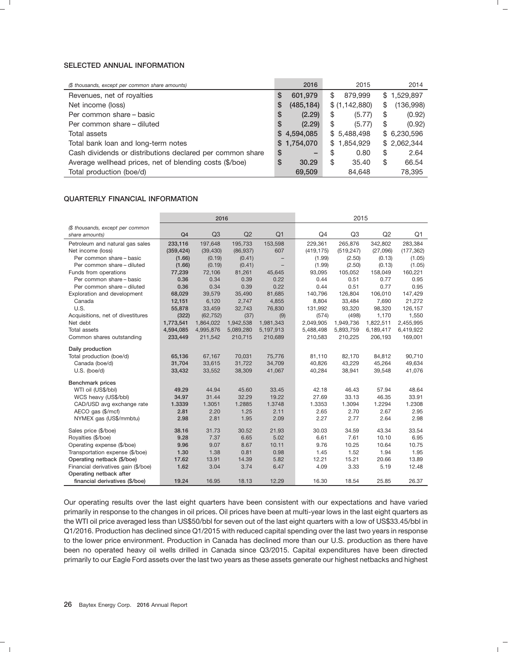# **SELECTED ANNUAL INFORMATION**

| (\$ thousands, except per common share amounts)           |    | 2016        |    | 2015           | 2014            |
|-----------------------------------------------------------|----|-------------|----|----------------|-----------------|
| Revenues, net of royalties                                | S  | 601,979     | \$ | 879,999        | \$1,529,897     |
| Net income (loss)                                         | S  | (485, 184)  |    | \$ (1,142,880) | \$<br>(136,998) |
| Per common share – basic                                  | \$ | (2.29)      | \$ | (5.77)         | \$<br>(0.92)    |
| Per common share – diluted                                | \$ | (2.29)      | \$ | (5.77)         | \$<br>(0.92)    |
| Total assets                                              |    | \$4,594,085 |    | \$5,488,498    | \$6,230,596     |
| Total bank loan and long-term notes                       |    | \$1,754,070 |    | \$1,854,929    | \$2,062,344     |
| Cash dividends or distributions declared per common share | \$ |             | S  | 0.80           | \$<br>2.64      |
| Average wellhead prices, net of blending costs (\$/boe)   | \$ | 30.29       | \$ | 35.40          | \$<br>66.54     |
| Total production (boe/d)                                  |    | 69,509      |    | 84.648         | 78,395          |

# **QUARTERLY FINANCIAL INFORMATION**

|                                     |                | 2016           |           |                   | 2015           |                |           |            |  |  |  |
|-------------------------------------|----------------|----------------|-----------|-------------------|----------------|----------------|-----------|------------|--|--|--|
| (\$ thousands, except per common    |                |                |           |                   |                |                |           |            |  |  |  |
| share amounts)                      | Q <sub>4</sub> | Q <sub>3</sub> | Q2        | Q1                | Q <sub>4</sub> | Q <sub>3</sub> | Q2        | Q1         |  |  |  |
| Petroleum and natural gas sales     | 233,116        | 197,648        | 195,733   | 153,598           | 229,361        | 265,876        | 342,802   | 283,384    |  |  |  |
| Net income (loss)                   | (359, 424)     | (39, 430)      | (86, 937) | 607               | (419, 175)     | (519, 247)     | (27,096)  | (177, 362) |  |  |  |
| Per common share - basic            | (1.66)         | (0.19)         | (0.41)    |                   | (1.99)         | (2.50)         | (0.13)    | (1.05)     |  |  |  |
| Per common share - diluted          | (1.66)         | (0.19)         | (0.41)    | $\qquad \qquad -$ | (1.99)         | (2.50)         | (0.13)    | (1.05)     |  |  |  |
| Funds from operations               | 77,239         | 72,106         | 81,261    | 45,645            | 93,095         | 105,052        | 158,049   | 160,221    |  |  |  |
| Per common share - basic            | 0.36           | 0.34           | 0.39      | 0.22              | 0.44           | 0.51           | 0.77      | 0.95       |  |  |  |
| Per common share - diluted          | 0.36           | 0.34           | 0.39      | 0.22              | 0.44           | 0.51           | 0.77      | 0.95       |  |  |  |
| Exploration and development         | 68,029         | 39,579         | 35,490    | 81,685            | 140,796        | 126,804        | 106,010   | 147,429    |  |  |  |
| Canada                              | 12,151         | 6.120          | 2.747     | 4,855             | 8.804          | 33,484         | 7.690     | 21,272     |  |  |  |
| U.S.                                | 55,878         | 33,459         | 32,743    | 76,830            | 131,992        | 93,320         | 98,320    | 126,157    |  |  |  |
| Acquisitions, net of divestitures   | (322)          | (62, 752)      | (37)      | (9)               | (574)          | (498)          | 1,170     | 1,550      |  |  |  |
| Net debt                            | 1,773,541      | 1,864,022      | 1,942,538 | 1,981,343         | 2,049,905      | 1,949,736      | 1,822,511 | 2,455,995  |  |  |  |
| Total assets                        | 4,594,085      | 4,995,876      | 5,089,280 | 5,197,913         | 5,488,498      | 5,893,759      | 6,189,417 | 6,419,922  |  |  |  |
| Common shares outstanding           | 233,449        | 211,542        | 210,715   | 210,689           | 210,583        | 210,225        | 206,193   | 169,001    |  |  |  |
| Daily production                    |                |                |           |                   |                |                |           |            |  |  |  |
| Total production (boe/d)            | 65,136         | 67.167         | 70,031    | 75.776            | 81.110         | 82.170         | 84.812    | 90.710     |  |  |  |
| Canada (boe/d)                      | 31,704         | 33,615         | 31,722    | 34,709            | 40,826         | 43,229         | 45,264    | 49,634     |  |  |  |
| U.S. (boe/d)                        | 33,432         | 33,552         | 38,309    | 41,067            | 40,284         | 38,941         | 39,548    | 41,076     |  |  |  |
| <b>Benchmark prices</b>             |                |                |           |                   |                |                |           |            |  |  |  |
| WTI oil (US\$/bbl)                  | 49.29          | 44.94          | 45.60     | 33.45             | 42.18          | 46.43          | 57.94     | 48.64      |  |  |  |
| WCS heavy (US\$/bbl)                | 34.97          | 31.44          | 32.29     | 19.22             | 27.69          | 33.13          | 46.35     | 33.91      |  |  |  |
| CAD/USD avg exchange rate           | 1.3339         | 1.3051         | 1.2885    | 1.3748            | 1.3353         | 1.3094         | 1.2294    | 1.2308     |  |  |  |
| AECO gas (\$/mcf)                   | 2.81           | 2.20           | 1.25      | 2.11              | 2.65           | 2.70           | 2.67      | 2.95       |  |  |  |
| NYMEX gas (US\$/mmbtu)              | 2.98           | 2.81           | 1.95      | 2.09              | 2.27           | 2.77           | 2.64      | 2.98       |  |  |  |
| Sales price (\$/boe)                | 38.16          | 31.73          | 30.52     | 21.93             | 30.03          | 34.59          | 43.34     | 33.54      |  |  |  |
| Royalties (\$/boe)                  | 9.28           | 7.37           | 6.65      | 5.02              | 6.61           | 7.61           | 10.10     | 6.95       |  |  |  |
| Operating expense (\$/boe)          | 9.96           | 9.07           | 8.67      | 10.11             | 9.76           | 10.25          | 10.64     | 10.75      |  |  |  |
| Transportation expense (\$/boe)     | 1.30           | 1.38           | 0.81      | 0.98              | 1.45           | 1.52           | 1.94      | 1.95       |  |  |  |
| Operating netback (\$/boe)          | 17.62          | 13.91          | 14.39     | 5.82              | 12.21          | 15.21          | 20.66     | 13.89      |  |  |  |
| Financial derivatives gain (\$/boe) | 1.62           | 3.04           | 3.74      | 6.47              | 4.09           | 3.33           | 5.19      | 12.48      |  |  |  |
| Operating netback after             |                |                |           |                   |                |                |           |            |  |  |  |
| financial derivatives (\$/boe)      | 19.24          | 16.95          | 18.13     | 12.29             | 16.30          | 18.54          | 25.85     | 26.37      |  |  |  |

Our operating results over the last eight quarters have been consistent with our expectations and have varied primarily in response to the changes in oil prices. Oil prices have been at multi-year lows in the last eight quarters as the WTI oil price averaged less than US\$50/bbl for seven out of the last eight quarters with a low of US\$33.45/bbl in Q1/2016. Production has declined since Q1/2015 with reduced capital spending over the last two years in response to the lower price environment. Production in Canada has declined more than our U.S. production as there have been no operated heavy oil wells drilled in Canada since Q3/2015. Capital expenditures have been directed primarily to our Eagle Ford assets over the last two years as these assets generate our highest netbacks and highest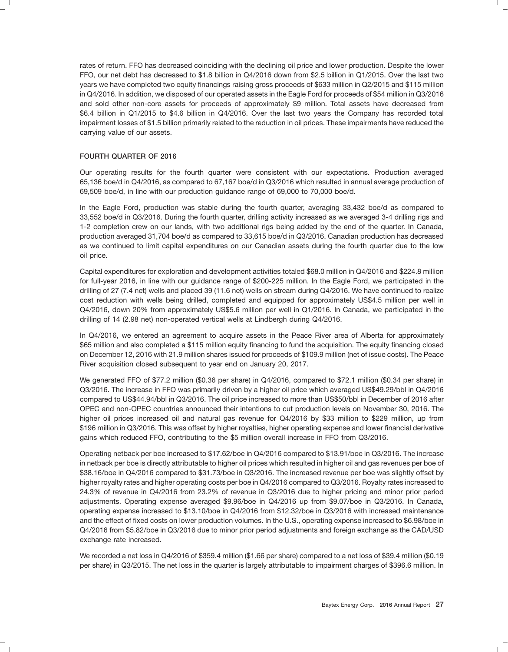rates of return. FFO has decreased coinciding with the declining oil price and lower production. Despite the lower FFO, our net debt has decreased to \$1.8 billion in Q4/2016 down from \$2.5 billion in Q1/2015. Over the last two years we have completed two equity financings raising gross proceeds of \$633 million in Q2/2015 and \$115 million in Q4/2016. In addition, we disposed of our operated assets in the Eagle Ford for proceeds of \$54 million in Q3/2016 and sold other non-core assets for proceeds of approximately \$9 million. Total assets have decreased from \$6.4 billion in Q1/2015 to \$4.6 billion in Q4/2016. Over the last two years the Company has recorded total impairment losses of \$1.5 billion primarily related to the reduction in oil prices. These impairments have reduced the carrying value of our assets.

# **FOURTH QUARTER OF 2016**

Our operating results for the fourth quarter were consistent with our expectations. Production averaged 65,136 boe/d in Q4/2016, as compared to 67,167 boe/d in Q3/2016 which resulted in annual average production of 69,509 boe/d, in line with our production guidance range of 69,000 to 70,000 boe/d.

In the Eagle Ford, production was stable during the fourth quarter, averaging 33,432 boe/d as compared to 33,552 boe/d in Q3/2016. During the fourth quarter, drilling activity increased as we averaged 3-4 drilling rigs and 1-2 completion crew on our lands, with two additional rigs being added by the end of the quarter. In Canada, production averaged 31,704 boe/d as compared to 33,615 boe/d in Q3/2016. Canadian production has decreased as we continued to limit capital expenditures on our Canadian assets during the fourth quarter due to the low oil price.

Capital expenditures for exploration and development activities totaled \$68.0 million in Q4/2016 and \$224.8 million for full-year 2016, in line with our guidance range of \$200-225 million. In the Eagle Ford, we participated in the drilling of 27 (7.4 net) wells and placed 39 (11.6 net) wells on stream during Q4/2016. We have continued to realize cost reduction with wells being drilled, completed and equipped for approximately US\$4.5 million per well in Q4/2016, down 20% from approximately US\$5.6 million per well in Q1/2016. In Canada, we participated in the drilling of 14 (2.98 net) non-operated vertical wells at Lindbergh during Q4/2016.

In Q4/2016, we entered an agreement to acquire assets in the Peace River area of Alberta for approximately \$65 million and also completed a \$115 million equity financing to fund the acquisition. The equity financing closed on December 12, 2016 with 21.9 million shares issued for proceeds of \$109.9 million (net of issue costs). The Peace River acquisition closed subsequent to year end on January 20, 2017.

We generated FFO of \$77.2 million (\$0.36 per share) in Q4/2016, compared to \$72.1 million (\$0.34 per share) in Q3/2016. The increase in FFO was primarily driven by a higher oil price which averaged US\$49.29/bbl in Q4/2016 compared to US\$44.94/bbl in Q3/2016. The oil price increased to more than US\$50/bbl in December of 2016 after OPEC and non-OPEC countries announced their intentions to cut production levels on November 30, 2016. The higher oil prices increased oil and natural gas revenue for Q4/2016 by \$33 million to \$229 million, up from \$196 million in Q3/2016. This was offset by higher royalties, higher operating expense and lower financial derivative gains which reduced FFO, contributing to the \$5 million overall increase in FFO from Q3/2016.

Operating netback per boe increased to \$17.62/boe in Q4/2016 compared to \$13.91/boe in Q3/2016. The increase in netback per boe is directly attributable to higher oil prices which resulted in higher oil and gas revenues per boe of \$38.16/boe in Q4/2016 compared to \$31.73/boe in Q3/2016. The increased revenue per boe was slightly offset by higher royalty rates and higher operating costs per boe in Q4/2016 compared to Q3/2016. Royalty rates increased to 24.3% of revenue in Q4/2016 from 23.2% of revenue in Q3/2016 due to higher pricing and minor prior period adjustments. Operating expense averaged \$9.96/boe in Q4/2016 up from \$9.07/boe in Q3/2016. In Canada, operating expense increased to \$13.10/boe in Q4/2016 from \$12.32/boe in Q3/2016 with increased maintenance and the effect of fixed costs on lower production volumes. In the U.S., operating expense increased to \$6.98/boe in Q4/2016 from \$5.82/boe in Q3/2016 due to minor prior period adjustments and foreign exchange as the CAD/USD exchange rate increased.

We recorded a net loss in Q4/2016 of \$359.4 million (\$1.66 per share) compared to a net loss of \$39.4 million (\$0.19 per share) in Q3/2015. The net loss in the quarter is largely attributable to impairment charges of \$396.6 million. In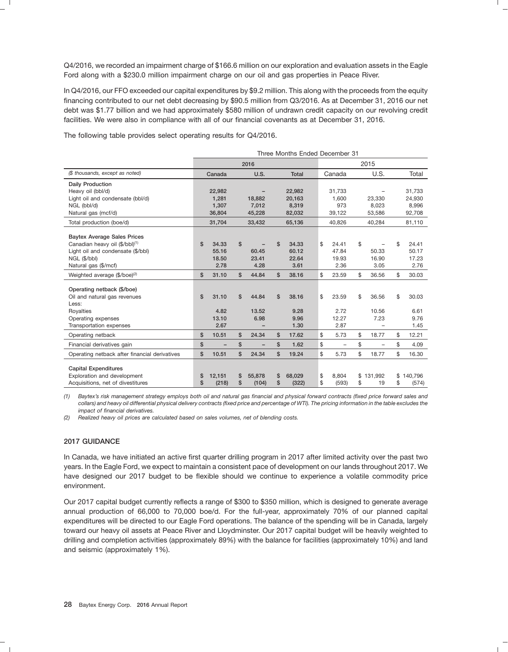Q4/2016, we recorded an impairment charge of \$166.6 million on our exploration and evaluation assets in the Eagle Ford along with a \$230.0 million impairment charge on our oil and gas properties in Peace River.

In Q4/2016, our FFO exceeded our capital expenditures by \$9.2 million. This along with the proceeds from the equity financing contributed to our net debt decreasing by \$90.5 million from Q3/2016. As at December 31, 2016 our net debt was \$1.77 billion and we had approximately \$580 million of undrawn credit capacity on our revolving credit facilities. We were also in compliance with all of our financial covenants as at December 31, 2016.

The following table provides select operating results for Q4/2016.

|                                               | Three Months Ended December 31 |        |              |        |    |              |    |                   |                                |               |
|-----------------------------------------------|--------------------------------|--------|--------------|--------|----|--------------|----|-------------------|--------------------------------|---------------|
|                                               |                                |        |              | 2016   |    |              |    |                   | 2015                           |               |
| (\$ thousands, except as noted)               |                                | Canada |              | U.S.   |    | <b>Total</b> |    | Canada            | U.S.                           | Total         |
| <b>Daily Production</b>                       |                                |        |              |        |    |              |    |                   |                                |               |
| Heavy oil (bbl/d)                             |                                | 22,982 |              |        |    | 22,982       |    | 31,733            |                                | 31,733        |
| Light oil and condensate (bbl/d)              |                                | 1,281  |              | 18,882 |    | 20,163       |    | 1,600             | 23,330                         | 24,930        |
| NGL (bbl/d)                                   |                                | 1.307  |              | 7.012  |    | 8,319        |    | 973               | 8.023                          | 8,996         |
| Natural gas (mcf/d)                           |                                | 36,804 |              | 45,228 |    | 82,032       |    | 39,122            | 53,586                         | 92,708        |
| Total production (boe/d)                      |                                | 31,704 |              | 33,432 |    | 65,136       |    | 40,826            | 40,284                         | 81,110        |
| <b>Baytex Average Sales Prices</b>            |                                |        |              |        |    |              |    |                   |                                |               |
| Canadian heavy oil (\$/bbl) <sup>(1)</sup>    | \$                             | 34.33  | \$           |        | \$ | 34.33        | \$ | 24.41             | \$                             | \$<br>24.41   |
| Light oil and condensate (\$/bbl)             |                                | 55.16  |              | 60.45  |    | 60.12        |    | 47.84             | 50.33                          | 50.17         |
| NGL (\$/bbl)                                  |                                | 18.50  |              | 23.41  |    | 22.64        |    | 19.93             | 16.90                          | 17.23         |
| Natural gas (\$/mcf)                          |                                | 2.78   |              | 4.28   |    | 3.61         |    | 2.36              | 3.05                           | 2.76          |
| Weighted average (\$/boe) <sup>(2)</sup>      | \$                             | 31.10  | $\mathbb{S}$ | 44.84  | \$ | 38.16        | \$ | 23.59             | \$<br>36.56                    | \$<br>30.03   |
|                                               |                                |        |              |        |    |              |    |                   |                                |               |
| Operating netback (\$/boe)                    |                                |        |              |        |    |              |    |                   |                                |               |
| Oil and natural gas revenues                  | \$                             | 31.10  | \$           | 44.84  | \$ | 38.16        | \$ | 23.59             | \$<br>36.56                    | \$<br>30.03   |
| Less:                                         |                                |        |              |        |    |              |    |                   |                                |               |
| Royalties                                     |                                | 4.82   |              | 13.52  |    | 9.28         |    | 2.72              | 10.56                          | 6.61          |
| Operating expenses                            |                                | 13.10  |              | 6.98   |    | 9.96         |    | 12.27             | 7.23                           | 9.76          |
| <b>Transportation expenses</b>                |                                | 2.67   |              |        |    | 1.30         |    | 2.87              |                                | 1.45          |
| Operating netback                             | \$                             | 10.51  | \$           | 24.34  | \$ | 17.62        | \$ | 5.73              | \$<br>18.77                    | \$<br>12.21   |
| Financial derivatives gain                    | \$                             |        | \$           |        | \$ | 1.62         | \$ | $\qquad \qquad -$ | \$<br>$\overline{\phantom{0}}$ | \$<br>4.09    |
| Operating netback after financial derivatives | \$                             | 10.51  | \$           | 24.34  | \$ | 19.24        | \$ | 5.73              | \$<br>18.77                    | \$<br>16.30   |
| <b>Capital Expenditures</b>                   |                                |        |              |        |    |              |    |                   |                                |               |
| Exploration and development                   | \$                             | 12.151 | \$           | 55,878 | \$ | 68.029       | \$ | 8.804             | \$131.992                      | \$<br>140.796 |
| Acquisitions, net of divestitures             | \$                             | (218)  | \$           | (104)  | \$ | (322)        | \$ | (593)             | \$<br>19                       | \$<br>(574)   |

*(1) Baytex's risk management strategy employs both oil and natural gas financial and physical forward contracts (fixed price forward sales and collars) and heavy oil differential physical delivery contracts (fixed price and percentage of WTI). The pricing information in the table excludes the impact of financial derivatives.*

*(2) Realized heavy oil prices are calculated based on sales volumes, net of blending costs.*

## **2017 GUIDANCE**

In Canada, we have initiated an active first quarter drilling program in 2017 after limited activity over the past two years. In the Eagle Ford, we expect to maintain a consistent pace of development on our lands throughout 2017. We have designed our 2017 budget to be flexible should we continue to experience a volatile commodity price environment.

Our 2017 capital budget currently reflects a range of \$300 to \$350 million, which is designed to generate average annual production of 66,000 to 70,000 boe/d. For the full-year, approximately 70% of our planned capital expenditures will be directed to our Eagle Ford operations. The balance of the spending will be in Canada, largely toward our heavy oil assets at Peace River and Lloydminster. Our 2017 capital budget will be heavily weighted to drilling and completion activities (approximately 89%) with the balance for facilities (approximately 10%) and land and seismic (approximately 1%).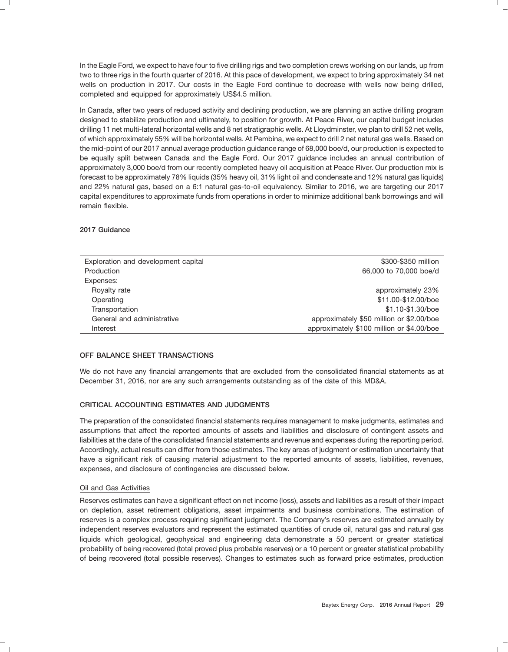In the Eagle Ford, we expect to have four to five drilling rigs and two completion crews working on our lands, up from two to three rigs in the fourth quarter of 2016. At this pace of development, we expect to bring approximately 34 net wells on production in 2017. Our costs in the Eagle Ford continue to decrease with wells now being drilled, completed and equipped for approximately US\$4.5 million.

In Canada, after two years of reduced activity and declining production, we are planning an active drilling program designed to stabilize production and ultimately, to position for growth. At Peace River, our capital budget includes drilling 11 net multi-lateral horizontal wells and 8 net stratigraphic wells. At Lloydminster, we plan to drill 52 net wells, of which approximately 55% will be horizontal wells. At Pembina, we expect to drill 2 net natural gas wells. Based on the mid-point of our 2017 annual average production guidance range of 68,000 boe/d, our production is expected to be equally split between Canada and the Eagle Ford. Our 2017 guidance includes an annual contribution of approximately 3,000 boe/d from our recently completed heavy oil acquisition at Peace River. Our production mix is forecast to be approximately 78% liquids (35% heavy oil, 31% light oil and condensate and 12% natural gas liquids) and 22% natural gas, based on a 6:1 natural gas-to-oil equivalency. Similar to 2016, we are targeting our 2017 capital expenditures to approximate funds from operations in order to minimize additional bank borrowings and will remain flexible.

#### **2017 Guidance**

| Exploration and development capital | \$300-\$350 million                       |
|-------------------------------------|-------------------------------------------|
| Production                          | 66,000 to 70,000 boe/d                    |
| Expenses:                           |                                           |
| Royalty rate                        | approximately 23%                         |
| Operating                           | \$11.00-\$12.00/boe                       |
| Transportation                      | \$1.10-\$1.30/boe                         |
| General and administrative          | approximately \$50 million or \$2.00/boe  |
| Interest                            | approximately \$100 million or \$4.00/boe |

#### **OFF BALANCE SHEET TRANSACTIONS**

We do not have any financial arrangements that are excluded from the consolidated financial statements as at December 31, 2016, nor are any such arrangements outstanding as of the date of this MD&A.

# **CRITICAL ACCOUNTING ESTIMATES AND JUDGMENTS**

The preparation of the consolidated financial statements requires management to make judgments, estimates and assumptions that affect the reported amounts of assets and liabilities and disclosure of contingent assets and liabilities at the date of the consolidated financial statements and revenue and expenses during the reporting period. Accordingly, actual results can differ from those estimates. The key areas of judgment or estimation uncertainty that have a significant risk of causing material adjustment to the reported amounts of assets, liabilities, revenues, expenses, and disclosure of contingencies are discussed below.

#### Oil and Gas Activities

Reserves estimates can have a significant effect on net income (loss), assets and liabilities as a result of their impact on depletion, asset retirement obligations, asset impairments and business combinations. The estimation of reserves is a complex process requiring significant judgment. The Company's reserves are estimated annually by independent reserves evaluators and represent the estimated quantities of crude oil, natural gas and natural gas liquids which geological, geophysical and engineering data demonstrate a 50 percent or greater statistical probability of being recovered (total proved plus probable reserves) or a 10 percent or greater statistical probability of being recovered (total possible reserves). Changes to estimates such as forward price estimates, production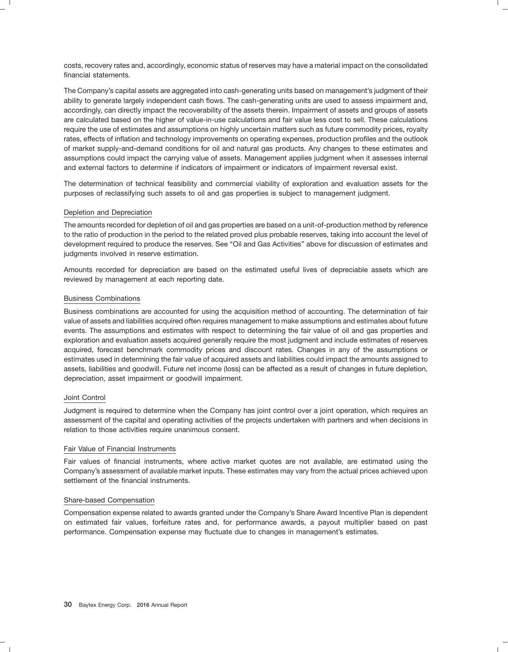costs, recovery rates and, accordingly, economic status of reserves may have a material impact on the consolidated financial statements.

The Company's capital assets are aggregated into cash-generating units based on management's judgment of their ability to generate largely independent cash flows. The cash-generating units are used to assess impairment and, accordingly, can directly impact the recoverability of the assets therein. Impairment of assets and groups of assets are calculated based on the higher of value-in-use calculations and fair value less cost to sell. These calculations require the use of estimates and assumptions on highly uncertain matters such as future commodity prices, royalty rates, effects of inflation and technology improvements on operating expenses, production profiles and the outlook of market supply-and-demand conditions for oil and natural gas products. Any changes to these estimates and assumptions could impact the carrying value of assets. Management applies judgment when it assesses internal and external factors to determine if indicators of impairment or indicators of impairment reversal exist.

The determination of technical feasibility and commercial viability of exploration and evaluation assets for the purposes of reclassifying such assets to oil and gas properties is subject to management judgment.

#### Depletion and Depreciation

The amounts recorded for depletion of oil and gas properties are based on a unit-of-production method by reference to the ratio of production in the period to the related proved plus probable reserves, taking into account the level of development required to produce the reserves. See ''Oil and Gas Activities'' above for discussion of estimates and judgments involved in reserve estimation.

Amounts recorded for depreciation are based on the estimated useful lives of depreciable assets which are reviewed by management at each reporting date.

#### Business Combinations

Business combinations are accounted for using the acquisition method of accounting. The determination of fair value of assets and liabilities acquired often requires management to make assumptions and estimates about future events. The assumptions and estimates with respect to determining the fair value of oil and gas properties and exploration and evaluation assets acquired generally require the most judgment and include estimates of reserves acquired, forecast benchmark commodity prices and discount rates. Changes in any of the assumptions or estimates used in determining the fair value of acquired assets and liabilities could impact the amounts assigned to assets, liabilities and goodwill. Future net income (loss) can be affected as a result of changes in future depletion, depreciation, asset impairment or goodwill impairment.

#### Joint Control

Judgment is required to determine when the Company has joint control over a joint operation, which requires an assessment of the capital and operating activities of the projects undertaken with partners and when decisions in relation to those activities require unanimous consent.

#### Fair Value of Financial Instruments

Fair values of financial instruments, where active market quotes are not available, are estimated using the Company's assessment of available market inputs. These estimates may vary from the actual prices achieved upon settlement of the financial instruments.

#### Share-based Compensation

Compensation expense related to awards granted under the Company's Share Award Incentive Plan is dependent on estimated fair values, forfeiture rates and, for performance awards, a payout multiplier based on past performance. Compensation expense may fluctuate due to changes in management's estimates.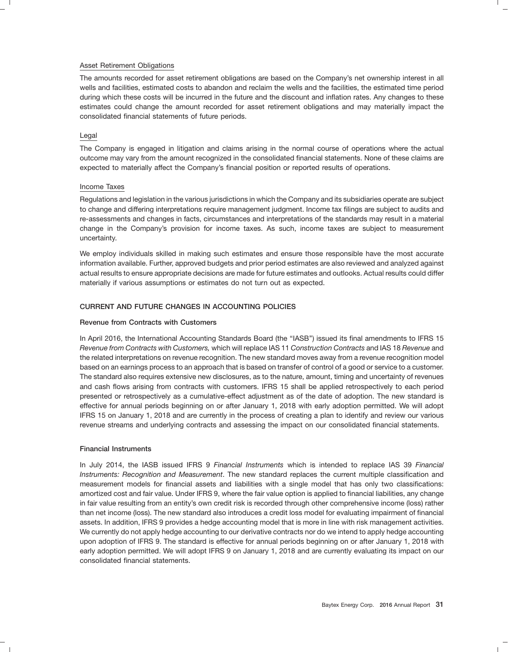# Asset Retirement Obligations

The amounts recorded for asset retirement obligations are based on the Company's net ownership interest in all wells and facilities, estimated costs to abandon and reclaim the wells and the facilities, the estimated time period during which these costs will be incurred in the future and the discount and inflation rates. Any changes to these estimates could change the amount recorded for asset retirement obligations and may materially impact the consolidated financial statements of future periods.

# Legal

The Company is engaged in litigation and claims arising in the normal course of operations where the actual outcome may vary from the amount recognized in the consolidated financial statements. None of these claims are expected to materially affect the Company's financial position or reported results of operations.

## Income Taxes

Regulations and legislation in the various jurisdictions in which the Company and its subsidiaries operate are subject to change and differing interpretations require management judgment. Income tax filings are subject to audits and re-assessments and changes in facts, circumstances and interpretations of the standards may result in a material change in the Company's provision for income taxes. As such, income taxes are subject to measurement uncertainty.

We employ individuals skilled in making such estimates and ensure those responsible have the most accurate information available. Further, approved budgets and prior period estimates are also reviewed and analyzed against actual results to ensure appropriate decisions are made for future estimates and outlooks. Actual results could differ materially if various assumptions or estimates do not turn out as expected.

# **CURRENT AND FUTURE CHANGES IN ACCOUNTING POLICIES**

# **Revenue from Contracts with Customers**

In April 2016, the International Accounting Standards Board (the "IASB") issued its final amendments to IFRS 15 *Revenue from Contracts with Customers,* which will replace IAS 11 *Construction Contracts* and IAS 18 *Revenue* and the related interpretations on revenue recognition. The new standard moves away from a revenue recognition model based on an earnings process to an approach that is based on transfer of control of a good or service to a customer. The standard also requires extensive new disclosures, as to the nature, amount, timing and uncertainty of revenues and cash flows arising from contracts with customers. IFRS 15 shall be applied retrospectively to each period presented or retrospectively as a cumulative-effect adjustment as of the date of adoption. The new standard is effective for annual periods beginning on or after January 1, 2018 with early adoption permitted. We will adopt IFRS 15 on January 1, 2018 and are currently in the process of creating a plan to identify and review our various revenue streams and underlying contracts and assessing the impact on our consolidated financial statements.

## **Financial Instruments**

In July 2014, the IASB issued IFRS 9 *Financial Instruments* which is intended to replace IAS 39 *Financial Instruments: Recognition and Measurement*. The new standard replaces the current multiple classification and measurement models for financial assets and liabilities with a single model that has only two classifications: amortized cost and fair value. Under IFRS 9, where the fair value option is applied to financial liabilities, any change in fair value resulting from an entity's own credit risk is recorded through other comprehensive income (loss) rather than net income (loss). The new standard also introduces a credit loss model for evaluating impairment of financial assets. In addition, IFRS 9 provides a hedge accounting model that is more in line with risk management activities. We currently do not apply hedge accounting to our derivative contracts nor do we intend to apply hedge accounting upon adoption of IFRS 9. The standard is effective for annual periods beginning on or after January 1, 2018 with early adoption permitted. We will adopt IFRS 9 on January 1, 2018 and are currently evaluating its impact on our consolidated financial statements.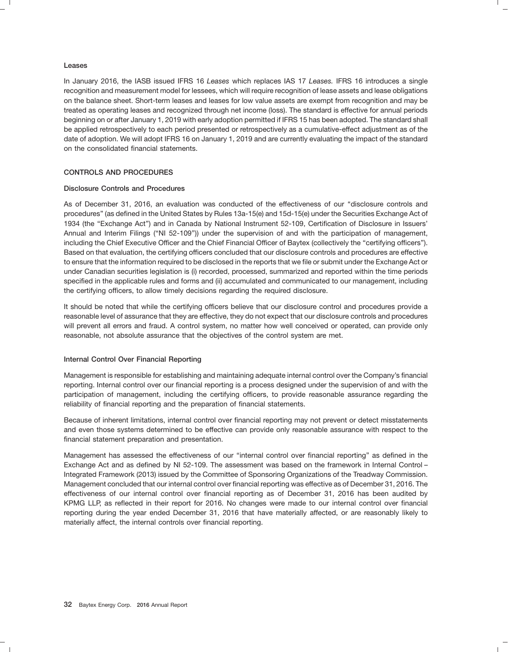#### **Leases**

In January 2016, the IASB issued IFRS 16 *Leases* which replaces IAS 17 *Leases.* IFRS 16 introduces a single recognition and measurement model for lessees, which will require recognition of lease assets and lease obligations on the balance sheet. Short-term leases and leases for low value assets are exempt from recognition and may be treated as operating leases and recognized through net income (loss). The standard is effective for annual periods beginning on or after January 1, 2019 with early adoption permitted if IFRS 15 has been adopted. The standard shall be applied retrospectively to each period presented or retrospectively as a cumulative-effect adjustment as of the date of adoption. We will adopt IFRS 16 on January 1, 2019 and are currently evaluating the impact of the standard on the consolidated financial statements.

# **CONTROLS AND PROCEDURES**

#### **Disclosure Controls and Procedures**

As of December 31, 2016, an evaluation was conducted of the effectiveness of our "disclosure controls and procedures'' (as defined in the United States by Rules 13a-15(e) and 15d-15(e) under the Securities Exchange Act of 1934 (the ''Exchange Act'') and in Canada by National Instrument 52-109, Certification of Disclosure in Issuers' Annual and Interim Filings (''NI 52-109'')) under the supervision of and with the participation of management, including the Chief Executive Officer and the Chief Financial Officer of Baytex (collectively the "certifying officers"). Based on that evaluation, the certifying officers concluded that our disclosure controls and procedures are effective to ensure that the information required to be disclosed in the reports that we file or submit under the Exchange Act or under Canadian securities legislation is (i) recorded, processed, summarized and reported within the time periods specified in the applicable rules and forms and (ii) accumulated and communicated to our management, including the certifying officers, to allow timely decisions regarding the required disclosure.

It should be noted that while the certifying officers believe that our disclosure control and procedures provide a reasonable level of assurance that they are effective, they do not expect that our disclosure controls and procedures will prevent all errors and fraud. A control system, no matter how well conceived or operated, can provide only reasonable, not absolute assurance that the objectives of the control system are met.

#### **Internal Control Over Financial Reporting**

Management is responsible for establishing and maintaining adequate internal control over the Company's financial reporting. Internal control over our financial reporting is a process designed under the supervision of and with the participation of management, including the certifying officers, to provide reasonable assurance regarding the reliability of financial reporting and the preparation of financial statements.

Because of inherent limitations, internal control over financial reporting may not prevent or detect misstatements and even those systems determined to be effective can provide only reasonable assurance with respect to the financial statement preparation and presentation.

Management has assessed the effectiveness of our ''internal control over financial reporting'' as defined in the Exchange Act and as defined by NI 52-109. The assessment was based on the framework in Internal Control – Integrated Framework (2013) issued by the Committee of Sponsoring Organizations of the Treadway Commission. Management concluded that our internal control over financial reporting was effective as of December 31, 2016. The effectiveness of our internal control over financial reporting as of December 31, 2016 has been audited by KPMG LLP, as reflected in their report for 2016. No changes were made to our internal control over financial reporting during the year ended December 31, 2016 that have materially affected, or are reasonably likely to materially affect, the internal controls over financial reporting.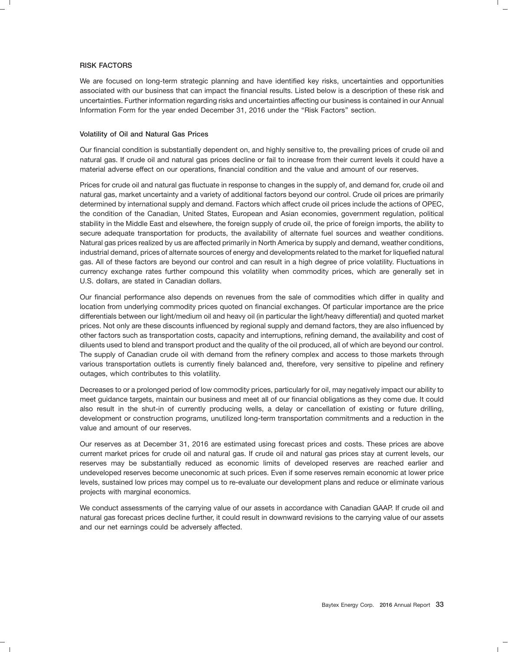## **RISK FACTORS**

We are focused on long-term strategic planning and have identified key risks, uncertainties and opportunities associated with our business that can impact the financial results. Listed below is a description of these risk and uncertainties. Further information regarding risks and uncertainties affecting our business is contained in our Annual Information Form for the year ended December 31, 2016 under the "Risk Factors" section.

#### **Volatility of Oil and Natural Gas Prices**

Our financial condition is substantially dependent on, and highly sensitive to, the prevailing prices of crude oil and natural gas. If crude oil and natural gas prices decline or fail to increase from their current levels it could have a material adverse effect on our operations, financial condition and the value and amount of our reserves.

Prices for crude oil and natural gas fluctuate in response to changes in the supply of, and demand for, crude oil and natural gas, market uncertainty and a variety of additional factors beyond our control. Crude oil prices are primarily determined by international supply and demand. Factors which affect crude oil prices include the actions of OPEC, the condition of the Canadian, United States, European and Asian economies, government regulation, political stability in the Middle East and elsewhere, the foreign supply of crude oil, the price of foreign imports, the ability to secure adequate transportation for products, the availability of alternate fuel sources and weather conditions. Natural gas prices realized by us are affected primarily in North America by supply and demand, weather conditions, industrial demand, prices of alternate sources of energy and developments related to the market for liquefied natural gas. All of these factors are beyond our control and can result in a high degree of price volatility. Fluctuations in currency exchange rates further compound this volatility when commodity prices, which are generally set in U.S. dollars, are stated in Canadian dollars.

Our financial performance also depends on revenues from the sale of commodities which differ in quality and location from underlying commodity prices quoted on financial exchanges. Of particular importance are the price differentials between our light/medium oil and heavy oil (in particular the light/heavy differential) and quoted market prices. Not only are these discounts influenced by regional supply and demand factors, they are also influenced by other factors such as transportation costs, capacity and interruptions, refining demand, the availability and cost of diluents used to blend and transport product and the quality of the oil produced, all of which are beyond our control. The supply of Canadian crude oil with demand from the refinery complex and access to those markets through various transportation outlets is currently finely balanced and, therefore, very sensitive to pipeline and refinery outages, which contributes to this volatility.

Decreases to or a prolonged period of low commodity prices, particularly for oil, may negatively impact our ability to meet guidance targets, maintain our business and meet all of our financial obligations as they come due. It could also result in the shut-in of currently producing wells, a delay or cancellation of existing or future drilling, development or construction programs, unutilized long-term transportation commitments and a reduction in the value and amount of our reserves.

Our reserves as at December 31, 2016 are estimated using forecast prices and costs. These prices are above current market prices for crude oil and natural gas. If crude oil and natural gas prices stay at current levels, our reserves may be substantially reduced as economic limits of developed reserves are reached earlier and undeveloped reserves become uneconomic at such prices. Even if some reserves remain economic at lower price levels, sustained low prices may compel us to re-evaluate our development plans and reduce or eliminate various projects with marginal economics.

We conduct assessments of the carrying value of our assets in accordance with Canadian GAAP. If crude oil and natural gas forecast prices decline further, it could result in downward revisions to the carrying value of our assets and our net earnings could be adversely affected.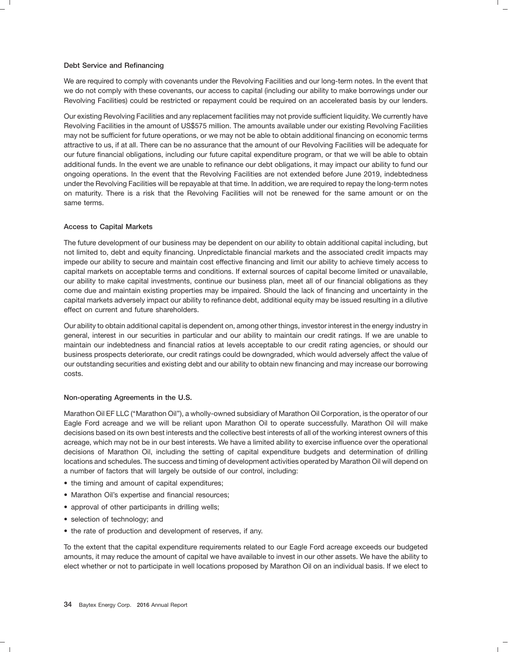#### **Debt Service and Refinancing**

We are required to comply with covenants under the Revolving Facilities and our long-term notes. In the event that we do not comply with these covenants, our access to capital (including our ability to make borrowings under our Revolving Facilities) could be restricted or repayment could be required on an accelerated basis by our lenders.

Our existing Revolving Facilities and any replacement facilities may not provide sufficient liquidity. We currently have Revolving Facilities in the amount of US\$575 million. The amounts available under our existing Revolving Facilities may not be sufficient for future operations, or we may not be able to obtain additional financing on economic terms attractive to us, if at all. There can be no assurance that the amount of our Revolving Facilities will be adequate for our future financial obligations, including our future capital expenditure program, or that we will be able to obtain additional funds. In the event we are unable to refinance our debt obligations, it may impact our ability to fund our ongoing operations. In the event that the Revolving Facilities are not extended before June 2019, indebtedness under the Revolving Facilities will be repayable at that time. In addition, we are required to repay the long-term notes on maturity. There is a risk that the Revolving Facilities will not be renewed for the same amount or on the same terms.

## **Access to Capital Markets**

The future development of our business may be dependent on our ability to obtain additional capital including, but not limited to, debt and equity financing. Unpredictable financial markets and the associated credit impacts may impede our ability to secure and maintain cost effective financing and limit our ability to achieve timely access to capital markets on acceptable terms and conditions. If external sources of capital become limited or unavailable, our ability to make capital investments, continue our business plan, meet all of our financial obligations as they come due and maintain existing properties may be impaired. Should the lack of financing and uncertainty in the capital markets adversely impact our ability to refinance debt, additional equity may be issued resulting in a dilutive effect on current and future shareholders.

Our ability to obtain additional capital is dependent on, among other things, investor interest in the energy industry in general, interest in our securities in particular and our ability to maintain our credit ratings. If we are unable to maintain our indebtedness and financial ratios at levels acceptable to our credit rating agencies, or should our business prospects deteriorate, our credit ratings could be downgraded, which would adversely affect the value of our outstanding securities and existing debt and our ability to obtain new financing and may increase our borrowing costs.

## **Non-operating Agreements in the U.S.**

Marathon Oil EF LLC (''Marathon Oil''), a wholly-owned subsidiary of Marathon Oil Corporation, is the operator of our Eagle Ford acreage and we will be reliant upon Marathon Oil to operate successfully. Marathon Oil will make decisions based on its own best interests and the collective best interests of all of the working interest owners of this acreage, which may not be in our best interests. We have a limited ability to exercise influence over the operational decisions of Marathon Oil, including the setting of capital expenditure budgets and determination of drilling locations and schedules. The success and timing of development activities operated by Marathon Oil will depend on a number of factors that will largely be outside of our control, including:

- the timing and amount of capital expenditures;
- Marathon Oil's expertise and financial resources;
- approval of other participants in drilling wells;
- selection of technology; and
- the rate of production and development of reserves, if any.

To the extent that the capital expenditure requirements related to our Eagle Ford acreage exceeds our budgeted amounts, it may reduce the amount of capital we have available to invest in our other assets. We have the ability to elect whether or not to participate in well locations proposed by Marathon Oil on an individual basis. If we elect to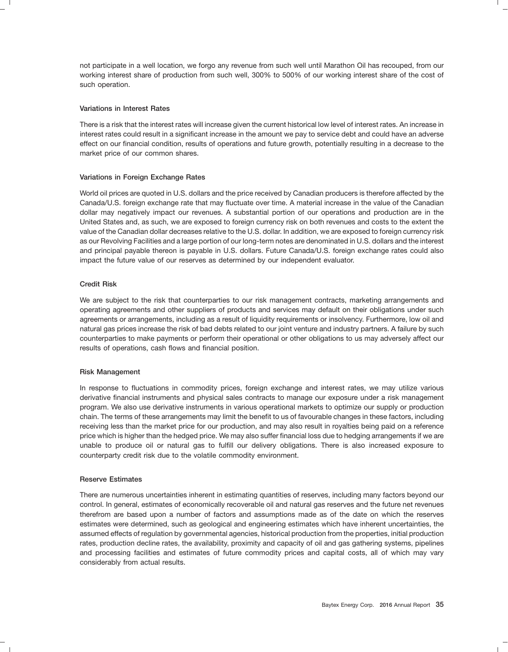not participate in a well location, we forgo any revenue from such well until Marathon Oil has recouped, from our working interest share of production from such well, 300% to 500% of our working interest share of the cost of such operation.

#### **Variations in Interest Rates**

There is a risk that the interest rates will increase given the current historical low level of interest rates. An increase in interest rates could result in a significant increase in the amount we pay to service debt and could have an adverse effect on our financial condition, results of operations and future growth, potentially resulting in a decrease to the market price of our common shares.

## **Variations in Foreign Exchange Rates**

World oil prices are quoted in U.S. dollars and the price received by Canadian producers is therefore affected by the Canada/U.S. foreign exchange rate that may fluctuate over time. A material increase in the value of the Canadian dollar may negatively impact our revenues. A substantial portion of our operations and production are in the United States and, as such, we are exposed to foreign currency risk on both revenues and costs to the extent the value of the Canadian dollar decreases relative to the U.S. dollar. In addition, we are exposed to foreign currency risk as our Revolving Facilities and a large portion of our long-term notes are denominated in U.S. dollars and the interest and principal payable thereon is payable in U.S. dollars. Future Canada/U.S. foreign exchange rates could also impact the future value of our reserves as determined by our independent evaluator.

## **Credit Risk**

We are subject to the risk that counterparties to our risk management contracts, marketing arrangements and operating agreements and other suppliers of products and services may default on their obligations under such agreements or arrangements, including as a result of liquidity requirements or insolvency. Furthermore, low oil and natural gas prices increase the risk of bad debts related to our joint venture and industry partners. A failure by such counterparties to make payments or perform their operational or other obligations to us may adversely affect our results of operations, cash flows and financial position.

#### **Risk Management**

In response to fluctuations in commodity prices, foreign exchange and interest rates, we may utilize various derivative financial instruments and physical sales contracts to manage our exposure under a risk management program. We also use derivative instruments in various operational markets to optimize our supply or production chain. The terms of these arrangements may limit the benefit to us of favourable changes in these factors, including receiving less than the market price for our production, and may also result in royalties being paid on a reference price which is higher than the hedged price. We may also suffer financial loss due to hedging arrangements if we are unable to produce oil or natural gas to fulfill our delivery obligations. There is also increased exposure to counterparty credit risk due to the volatile commodity environment.

#### **Reserve Estimates**

There are numerous uncertainties inherent in estimating quantities of reserves, including many factors beyond our control. In general, estimates of economically recoverable oil and natural gas reserves and the future net revenues therefrom are based upon a number of factors and assumptions made as of the date on which the reserves estimates were determined, such as geological and engineering estimates which have inherent uncertainties, the assumed effects of regulation by governmental agencies, historical production from the properties, initial production rates, production decline rates, the availability, proximity and capacity of oil and gas gathering systems, pipelines and processing facilities and estimates of future commodity prices and capital costs, all of which may vary considerably from actual results.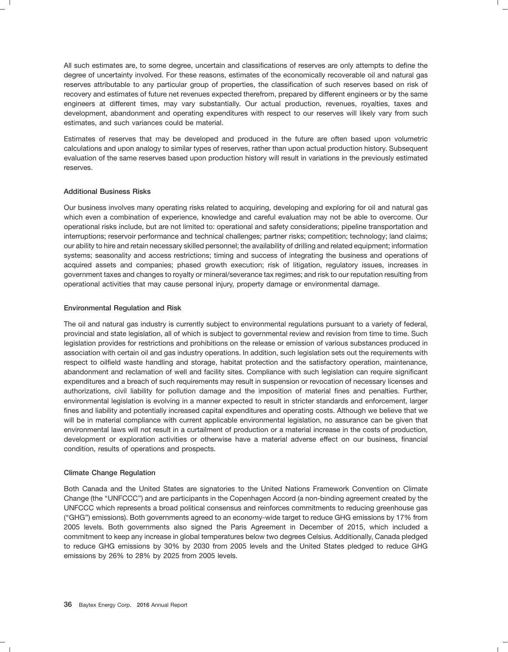All such estimates are, to some degree, uncertain and classifications of reserves are only attempts to define the degree of uncertainty involved. For these reasons, estimates of the economically recoverable oil and natural gas reserves attributable to any particular group of properties, the classification of such reserves based on risk of recovery and estimates of future net revenues expected therefrom, prepared by different engineers or by the same engineers at different times, may vary substantially. Our actual production, revenues, royalties, taxes and development, abandonment and operating expenditures with respect to our reserves will likely vary from such estimates, and such variances could be material.

Estimates of reserves that may be developed and produced in the future are often based upon volumetric calculations and upon analogy to similar types of reserves, rather than upon actual production history. Subsequent evaluation of the same reserves based upon production history will result in variations in the previously estimated reserves.

## **Additional Business Risks**

Our business involves many operating risks related to acquiring, developing and exploring for oil and natural gas which even a combination of experience, knowledge and careful evaluation may not be able to overcome. Our operational risks include, but are not limited to: operational and safety considerations; pipeline transportation and interruptions; reservoir performance and technical challenges; partner risks; competition; technology; land claims; our ability to hire and retain necessary skilled personnel; the availability of drilling and related equipment; information systems; seasonality and access restrictions; timing and success of integrating the business and operations of acquired assets and companies; phased growth execution; risk of litigation, regulatory issues, increases in government taxes and changes to royalty or mineral/severance tax regimes; and risk to our reputation resulting from operational activities that may cause personal injury, property damage or environmental damage.

## **Environmental Regulation and Risk**

The oil and natural gas industry is currently subject to environmental regulations pursuant to a variety of federal, provincial and state legislation, all of which is subject to governmental review and revision from time to time. Such legislation provides for restrictions and prohibitions on the release or emission of various substances produced in association with certain oil and gas industry operations. In addition, such legislation sets out the requirements with respect to oilfield waste handling and storage, habitat protection and the satisfactory operation, maintenance, abandonment and reclamation of well and facility sites. Compliance with such legislation can require significant expenditures and a breach of such requirements may result in suspension or revocation of necessary licenses and authorizations, civil liability for pollution damage and the imposition of material fines and penalties. Further, environmental legislation is evolving in a manner expected to result in stricter standards and enforcement, larger fines and liability and potentially increased capital expenditures and operating costs. Although we believe that we will be in material compliance with current applicable environmental legislation, no assurance can be given that environmental laws will not result in a curtailment of production or a material increase in the costs of production, development or exploration activities or otherwise have a material adverse effect on our business, financial condition, results of operations and prospects.

## **Climate Change Regulation**

Both Canada and the United States are signatories to the United Nations Framework Convention on Climate Change (the ''UNFCCC'') and are participants in the Copenhagen Accord (a non-binding agreement created by the UNFCCC which represents a broad political consensus and reinforces commitments to reducing greenhouse gas (''GHG'') emissions). Both governments agreed to an economy-wide target to reduce GHG emissions by 17% from 2005 levels. Both governments also signed the Paris Agreement in December of 2015, which included a commitment to keep any increase in global temperatures below two degrees Celsius. Additionally, Canada pledged to reduce GHG emissions by 30% by 2030 from 2005 levels and the United States pledged to reduce GHG emissions by 26% to 28% by 2025 from 2005 levels.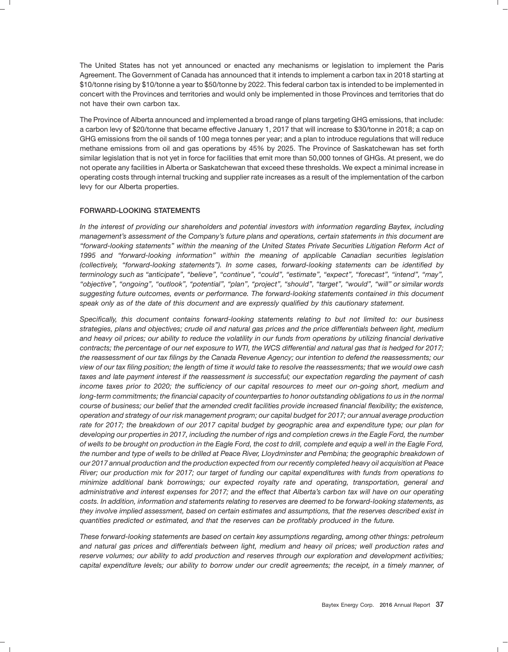The United States has not yet announced or enacted any mechanisms or legislation to implement the Paris Agreement. The Government of Canada has announced that it intends to implement a carbon tax in 2018 starting at \$10/tonne rising by \$10/tonne a year to \$50/tonne by 2022. This federal carbon tax is intended to be implemented in concert with the Provinces and territories and would only be implemented in those Provinces and territories that do not have their own carbon tax.

The Province of Alberta announced and implemented a broad range of plans targeting GHG emissions, that include: a carbon levy of \$20/tonne that became effective January 1, 2017 that will increase to \$30/tonne in 2018; a cap on GHG emissions from the oil sands of 100 mega tonnes per year; and a plan to introduce regulations that will reduce methane emissions from oil and gas operations by 45% by 2025. The Province of Saskatchewan has set forth similar legislation that is not yet in force for facilities that emit more than 50,000 tonnes of GHGs. At present, we do not operate any facilities in Alberta or Saskatchewan that exceed these thresholds. We expect a minimal increase in operating costs through internal trucking and supplier rate increases as a result of the implementation of the carbon levy for our Alberta properties.

## **FORWARD-LOOKING STATEMENTS**

*In the interest of providing our shareholders and potential investors with information regarding Baytex, including management's assessment of the Company's future plans and operations, certain statements in this document are ''forward-looking statements'' within the meaning of the United States Private Securities Litigation Reform Act of 1995 and ''forward-looking information'' within the meaning of applicable Canadian securities legislation (collectively, ''forward-looking statements''). In some cases, forward-looking statements can be identified by terminology such as ''anticipate'', ''believe'', ''continue'', ''could'', ''estimate'', ''expect'', ''forecast'', ''intend'', ''may'', ''objective'', ''ongoing'', ''outlook'', ''potential'', ''plan'', ''project'', ''should'', ''target'', ''would'', ''will'' or similar words suggesting future outcomes, events or performance. The forward-looking statements contained in this document speak only as of the date of this document and are expressly qualified by this cautionary statement.*

*Specifically, this document contains forward-looking statements relating to but not limited to: our business strategies, plans and objectives; crude oil and natural gas prices and the price differentials between light, medium and heavy oil prices; our ability to reduce the volatility in our funds from operations by utilizing financial derivative contracts; the percentage of our net exposure to WTI, the WCS differential and natural gas that is hedged for 2017; the reassessment of our tax filings by the Canada Revenue Agency; our intention to defend the reassessments; our view of our tax filing position; the length of time it would take to resolve the reassessments; that we would owe cash taxes and late payment interest if the reassessment is successful; our expectation regarding the payment of cash income taxes prior to 2020; the sufficiency of our capital resources to meet our on-going short, medium and long-term commitments; the financial capacity of counterparties to honor outstanding obligations to us in the normal course of business; our belief that the amended credit facilities provide increased financial flexibility; the existence, operation and strategy of our risk management program; our capital budget for 2017; our annual average production rate for 2017; the breakdown of our 2017 capital budget by geographic area and expenditure type; our plan for developing our properties in 2017, including the number of rigs and completion crews in the Eagle Ford, the number of wells to be brought on production in the Eagle Ford, the cost to drill, complete and equip a well in the Eagle Ford, the number and type of wells to be drilled at Peace River, Lloydminster and Pembina; the geographic breakdown of our 2017 annual production and the production expected from our recently completed heavy oil acquisition at Peace River; our production mix for 2017; our target of funding our capital expenditures with funds from operations to minimize additional bank borrowings; our expected royalty rate and operating, transportation, general and administrative and interest expenses for 2017; and the effect that Alberta's carbon tax will have on our operating costs. In addition, information and statements relating to reserves are deemed to be forward-looking statements, as they involve implied assessment, based on certain estimates and assumptions, that the reserves described exist in quantities predicted or estimated, and that the reserves can be profitably produced in the future.*

*These forward-looking statements are based on certain key assumptions regarding, among other things: petroleum and natural gas prices and differentials between light, medium and heavy oil prices; well production rates and reserve volumes; our ability to add production and reserves through our exploration and development activities; capital expenditure levels; our ability to borrow under our credit agreements; the receipt, in a timely manner, of*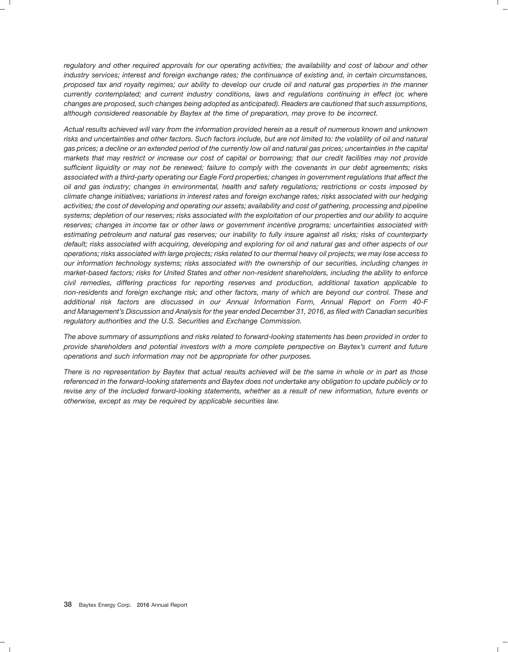*regulatory and other required approvals for our operating activities; the availability and cost of labour and other industry services; interest and foreign exchange rates; the continuance of existing and, in certain circumstances, proposed tax and royalty regimes; our ability to develop our crude oil and natural gas properties in the manner currently contemplated; and current industry conditions, laws and regulations continuing in effect (or, where changes are proposed, such changes being adopted as anticipated). Readers are cautioned that such assumptions, although considered reasonable by Baytex at the time of preparation, may prove to be incorrect.*

*Actual results achieved will vary from the information provided herein as a result of numerous known and unknown risks and uncertainties and other factors. Such factors include, but are not limited to: the volatility of oil and natural gas prices; a decline or an extended period of the currently low oil and natural gas prices; uncertainties in the capital markets that may restrict or increase our cost of capital or borrowing; that our credit facilities may not provide sufficient liquidity or may not be renewed; failure to comply with the covenants in our debt agreements; risks associated with a third-party operating our Eagle Ford properties; changes in government regulations that affect the oil and gas industry; changes in environmental, health and safety regulations; restrictions or costs imposed by climate change initiatives; variations in interest rates and foreign exchange rates; risks associated with our hedging activities; the cost of developing and operating our assets; availability and cost of gathering, processing and pipeline systems; depletion of our reserves; risks associated with the exploitation of our properties and our ability to acquire reserves; changes in income tax or other laws or government incentive programs; uncertainties associated with estimating petroleum and natural gas reserves; our inability to fully insure against all risks; risks of counterparty default; risks associated with acquiring, developing and exploring for oil and natural gas and other aspects of our operations; risks associated with large projects; risks related to our thermal heavy oil projects; we may lose access to our information technology systems; risks associated with the ownership of our securities, including changes in market-based factors; risks for United States and other non-resident shareholders, including the ability to enforce civil remedies, differing practices for reporting reserves and production, additional taxation applicable to non-residents and foreign exchange risk; and other factors, many of which are beyond our control. These and additional risk factors are discussed in our Annual Information Form, Annual Report on Form 40-F and Management's Discussion and Analysis for the year ended December 31, 2016, as filed with Canadian securities regulatory authorities and the U.S. Securities and Exchange Commission.*

*The above summary of assumptions and risks related to forward-looking statements has been provided in order to provide shareholders and potential investors with a more complete perspective on Baytex's current and future operations and such information may not be appropriate for other purposes.*

*There is no representation by Baytex that actual results achieved will be the same in whole or in part as those referenced in the forward-looking statements and Baytex does not undertake any obligation to update publicly or to revise any of the included forward-looking statements, whether as a result of new information, future events or otherwise, except as may be required by applicable securities law.*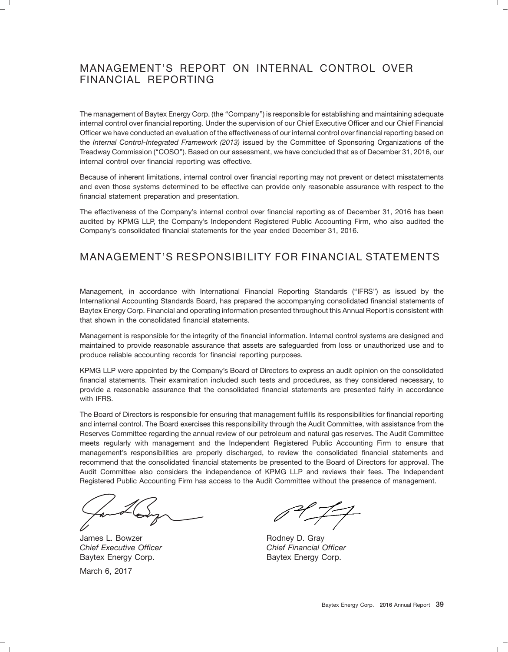# MANAGEMENT'S REPORT ON INTERNAL CONTROL OVER FINANCIAL REPORTING

The management of Baytex Energy Corp. (the "Company") is responsible for establishing and maintaining adequate internal control over financial reporting. Under the supervision of our Chief Executive Officer and our Chief Financial Officer we have conducted an evaluation of the effectiveness of our internal control over financial reporting based on the *Internal Control-Integrated Framework (2013)* issued by the Committee of Sponsoring Organizations of the Treadway Commission (''COSO''). Based on our assessment, we have concluded that as of December 31, 2016, our internal control over financial reporting was effective.

Because of inherent limitations, internal control over financial reporting may not prevent or detect misstatements and even those systems determined to be effective can provide only reasonable assurance with respect to the financial statement preparation and presentation.

The effectiveness of the Company's internal control over financial reporting as of December 31, 2016 has been audited by KPMG LLP, the Company's Independent Registered Public Accounting Firm, who also audited the Company's consolidated financial statements for the year ended December 31, 2016.

# MANAGEMENT'S RESPONSIBILITY FOR FINANCIAL STATEMENTS

Management, in accordance with International Financial Reporting Standards (''IFRS'') as issued by the International Accounting Standards Board, has prepared the accompanying consolidated financial statements of Baytex Energy Corp. Financial and operating information presented throughout this Annual Report is consistent with that shown in the consolidated financial statements.

Management is responsible for the integrity of the financial information. Internal control systems are designed and maintained to provide reasonable assurance that assets are safeguarded from loss or unauthorized use and to produce reliable accounting records for financial reporting purposes.

KPMG LLP were appointed by the Company's Board of Directors to express an audit opinion on the consolidated financial statements. Their examination included such tests and procedures, as they considered necessary, to provide a reasonable assurance that the consolidated financial statements are presented fairly in accordance with IFRS.

The Board of Directors is responsible for ensuring that management fulfills its responsibilities for financial reporting and internal control. The Board exercises this responsibility through the Audit Committee, with assistance from the Reserves Committee regarding the annual review of our petroleum and natural gas reserves. The Audit Committee meets regularly with management and the Independent Registered Public Accounting Firm to ensure that management's responsibilities are properly discharged, to review the consolidated financial statements and recommend that the consolidated financial statements be presented to the Board of Directors for approval. The Audit Committee also considers the independence of KPMG LLP and reviews their fees. The Independent Registered Public Accounting Firm has access to the Audit Committee without the presence of management.

James L. Bowzer **Rodney D. Gray** *Chief Executive Officer Chief Financial Officer* Baytex Energy Corp. **Baytex Energy Corp.** Baytex Energy Corp.

March 6, 2017

 $\frac{1}{\sqrt{2}}$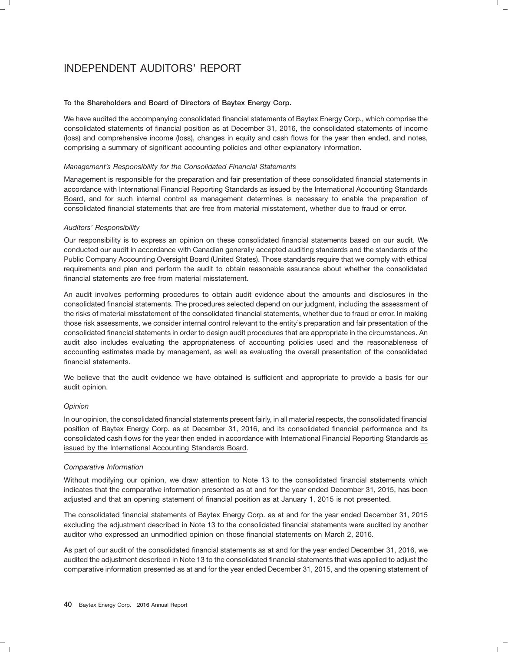# INDEPENDENT AUDITORS' REPORT

#### **To the Shareholders and Board of Directors of Baytex Energy Corp.**

We have audited the accompanying consolidated financial statements of Baytex Energy Corp., which comprise the consolidated statements of financial position as at December 31, 2016, the consolidated statements of income (loss) and comprehensive income (loss), changes in equity and cash flows for the year then ended, and notes, comprising a summary of significant accounting policies and other explanatory information.

#### *Management's Responsibility for the Consolidated Financial Statements*

Management is responsible for the preparation and fair presentation of these consolidated financial statements in accordance with International Financial Reporting Standards as issued by the International Accounting Standards Board, and for such internal control as management determines is necessary to enable the preparation of consolidated financial statements that are free from material misstatement, whether due to fraud or error.

## *Auditors' Responsibility*

Our responsibility is to express an opinion on these consolidated financial statements based on our audit. We conducted our audit in accordance with Canadian generally accepted auditing standards and the standards of the Public Company Accounting Oversight Board (United States). Those standards require that we comply with ethical requirements and plan and perform the audit to obtain reasonable assurance about whether the consolidated financial statements are free from material misstatement.

An audit involves performing procedures to obtain audit evidence about the amounts and disclosures in the consolidated financial statements. The procedures selected depend on our judgment, including the assessment of the risks of material misstatement of the consolidated financial statements, whether due to fraud or error. In making those risk assessments, we consider internal control relevant to the entity's preparation and fair presentation of the consolidated financial statements in order to design audit procedures that are appropriate in the circumstances. An audit also includes evaluating the appropriateness of accounting policies used and the reasonableness of accounting estimates made by management, as well as evaluating the overall presentation of the consolidated financial statements.

We believe that the audit evidence we have obtained is sufficient and appropriate to provide a basis for our audit opinion.

## *Opinion*

In our opinion, the consolidated financial statements present fairly, in all material respects, the consolidated financial position of Baytex Energy Corp. as at December 31, 2016, and its consolidated financial performance and its consolidated cash flows for the year then ended in accordance with International Financial Reporting Standards as issued by the International Accounting Standards Board.

## *Comparative Information*

Without modifying our opinion, we draw attention to Note 13 to the consolidated financial statements which indicates that the comparative information presented as at and for the year ended December 31, 2015, has been adjusted and that an opening statement of financial position as at January 1, 2015 is not presented.

The consolidated financial statements of Baytex Energy Corp. as at and for the year ended December 31, 2015 excluding the adjustment described in Note 13 to the consolidated financial statements were audited by another auditor who expressed an unmodified opinion on those financial statements on March 2, 2016.

As part of our audit of the consolidated financial statements as at and for the year ended December 31, 2016, we audited the adjustment described in Note 13 to the consolidated financial statements that was applied to adjust the comparative information presented as at and for the year ended December 31, 2015, and the opening statement of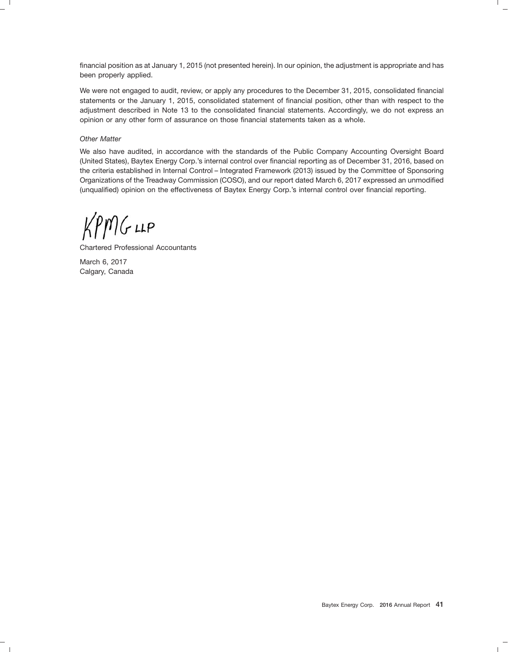financial position as at January 1, 2015 (not presented herein). In our opinion, the adjustment is appropriate and has been properly applied.

We were not engaged to audit, review, or apply any procedures to the December 31, 2015, consolidated financial statements or the January 1, 2015, consolidated statement of financial position, other than with respect to the adjustment described in Note 13 to the consolidated financial statements. Accordingly, we do not express an opinion or any other form of assurance on those financial statements taken as a whole.

## *Other Matter*

We also have audited, in accordance with the standards of the Public Company Accounting Oversight Board (United States), Baytex Energy Corp.'s internal control over financial reporting as of December 31, 2016, based on the criteria established in Internal Control – Integrated Framework (2013) issued by the Committee of Sponsoring Organizations of the Treadway Commission (COSO), and our report dated March 6, 2017 expressed an unmodified (unqualified) opinion on the effectiveness of Baytex Energy Corp.'s internal control over financial reporting.

KPMGLP

Chartered Professional Accountants

March 6, 2017 Calgary, Canada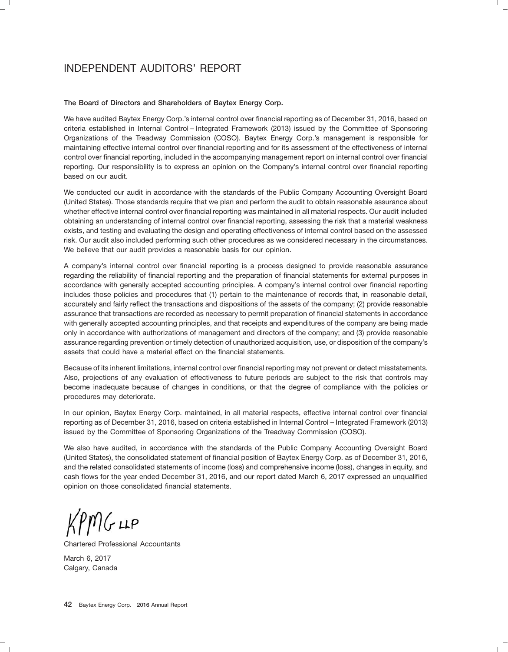# INDEPENDENT AUDITORS' REPORT

#### **The Board of Directors and Shareholders of Baytex Energy Corp.**

We have audited Baytex Energy Corp.'s internal control over financial reporting as of December 31, 2016, based on criteria established in Internal Control – Integrated Framework (2013) issued by the Committee of Sponsoring Organizations of the Treadway Commission (COSO). Baytex Energy Corp.'s management is responsible for maintaining effective internal control over financial reporting and for its assessment of the effectiveness of internal control over financial reporting, included in the accompanying management report on internal control over financial reporting. Our responsibility is to express an opinion on the Company's internal control over financial reporting based on our audit.

We conducted our audit in accordance with the standards of the Public Company Accounting Oversight Board (United States). Those standards require that we plan and perform the audit to obtain reasonable assurance about whether effective internal control over financial reporting was maintained in all material respects. Our audit included obtaining an understanding of internal control over financial reporting, assessing the risk that a material weakness exists, and testing and evaluating the design and operating effectiveness of internal control based on the assessed risk. Our audit also included performing such other procedures as we considered necessary in the circumstances. We believe that our audit provides a reasonable basis for our opinion.

A company's internal control over financial reporting is a process designed to provide reasonable assurance regarding the reliability of financial reporting and the preparation of financial statements for external purposes in accordance with generally accepted accounting principles. A company's internal control over financial reporting includes those policies and procedures that (1) pertain to the maintenance of records that, in reasonable detail, accurately and fairly reflect the transactions and dispositions of the assets of the company; (2) provide reasonable assurance that transactions are recorded as necessary to permit preparation of financial statements in accordance with generally accepted accounting principles, and that receipts and expenditures of the company are being made only in accordance with authorizations of management and directors of the company; and (3) provide reasonable assurance regarding prevention or timely detection of unauthorized acquisition, use, or disposition of the company's assets that could have a material effect on the financial statements.

Because of its inherent limitations, internal control over financial reporting may not prevent or detect misstatements. Also, projections of any evaluation of effectiveness to future periods are subject to the risk that controls may become inadequate because of changes in conditions, or that the degree of compliance with the policies or procedures may deteriorate.

In our opinion, Baytex Energy Corp. maintained, in all material respects, effective internal control over financial reporting as of December 31, 2016, based on criteria established in Internal Control – Integrated Framework (2013) issued by the Committee of Sponsoring Organizations of the Treadway Commission (COSO).

We also have audited, in accordance with the standards of the Public Company Accounting Oversight Board (United States), the consolidated statement of financial position of Baytex Energy Corp. as of December 31, 2016, and the related consolidated statements of income (loss) and comprehensive income (loss), changes in equity, and cash flows for the year ended December 31, 2016, and our report dated March 6, 2017 expressed an unqualified opinion on those consolidated financial statements.

 $KPMGHP$ 

Chartered Professional Accountants

March 6, 2017 Calgary, Canada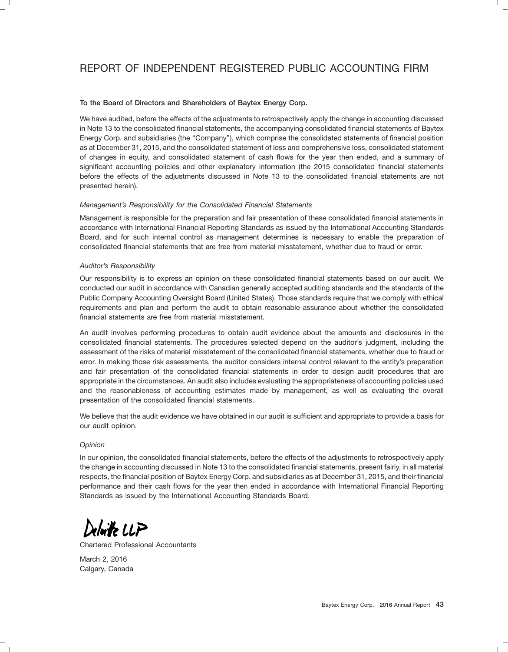# REPORT OF INDEPENDENT REGISTERED PUBLIC ACCOUNTING FIRM

## **To the Board of Directors and Shareholders of Baytex Energy Corp.**

We have audited, before the effects of the adjustments to retrospectively apply the change in accounting discussed in Note 13 to the consolidated financial statements, the accompanying consolidated financial statements of Baytex Energy Corp. and subsidiaries (the ''Company''), which comprise the consolidated statements of financial position as at December 31, 2015, and the consolidated statement of loss and comprehensive loss, consolidated statement of changes in equity, and consolidated statement of cash flows for the year then ended, and a summary of significant accounting policies and other explanatory information (the 2015 consolidated financial statements before the effects of the adjustments discussed in Note 13 to the consolidated financial statements are not presented herein).

## *Management's Responsibility for the Consolidated Financial Statements*

Management is responsible for the preparation and fair presentation of these consolidated financial statements in accordance with International Financial Reporting Standards as issued by the International Accounting Standards Board, and for such internal control as management determines is necessary to enable the preparation of consolidated financial statements that are free from material misstatement, whether due to fraud or error.

## *Auditor's Responsibility*

Our responsibility is to express an opinion on these consolidated financial statements based on our audit. We conducted our audit in accordance with Canadian generally accepted auditing standards and the standards of the Public Company Accounting Oversight Board (United States). Those standards require that we comply with ethical requirements and plan and perform the audit to obtain reasonable assurance about whether the consolidated financial statements are free from material misstatement.

An audit involves performing procedures to obtain audit evidence about the amounts and disclosures in the consolidated financial statements. The procedures selected depend on the auditor's judgment, including the assessment of the risks of material misstatement of the consolidated financial statements, whether due to fraud or error. In making those risk assessments, the auditor considers internal control relevant to the entity's preparation and fair presentation of the consolidated financial statements in order to design audit procedures that are appropriate in the circumstances. An audit also includes evaluating the appropriateness of accounting policies used and the reasonableness of accounting estimates made by management, as well as evaluating the overall presentation of the consolidated financial statements.

We believe that the audit evidence we have obtained in our audit is sufficient and appropriate to provide a basis for our audit opinion.

## *Opinion*

In our opinion, the consolidated financial statements, before the effects of the adjustments to retrospectively apply the change in accounting discussed in Note 13 to the consolidated financial statements, present fairly, in all material respects, the financial position of Baytex Energy Corp. and subsidiaries as at December 31, 2015, and their financial performance and their cash flows for the year then ended in accordance with International Financial Reporting Standards as issued by the International Accounting Standards Board.

Delate LLP

Chartered Professional Accountants

March 2, 2016 Calgary, Canada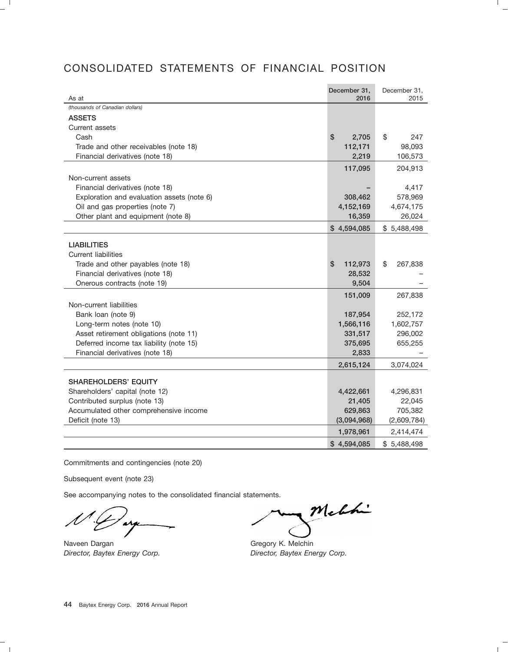# CONSOLIDATED STATEMENTS OF FINANCIAL POSITION

| As at                                      | December 31,<br>2016 | December 31,<br>2015 |
|--------------------------------------------|----------------------|----------------------|
| (thousands of Canadian dollars)            |                      |                      |
| <b>ASSETS</b>                              |                      |                      |
| Current assets                             |                      |                      |
| Cash                                       | \$<br>2,705          | \$<br>247            |
| Trade and other receivables (note 18)      | 112,171              | 98,093               |
| Financial derivatives (note 18)            | 2,219                | 106,573              |
|                                            | 117,095              | 204,913              |
| Non-current assets                         |                      |                      |
| Financial derivatives (note 18)            |                      | 4,417                |
| Exploration and evaluation assets (note 6) | 308,462              | 578,969              |
| Oil and gas properties (note 7)            | 4,152,169            | 4,674,175            |
| Other plant and equipment (note 8)         | 16,359               | 26,024               |
|                                            | \$4,594,085          | \$5,488,498          |
|                                            |                      |                      |
| <b>LIABILITIES</b>                         |                      |                      |
| <b>Current liabilities</b>                 |                      |                      |
| Trade and other payables (note 18)         | \$<br>112,973        | \$<br>267,838        |
| Financial derivatives (note 18)            | 28,532               |                      |
| Onerous contracts (note 19)                | 9,504                |                      |
|                                            | 151,009              | 267,838              |
| Non-current liabilities                    |                      |                      |
| Bank loan (note 9)                         | 187,954              | 252,172              |
| Long-term notes (note 10)                  | 1,566,116            | 1,602,757            |
| Asset retirement obligations (note 11)     | 331,517              | 296,002              |
| Deferred income tax liability (note 15)    | 375,695              | 655,255              |
| Financial derivatives (note 18)            | 2,833                |                      |
|                                            | 2,615,124            | 3,074,024            |
| <b>SHAREHOLDERS' EQUITY</b>                |                      |                      |
| Shareholders' capital (note 12)            | 4,422,661            | 4,296,831            |
| Contributed surplus (note 13)              | 21,405               | 22,045               |
| Accumulated other comprehensive income     | 629,863              | 705,382              |
| Deficit (note 13)                          | (3,094,968)          | (2,609,784)          |
|                                            | 1,978,961            | 2,414,474            |
|                                            | \$4,594,085          | \$5,488,498          |

Commitments and contingencies (note 20)

Subsequent event (note 23)

arg

Naveen Dargan Gregory K. Melchin *Director, Baytex Energy Corp. Director, Baytex Energy Corp.*

Melhi  $\sim$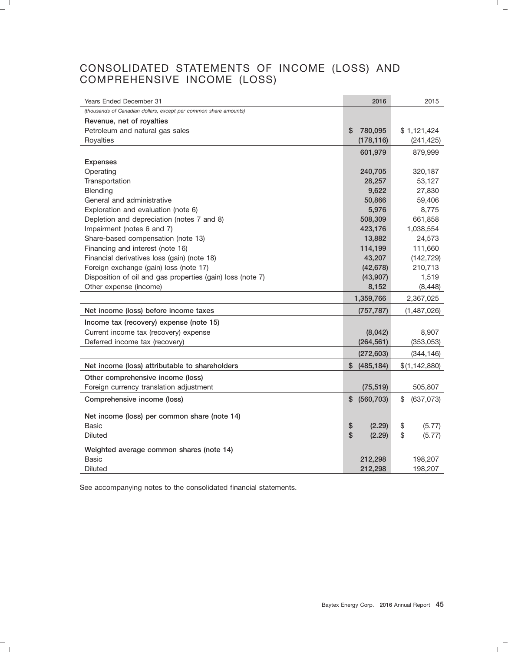# CONSOLIDATED STATEMENTS OF INCOME (LOSS) AND COMPREHENSIVE INCOME (LOSS)

| Years Ended December 31                                          | 2016                          | 2015               |
|------------------------------------------------------------------|-------------------------------|--------------------|
| (thousands of Canadian dollars, except per common share amounts) |                               |                    |
| Revenue, net of royalties                                        |                               |                    |
| Petroleum and natural gas sales                                  | \$<br>780,095                 | \$1,121,424        |
| Royalties                                                        | (178, 116)                    | (241, 425)         |
|                                                                  | 601,979                       | 879,999            |
| <b>Expenses</b>                                                  |                               |                    |
| Operating                                                        | 240,705                       | 320,187            |
| Transportation                                                   | 28,257                        | 53,127             |
| Blending                                                         | 9,622                         | 27,830             |
| General and administrative                                       | 50,866                        | 59,406             |
| Exploration and evaluation (note 6)                              | 5,976                         | 8,775              |
| Depletion and depreciation (notes 7 and 8)                       | 508,309                       | 661,858            |
| Impairment (notes 6 and 7)                                       | 423,176                       | 1,038,554          |
| Share-based compensation (note 13)                               | 13,882                        | 24,573             |
| Financing and interest (note 16)                                 | 114,199                       | 111,660            |
| Financial derivatives loss (gain) (note 18)                      | 43,207                        | (142, 729)         |
| Foreign exchange (gain) loss (note 17)                           | (42, 678)                     | 210,713            |
| Disposition of oil and gas properties (gain) loss (note 7)       | (43,907)                      | 1,519              |
| Other expense (income)                                           | 8,152                         | (8, 448)           |
|                                                                  | 1,359,766                     | 2,367,025          |
| Net income (loss) before income taxes                            | (757,787)                     | (1,487,026)        |
| Income tax (recovery) expense (note 15)                          |                               |                    |
| Current income tax (recovery) expense                            | (8,042)                       | 8,907              |
| Deferred income tax (recovery)                                   | (264, 561)                    | (353, 053)         |
|                                                                  | (272, 603)                    | (344, 146)         |
| Net income (loss) attributable to shareholders                   | (485, 184)<br>\$              | \$(1, 142, 880)    |
| Other comprehensive income (loss)                                |                               |                    |
| Foreign currency translation adjustment                          | (75, 519)                     | 505,807            |
| Comprehensive income (loss)                                      | \$<br>(560, 703)              | \$<br>(637, 073)   |
|                                                                  |                               |                    |
| Net income (loss) per common share (note 14)<br><b>Basic</b>     |                               |                    |
|                                                                  | \$<br>(2.29)<br>$\mathsf{\$}$ | \$<br>(5.77)<br>\$ |
| <b>Diluted</b>                                                   | (2.29)                        | (5.77)             |
| Weighted average common shares (note 14)                         |                               |                    |
| <b>Basic</b>                                                     | 212,298                       | 198,207            |
| <b>Diluted</b>                                                   | 212,298                       | 198,207            |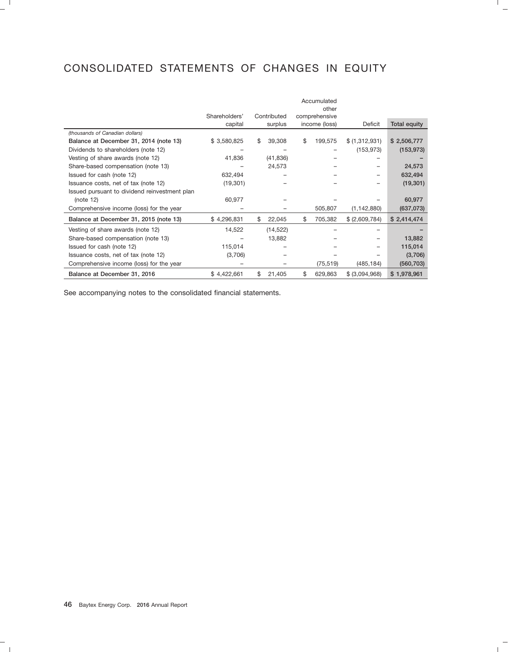# CONSOLIDATED STATEMENTS OF CHANGES IN EQUITY

|                                               |               |              | Accumulated<br>other |                |                     |
|-----------------------------------------------|---------------|--------------|----------------------|----------------|---------------------|
|                                               | Shareholders' | Contributed  | comprehensive        |                |                     |
|                                               | capital       | surplus      | income (loss)        | Deficit        | <b>Total equity</b> |
| (thousands of Canadian dollars)               |               |              |                      |                |                     |
| Balance at December 31, 2014 (note 13)        | \$3,580,825   | \$<br>39,308 | \$<br>199,575        | \$ (1,312,931) | \$2,506,777         |
| Dividends to shareholders (note 12)           |               |              |                      | (153, 973)     | (153, 973)          |
| Vesting of share awards (note 12)             | 41,836        | (41, 836)    |                      |                |                     |
| Share-based compensation (note 13)            |               | 24,573       |                      |                | 24,573              |
| Issued for cash (note 12)                     | 632,494       |              |                      |                | 632,494             |
| Issuance costs, net of tax (note 12)          | (19, 301)     |              |                      |                | (19, 301)           |
| Issued pursuant to dividend reinvestment plan |               |              |                      |                |                     |
| (note 12)                                     | 60,977        |              |                      |                | 60,977              |
| Comprehensive income (loss) for the year      |               |              | 505,807              | (1, 142, 880)  | (637,073)           |
| Balance at December 31, 2015 (note 13)        | \$4,296,831   | \$<br>22,045 | \$<br>705,382        | \$ (2,609,784) | \$2,414,474         |
| Vesting of share awards (note 12)             | 14,522        | (14, 522)    |                      |                |                     |
| Share-based compensation (note 13)            |               | 13,882       |                      |                | 13,882              |
| Issued for cash (note 12)                     | 115,014       |              |                      |                | 115,014             |
| Issuance costs, net of tax (note 12)          | (3,706)       |              |                      |                | (3,706)             |
| Comprehensive income (loss) for the year      |               |              | (75, 519)            | (485, 184)     | (560, 703)          |
| Balance at December 31, 2016                  | \$4,422,661   | \$<br>21,405 | \$<br>629,863        | \$ (3,094,968) | \$1,978,961         |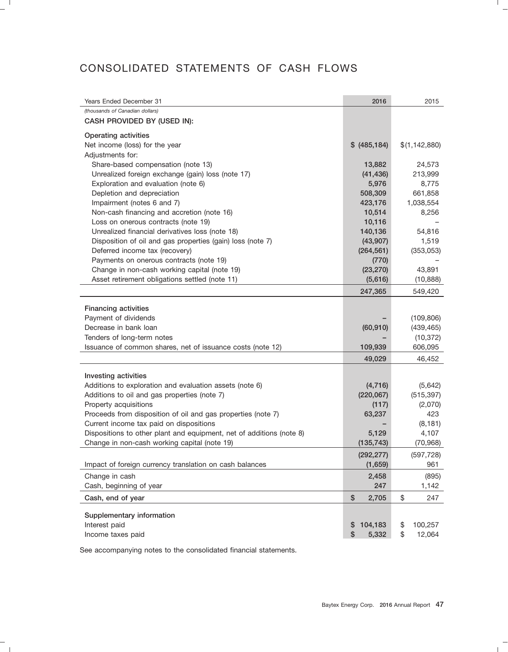# CONSOLIDATED STATEMENTS OF CASH FLOWS

| Years Ended December 31                                                         | 2016                | 2015            |
|---------------------------------------------------------------------------------|---------------------|-----------------|
| (thousands of Canadian dollars)                                                 |                     |                 |
| CASH PROVIDED BY (USED IN):                                                     |                     |                 |
| <b>Operating activities</b>                                                     |                     |                 |
| Net income (loss) for the year                                                  | \$ (485, 184)       | \$(1, 142, 880) |
| Adjustments for:                                                                |                     |                 |
| Share-based compensation (note 13)                                              | 13,882              | 24,573          |
| Unrealized foreign exchange (gain) loss (note 17)                               | (41, 436)           | 213,999         |
| Exploration and evaluation (note 6)                                             | 5,976               | 8,775           |
| Depletion and depreciation                                                      | 508,309             | 661,858         |
| Impairment (notes 6 and 7)                                                      | 423,176             | 1,038,554       |
| Non-cash financing and accretion (note 16)                                      | 10,514              | 8,256           |
| Loss on onerous contracts (note 19)                                             | 10,116              |                 |
| Unrealized financial derivatives loss (note 18)                                 | 140,136             | 54,816          |
| Disposition of oil and gas properties (gain) loss (note 7)                      | (43, 907)           | 1,519           |
| Deferred income tax (recovery)                                                  | (264, 561)          | (353, 053)      |
| Payments on onerous contracts (note 19)                                         | (770)               |                 |
| Change in non-cash working capital (note 19)                                    | (23, 270)           | 43,891          |
| Asset retirement obligations settled (note 11)                                  | (5,616)             | (10, 888)       |
|                                                                                 | 247,365             | 549,420         |
|                                                                                 |                     |                 |
| <b>Financing activities</b>                                                     |                     |                 |
| Payment of dividends                                                            |                     | (109, 806)      |
| Decrease in bank loan                                                           | (60, 910)           | (439, 465)      |
| Tenders of long-term notes                                                      |                     | (10, 372)       |
| Issuance of common shares, net of issuance costs (note 12)                      | 109,939             | 606,095         |
|                                                                                 | 49,029              | 46,452          |
|                                                                                 |                     |                 |
| Investing activities<br>Additions to exploration and evaluation assets (note 6) | (4, 716)            | (5,642)         |
| Additions to oil and gas properties (note 7)                                    | (220, 067)          | (515, 397)      |
| Property acquisitions                                                           |                     | (2,070)         |
| Proceeds from disposition of oil and gas properties (note 7)                    | (117)<br>63,237     | 423             |
| Current income tax paid on dispositions                                         |                     | (8, 181)        |
| Dispositions to other plant and equipment, net of additions (note 8)            |                     | 4,107           |
| Change in non-cash working capital (note 19)                                    | 5,129<br>(135, 743) | (70, 968)       |
|                                                                                 |                     |                 |
|                                                                                 | (292, 277)          | (597, 728)      |
| Impact of foreign currency translation on cash balances                         | (1,659)             | 961             |
| Change in cash                                                                  | 2,458               | (895)           |
| Cash, beginning of year                                                         | 247                 | 1,142           |
| Cash, end of year                                                               | \$<br>2,705         | \$<br>247       |
|                                                                                 |                     |                 |
| Supplementary information                                                       |                     |                 |
| Interest paid                                                                   | 104,183<br>\$       | \$<br>100,257   |
| Income taxes paid                                                               | \$<br>5,332         | \$<br>12,064    |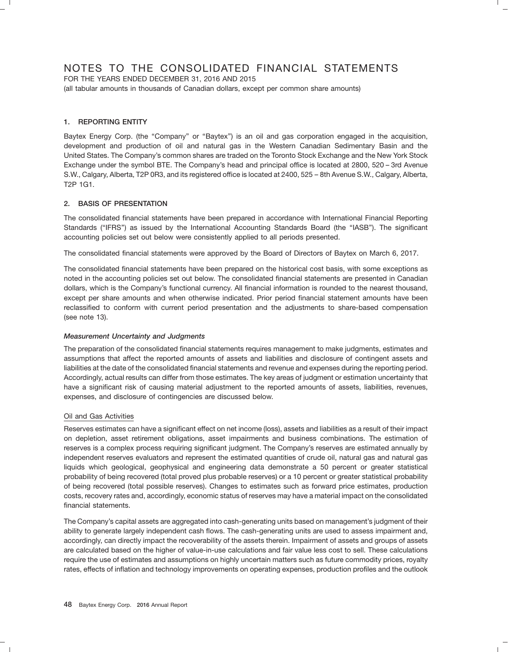# NOTES TO THE CONSOLIDATED FINANCIAL STATEMENTS

FOR THE YEARS ENDED DECEMBER 31, 2016 AND 2015 (all tabular amounts in thousands of Canadian dollars, except per common share amounts)

# **1. REPORTING ENTITY**

Baytex Energy Corp. (the "Company" or "Baytex") is an oil and gas corporation engaged in the acquisition, development and production of oil and natural gas in the Western Canadian Sedimentary Basin and the United States. The Company's common shares are traded on the Toronto Stock Exchange and the New York Stock Exchange under the symbol BTE. The Company's head and principal office is located at 2800, 520 – 3rd Avenue S.W., Calgary, Alberta, T2P 0R3, and its registered office is located at 2400, 525 – 8th Avenue S.W., Calgary, Alberta, T2P 1G1.

## **2. BASIS OF PRESENTATION**

The consolidated financial statements have been prepared in accordance with International Financial Reporting Standards (''IFRS'') as issued by the International Accounting Standards Board (the ''IASB''). The significant accounting policies set out below were consistently applied to all periods presented.

The consolidated financial statements were approved by the Board of Directors of Baytex on March 6, 2017.

The consolidated financial statements have been prepared on the historical cost basis, with some exceptions as noted in the accounting policies set out below. The consolidated financial statements are presented in Canadian dollars, which is the Company's functional currency. All financial information is rounded to the nearest thousand, except per share amounts and when otherwise indicated. Prior period financial statement amounts have been reclassified to conform with current period presentation and the adjustments to share-based compensation (see note 13).

# *Measurement Uncertainty and Judgments*

The preparation of the consolidated financial statements requires management to make judgments, estimates and assumptions that affect the reported amounts of assets and liabilities and disclosure of contingent assets and liabilities at the date of the consolidated financial statements and revenue and expenses during the reporting period. Accordingly, actual results can differ from those estimates. The key areas of judgment or estimation uncertainty that have a significant risk of causing material adjustment to the reported amounts of assets, liabilities, revenues, expenses, and disclosure of contingencies are discussed below.

## Oil and Gas Activities

Reserves estimates can have a significant effect on net income (loss), assets and liabilities as a result of their impact on depletion, asset retirement obligations, asset impairments and business combinations. The estimation of reserves is a complex process requiring significant judgment. The Company's reserves are estimated annually by independent reserves evaluators and represent the estimated quantities of crude oil, natural gas and natural gas liquids which geological, geophysical and engineering data demonstrate a 50 percent or greater statistical probability of being recovered (total proved plus probable reserves) or a 10 percent or greater statistical probability of being recovered (total possible reserves). Changes to estimates such as forward price estimates, production costs, recovery rates and, accordingly, economic status of reserves may have a material impact on the consolidated financial statements.

The Company's capital assets are aggregated into cash-generating units based on management's judgment of their ability to generate largely independent cash flows. The cash-generating units are used to assess impairment and, accordingly, can directly impact the recoverability of the assets therein. Impairment of assets and groups of assets are calculated based on the higher of value-in-use calculations and fair value less cost to sell. These calculations require the use of estimates and assumptions on highly uncertain matters such as future commodity prices, royalty rates, effects of inflation and technology improvements on operating expenses, production profiles and the outlook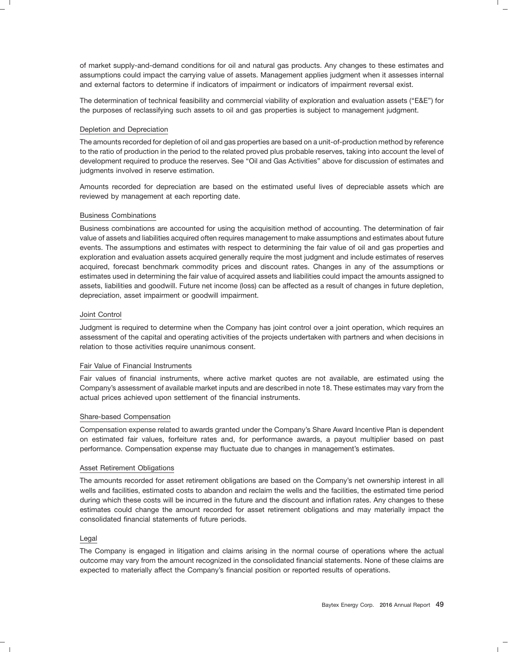of market supply-and-demand conditions for oil and natural gas products. Any changes to these estimates and assumptions could impact the carrying value of assets. Management applies judgment when it assesses internal and external factors to determine if indicators of impairment or indicators of impairment reversal exist.

The determination of technical feasibility and commercial viability of exploration and evaluation assets ("E&E") for the purposes of reclassifying such assets to oil and gas properties is subject to management judgment.

#### Depletion and Depreciation

The amounts recorded for depletion of oil and gas properties are based on a unit-of-production method by reference to the ratio of production in the period to the related proved plus probable reserves, taking into account the level of development required to produce the reserves. See ''Oil and Gas Activities'' above for discussion of estimates and judgments involved in reserve estimation.

Amounts recorded for depreciation are based on the estimated useful lives of depreciable assets which are reviewed by management at each reporting date.

#### Business Combinations

Business combinations are accounted for using the acquisition method of accounting. The determination of fair value of assets and liabilities acquired often requires management to make assumptions and estimates about future events. The assumptions and estimates with respect to determining the fair value of oil and gas properties and exploration and evaluation assets acquired generally require the most judgment and include estimates of reserves acquired, forecast benchmark commodity prices and discount rates. Changes in any of the assumptions or estimates used in determining the fair value of acquired assets and liabilities could impact the amounts assigned to assets, liabilities and goodwill. Future net income (loss) can be affected as a result of changes in future depletion, depreciation, asset impairment or goodwill impairment.

#### Joint Control

Judgment is required to determine when the Company has joint control over a joint operation, which requires an assessment of the capital and operating activities of the projects undertaken with partners and when decisions in relation to those activities require unanimous consent.

#### Fair Value of Financial Instruments

Fair values of financial instruments, where active market quotes are not available, are estimated using the Company's assessment of available market inputs and are described in note 18. These estimates may vary from the actual prices achieved upon settlement of the financial instruments.

## Share-based Compensation

Compensation expense related to awards granted under the Company's Share Award Incentive Plan is dependent on estimated fair values, forfeiture rates and, for performance awards, a payout multiplier based on past performance. Compensation expense may fluctuate due to changes in management's estimates.

## Asset Retirement Obligations

The amounts recorded for asset retirement obligations are based on the Company's net ownership interest in all wells and facilities, estimated costs to abandon and reclaim the wells and the facilities, the estimated time period during which these costs will be incurred in the future and the discount and inflation rates. Any changes to these estimates could change the amount recorded for asset retirement obligations and may materially impact the consolidated financial statements of future periods.

## Legal

The Company is engaged in litigation and claims arising in the normal course of operations where the actual outcome may vary from the amount recognized in the consolidated financial statements. None of these claims are expected to materially affect the Company's financial position or reported results of operations.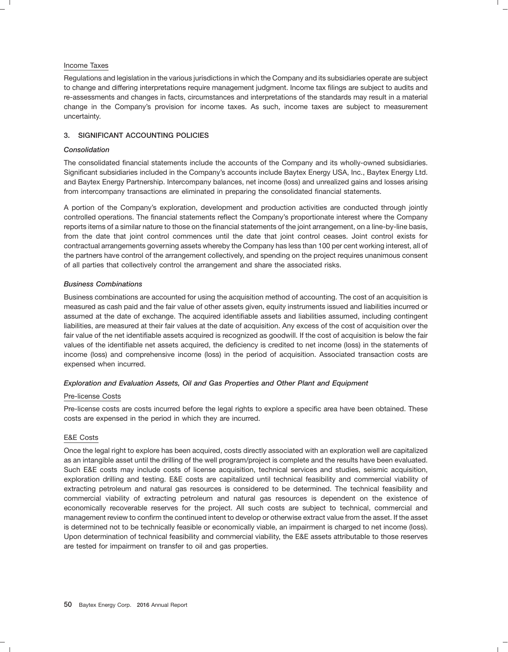#### Income Taxes

Regulations and legislation in the various jurisdictions in which the Company and its subsidiaries operate are subject to change and differing interpretations require management judgment. Income tax filings are subject to audits and re-assessments and changes in facts, circumstances and interpretations of the standards may result in a material change in the Company's provision for income taxes. As such, income taxes are subject to measurement uncertainty.

## **3. SIGNIFICANT ACCOUNTING POLICIES**

## *Consolidation*

The consolidated financial statements include the accounts of the Company and its wholly-owned subsidiaries. Significant subsidiaries included in the Company's accounts include Baytex Energy USA, Inc., Baytex Energy Ltd. and Baytex Energy Partnership. Intercompany balances, net income (loss) and unrealized gains and losses arising from intercompany transactions are eliminated in preparing the consolidated financial statements.

A portion of the Company's exploration, development and production activities are conducted through jointly controlled operations. The financial statements reflect the Company's proportionate interest where the Company reports items of a similar nature to those on the financial statements of the joint arrangement, on a line-by-line basis, from the date that joint control commences until the date that joint control ceases. Joint control exists for contractual arrangements governing assets whereby the Company has less than 100 per cent working interest, all of the partners have control of the arrangement collectively, and spending on the project requires unanimous consent of all parties that collectively control the arrangement and share the associated risks.

## *Business Combinations*

Business combinations are accounted for using the acquisition method of accounting. The cost of an acquisition is measured as cash paid and the fair value of other assets given, equity instruments issued and liabilities incurred or assumed at the date of exchange. The acquired identifiable assets and liabilities assumed, including contingent liabilities, are measured at their fair values at the date of acquisition. Any excess of the cost of acquisition over the fair value of the net identifiable assets acquired is recognized as goodwill. If the cost of acquisition is below the fair values of the identifiable net assets acquired, the deficiency is credited to net income (loss) in the statements of income (loss) and comprehensive income (loss) in the period of acquisition. Associated transaction costs are expensed when incurred.

# *Exploration and Evaluation Assets, Oil and Gas Properties and Other Plant and Equipment*

## Pre-license Costs

Pre-license costs are costs incurred before the legal rights to explore a specific area have been obtained. These costs are expensed in the period in which they are incurred.

## E&E Costs

Once the legal right to explore has been acquired, costs directly associated with an exploration well are capitalized as an intangible asset until the drilling of the well program/project is complete and the results have been evaluated. Such E&E costs may include costs of license acquisition, technical services and studies, seismic acquisition, exploration drilling and testing. E&E costs are capitalized until technical feasibility and commercial viability of extracting petroleum and natural gas resources is considered to be determined. The technical feasibility and commercial viability of extracting petroleum and natural gas resources is dependent on the existence of economically recoverable reserves for the project. All such costs are subject to technical, commercial and management review to confirm the continued intent to develop or otherwise extract value from the asset. If the asset is determined not to be technically feasible or economically viable, an impairment is charged to net income (loss). Upon determination of technical feasibility and commercial viability, the E&E assets attributable to those reserves are tested for impairment on transfer to oil and gas properties.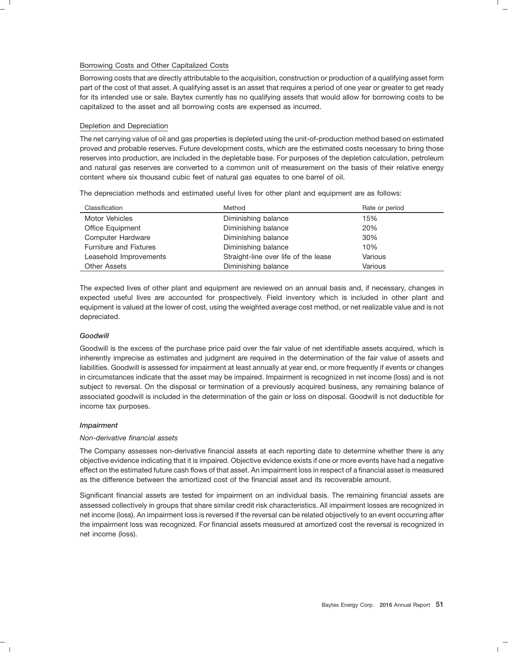## Borrowing Costs and Other Capitalized Costs

Borrowing costs that are directly attributable to the acquisition, construction or production of a qualifying asset form part of the cost of that asset. A qualifying asset is an asset that requires a period of one year or greater to get ready for its intended use or sale. Baytex currently has no qualifying assets that would allow for borrowing costs to be capitalized to the asset and all borrowing costs are expensed as incurred.

# Depletion and Depreciation

The net carrying value of oil and gas properties is depleted using the unit-of-production method based on estimated proved and probable reserves. Future development costs, which are the estimated costs necessary to bring those reserves into production, are included in the depletable base. For purposes of the depletion calculation, petroleum and natural gas reserves are converted to a common unit of measurement on the basis of their relative energy content where six thousand cubic feet of natural gas equates to one barrel of oil.

The depreciation methods and estimated useful lives for other plant and equipment are as follows:

| Classification                | Method                               | Rate or period |
|-------------------------------|--------------------------------------|----------------|
| Motor Vehicles                | Diminishing balance                  | 15%            |
| Office Equipment              | Diminishing balance                  | 20%            |
| Computer Hardware             | Diminishing balance                  | 30%            |
| <b>Furniture and Fixtures</b> | Diminishing balance                  | 10%            |
| Leasehold Improvements        | Straight-line over life of the lease | Various        |
| <b>Other Assets</b>           | Diminishing balance                  | Various        |

The expected lives of other plant and equipment are reviewed on an annual basis and, if necessary, changes in expected useful lives are accounted for prospectively. Field inventory which is included in other plant and equipment is valued at the lower of cost, using the weighted average cost method, or net realizable value and is not depreciated.

# *Goodwill*

Goodwill is the excess of the purchase price paid over the fair value of net identifiable assets acquired, which is inherently imprecise as estimates and judgment are required in the determination of the fair value of assets and liabilities. Goodwill is assessed for impairment at least annually at year end, or more frequently if events or changes in circumstances indicate that the asset may be impaired. Impairment is recognized in net income (loss) and is not subject to reversal. On the disposal or termination of a previously acquired business, any remaining balance of associated goodwill is included in the determination of the gain or loss on disposal. Goodwill is not deductible for income tax purposes.

## *Impairment*

## *Non-derivative financial assets*

The Company assesses non-derivative financial assets at each reporting date to determine whether there is any objective evidence indicating that it is impaired. Objective evidence exists if one or more events have had a negative effect on the estimated future cash flows of that asset. An impairment loss in respect of a financial asset is measured as the difference between the amortized cost of the financial asset and its recoverable amount.

Significant financial assets are tested for impairment on an individual basis. The remaining financial assets are assessed collectively in groups that share similar credit risk characteristics. All impairment losses are recognized in net income (loss). An impairment loss is reversed if the reversal can be related objectively to an event occurring after the impairment loss was recognized. For financial assets measured at amortized cost the reversal is recognized in net income (loss).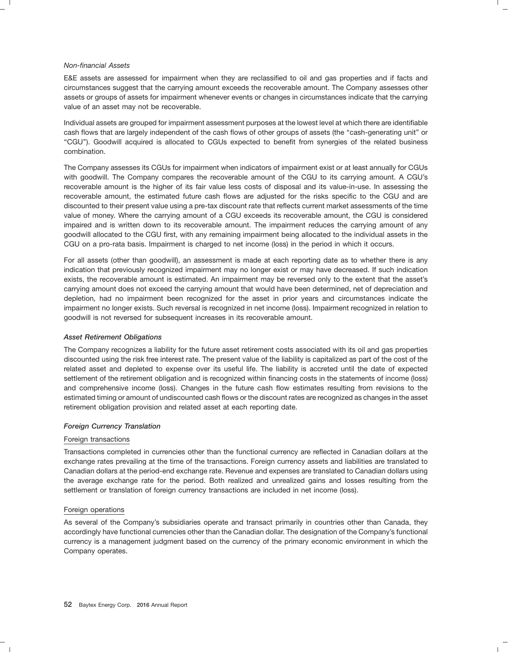#### *Non-financial Assets*

E&E assets are assessed for impairment when they are reclassified to oil and gas properties and if facts and circumstances suggest that the carrying amount exceeds the recoverable amount. The Company assesses other assets or groups of assets for impairment whenever events or changes in circumstances indicate that the carrying value of an asset may not be recoverable.

Individual assets are grouped for impairment assessment purposes at the lowest level at which there are identifiable cash flows that are largely independent of the cash flows of other groups of assets (the "cash-generating unit" or ''CGU''). Goodwill acquired is allocated to CGUs expected to benefit from synergies of the related business combination.

The Company assesses its CGUs for impairment when indicators of impairment exist or at least annually for CGUs with goodwill. The Company compares the recoverable amount of the CGU to its carrying amount. A CGU's recoverable amount is the higher of its fair value less costs of disposal and its value-in-use. In assessing the recoverable amount, the estimated future cash flows are adjusted for the risks specific to the CGU and are discounted to their present value using a pre-tax discount rate that reflects current market assessments of the time value of money. Where the carrying amount of a CGU exceeds its recoverable amount, the CGU is considered impaired and is written down to its recoverable amount. The impairment reduces the carrying amount of any goodwill allocated to the CGU first, with any remaining impairment being allocated to the individual assets in the CGU on a pro-rata basis. Impairment is charged to net income (loss) in the period in which it occurs.

For all assets (other than goodwill), an assessment is made at each reporting date as to whether there is any indication that previously recognized impairment may no longer exist or may have decreased. If such indication exists, the recoverable amount is estimated. An impairment may be reversed only to the extent that the asset's carrying amount does not exceed the carrying amount that would have been determined, net of depreciation and depletion, had no impairment been recognized for the asset in prior years and circumstances indicate the impairment no longer exists. Such reversal is recognized in net income (loss). Impairment recognized in relation to goodwill is not reversed for subsequent increases in its recoverable amount.

## *Asset Retirement Obligations*

The Company recognizes a liability for the future asset retirement costs associated with its oil and gas properties discounted using the risk free interest rate. The present value of the liability is capitalized as part of the cost of the related asset and depleted to expense over its useful life. The liability is accreted until the date of expected settlement of the retirement obligation and is recognized within financing costs in the statements of income (loss) and comprehensive income (loss). Changes in the future cash flow estimates resulting from revisions to the estimated timing or amount of undiscounted cash flows or the discount rates are recognized as changes in the asset retirement obligation provision and related asset at each reporting date.

## *Foreign Currency Translation*

## Foreign transactions

Transactions completed in currencies other than the functional currency are reflected in Canadian dollars at the exchange rates prevailing at the time of the transactions. Foreign currency assets and liabilities are translated to Canadian dollars at the period-end exchange rate. Revenue and expenses are translated to Canadian dollars using the average exchange rate for the period. Both realized and unrealized gains and losses resulting from the settlement or translation of foreign currency transactions are included in net income (loss).

## Foreign operations

As several of the Company's subsidiaries operate and transact primarily in countries other than Canada, they accordingly have functional currencies other than the Canadian dollar. The designation of the Company's functional currency is a management judgment based on the currency of the primary economic environment in which the Company operates.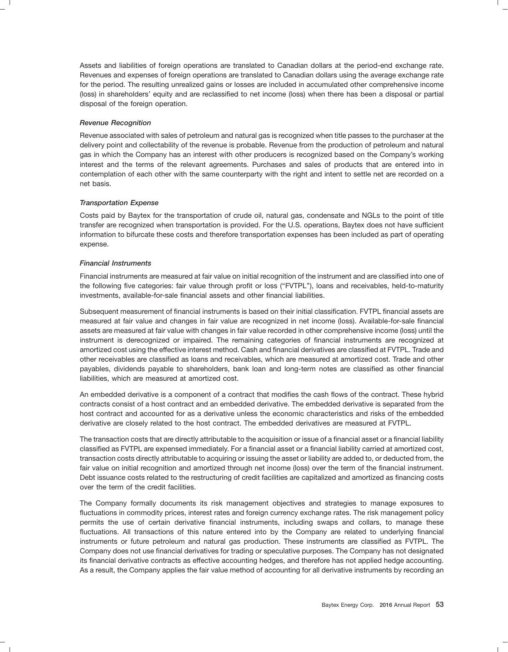Assets and liabilities of foreign operations are translated to Canadian dollars at the period-end exchange rate. Revenues and expenses of foreign operations are translated to Canadian dollars using the average exchange rate for the period. The resulting unrealized gains or losses are included in accumulated other comprehensive income (loss) in shareholders' equity and are reclassified to net income (loss) when there has been a disposal or partial disposal of the foreign operation.

## *Revenue Recognition*

Revenue associated with sales of petroleum and natural gas is recognized when title passes to the purchaser at the delivery point and collectability of the revenue is probable. Revenue from the production of petroleum and natural gas in which the Company has an interest with other producers is recognized based on the Company's working interest and the terms of the relevant agreements. Purchases and sales of products that are entered into in contemplation of each other with the same counterparty with the right and intent to settle net are recorded on a net basis.

## *Transportation Expense*

Costs paid by Baytex for the transportation of crude oil, natural gas, condensate and NGLs to the point of title transfer are recognized when transportation is provided. For the U.S. operations, Baytex does not have sufficient information to bifurcate these costs and therefore transportation expenses has been included as part of operating expense.

## *Financial Instruments*

Financial instruments are measured at fair value on initial recognition of the instrument and are classified into one of the following five categories: fair value through profit or loss (''FVTPL''), loans and receivables, held-to-maturity investments, available-for-sale financial assets and other financial liabilities.

Subsequent measurement of financial instruments is based on their initial classification. FVTPL financial assets are measured at fair value and changes in fair value are recognized in net income (loss). Available-for-sale financial assets are measured at fair value with changes in fair value recorded in other comprehensive income (loss) until the instrument is derecognized or impaired. The remaining categories of financial instruments are recognized at amortized cost using the effective interest method. Cash and financial derivatives are classified at FVTPL. Trade and other receivables are classified as loans and receivables, which are measured at amortized cost. Trade and other payables, dividends payable to shareholders, bank loan and long-term notes are classified as other financial liabilities, which are measured at amortized cost.

An embedded derivative is a component of a contract that modifies the cash flows of the contract. These hybrid contracts consist of a host contract and an embedded derivative. The embedded derivative is separated from the host contract and accounted for as a derivative unless the economic characteristics and risks of the embedded derivative are closely related to the host contract. The embedded derivatives are measured at FVTPL.

The transaction costs that are directly attributable to the acquisition or issue of a financial asset or a financial liability classified as FVTPL are expensed immediately. For a financial asset or a financial liability carried at amortized cost, transaction costs directly attributable to acquiring or issuing the asset or liability are added to, or deducted from, the fair value on initial recognition and amortized through net income (loss) over the term of the financial instrument. Debt issuance costs related to the restructuring of credit facilities are capitalized and amortized as financing costs over the term of the credit facilities.

The Company formally documents its risk management objectives and strategies to manage exposures to fluctuations in commodity prices, interest rates and foreign currency exchange rates. The risk management policy permits the use of certain derivative financial instruments, including swaps and collars, to manage these fluctuations. All transactions of this nature entered into by the Company are related to underlying financial instruments or future petroleum and natural gas production. These instruments are classified as FVTPL. The Company does not use financial derivatives for trading or speculative purposes. The Company has not designated its financial derivative contracts as effective accounting hedges, and therefore has not applied hedge accounting. As a result, the Company applies the fair value method of accounting for all derivative instruments by recording an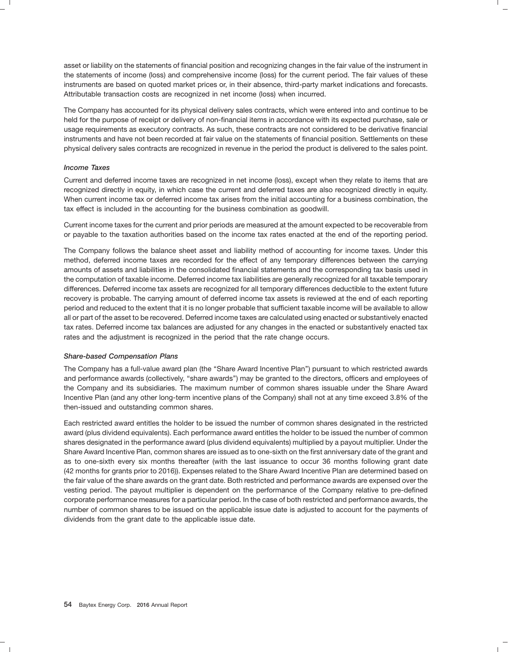asset or liability on the statements of financial position and recognizing changes in the fair value of the instrument in the statements of income (loss) and comprehensive income (loss) for the current period. The fair values of these instruments are based on quoted market prices or, in their absence, third-party market indications and forecasts. Attributable transaction costs are recognized in net income (loss) when incurred.

The Company has accounted for its physical delivery sales contracts, which were entered into and continue to be held for the purpose of receipt or delivery of non-financial items in accordance with its expected purchase, sale or usage requirements as executory contracts. As such, these contracts are not considered to be derivative financial instruments and have not been recorded at fair value on the statements of financial position. Settlements on these physical delivery sales contracts are recognized in revenue in the period the product is delivered to the sales point.

#### *Income Taxes*

Current and deferred income taxes are recognized in net income (loss), except when they relate to items that are recognized directly in equity, in which case the current and deferred taxes are also recognized directly in equity. When current income tax or deferred income tax arises from the initial accounting for a business combination, the tax effect is included in the accounting for the business combination as goodwill.

Current income taxes for the current and prior periods are measured at the amount expected to be recoverable from or payable to the taxation authorities based on the income tax rates enacted at the end of the reporting period.

The Company follows the balance sheet asset and liability method of accounting for income taxes. Under this method, deferred income taxes are recorded for the effect of any temporary differences between the carrying amounts of assets and liabilities in the consolidated financial statements and the corresponding tax basis used in the computation of taxable income. Deferred income tax liabilities are generally recognized for all taxable temporary differences. Deferred income tax assets are recognized for all temporary differences deductible to the extent future recovery is probable. The carrying amount of deferred income tax assets is reviewed at the end of each reporting period and reduced to the extent that it is no longer probable that sufficient taxable income will be available to allow all or part of the asset to be recovered. Deferred income taxes are calculated using enacted or substantively enacted tax rates. Deferred income tax balances are adjusted for any changes in the enacted or substantively enacted tax rates and the adjustment is recognized in the period that the rate change occurs.

#### *Share-based Compensation Plans*

The Company has a full-value award plan (the "Share Award Incentive Plan") pursuant to which restricted awards and performance awards (collectively, ''share awards'') may be granted to the directors, officers and employees of the Company and its subsidiaries. The maximum number of common shares issuable under the Share Award Incentive Plan (and any other long-term incentive plans of the Company) shall not at any time exceed 3.8% of the then-issued and outstanding common shares.

Each restricted award entitles the holder to be issued the number of common shares designated in the restricted award (plus dividend equivalents). Each performance award entitles the holder to be issued the number of common shares designated in the performance award (plus dividend equivalents) multiplied by a payout multiplier. Under the Share Award Incentive Plan, common shares are issued as to one-sixth on the first anniversary date of the grant and as to one-sixth every six months thereafter (with the last issuance to occur 36 months following grant date (42 months for grants prior to 2016)). Expenses related to the Share Award Incentive Plan are determined based on the fair value of the share awards on the grant date. Both restricted and performance awards are expensed over the vesting period. The payout multiplier is dependent on the performance of the Company relative to pre-defined corporate performance measures for a particular period. In the case of both restricted and performance awards, the number of common shares to be issued on the applicable issue date is adjusted to account for the payments of dividends from the grant date to the applicable issue date.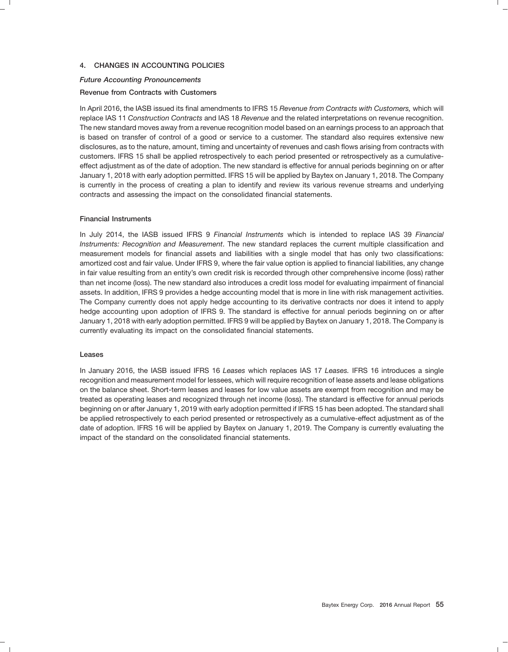## **4. CHANGES IN ACCOUNTING POLICIES**

#### *Future Accounting Pronouncements*

#### **Revenue from Contracts with Customers**

In April 2016, the IASB issued its final amendments to IFRS 15 *Revenue from Contracts with Customers,* which will replace IAS 11 *Construction Contracts* and IAS 18 *Revenue* and the related interpretations on revenue recognition. The new standard moves away from a revenue recognition model based on an earnings process to an approach that is based on transfer of control of a good or service to a customer. The standard also requires extensive new disclosures, as to the nature, amount, timing and uncertainty of revenues and cash flows arising from contracts with customers. IFRS 15 shall be applied retrospectively to each period presented or retrospectively as a cumulativeeffect adjustment as of the date of adoption. The new standard is effective for annual periods beginning on or after January 1, 2018 with early adoption permitted. IFRS 15 will be applied by Baytex on January 1, 2018. The Company is currently in the process of creating a plan to identify and review its various revenue streams and underlying contracts and assessing the impact on the consolidated financial statements.

#### **Financial Instruments**

In July 2014, the IASB issued IFRS 9 *Financial Instruments* which is intended to replace IAS 39 *Financial Instruments: Recognition and Measurement*. The new standard replaces the current multiple classification and measurement models for financial assets and liabilities with a single model that has only two classifications: amortized cost and fair value. Under IFRS 9, where the fair value option is applied to financial liabilities, any change in fair value resulting from an entity's own credit risk is recorded through other comprehensive income (loss) rather than net income (loss). The new standard also introduces a credit loss model for evaluating impairment of financial assets. In addition, IFRS 9 provides a hedge accounting model that is more in line with risk management activities. The Company currently does not apply hedge accounting to its derivative contracts nor does it intend to apply hedge accounting upon adoption of IFRS 9. The standard is effective for annual periods beginning on or after January 1, 2018 with early adoption permitted. IFRS 9 will be applied by Baytex on January 1, 2018. The Company is currently evaluating its impact on the consolidated financial statements.

#### **Leases**

In January 2016, the IASB issued IFRS 16 *Leases* which replaces IAS 17 *Leases.* IFRS 16 introduces a single recognition and measurement model for lessees, which will require recognition of lease assets and lease obligations on the balance sheet. Short-term leases and leases for low value assets are exempt from recognition and may be treated as operating leases and recognized through net income (loss). The standard is effective for annual periods beginning on or after January 1, 2019 with early adoption permitted if IFRS 15 has been adopted. The standard shall be applied retrospectively to each period presented or retrospectively as a cumulative-effect adjustment as of the date of adoption. IFRS 16 will be applied by Baytex on January 1, 2019. The Company is currently evaluating the impact of the standard on the consolidated financial statements.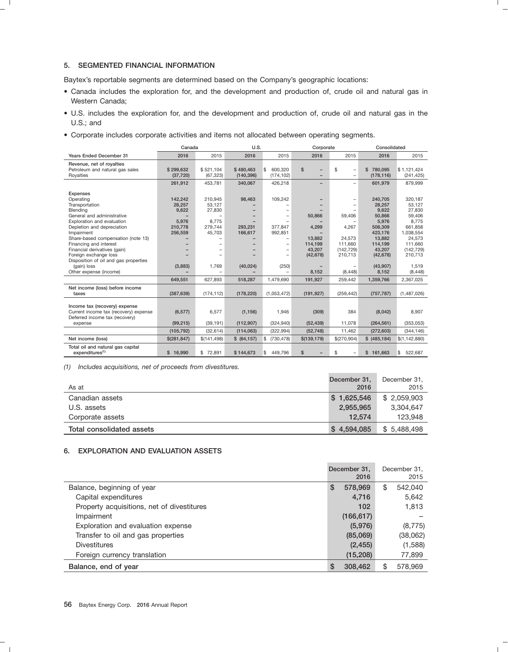# **5. SEGMENTED FINANCIAL INFORMATION**

Baytex's reportable segments are determined based on the Company's geographic locations:

- Canada includes the exploration for, and the development and production of, crude oil and natural gas in Western Canada;
- U.S. includes the exploration for, and the development and production of, crude oil and natural gas in the U.S.; and
- Corporate includes corporate activities and items not allocated between operating segments.

|                                                                                                                                                                                                                                                                                             | Canada                                                    |                                                           | U.S.                               |                                                                                                                               | Corporate                                                   |                                                                                  | Consolidated                                                                                                    |                                                                                                                      |
|---------------------------------------------------------------------------------------------------------------------------------------------------------------------------------------------------------------------------------------------------------------------------------------------|-----------------------------------------------------------|-----------------------------------------------------------|------------------------------------|-------------------------------------------------------------------------------------------------------------------------------|-------------------------------------------------------------|----------------------------------------------------------------------------------|-----------------------------------------------------------------------------------------------------------------|----------------------------------------------------------------------------------------------------------------------|
| Years Ended December 31                                                                                                                                                                                                                                                                     | 2016                                                      | 2015                                                      | 2016                               | 2015                                                                                                                          | 2016                                                        | 2015                                                                             | 2016                                                                                                            | 2015                                                                                                                 |
| Revenue, net of royalties<br>Petroleum and natural gas sales<br>Royalties                                                                                                                                                                                                                   | \$299,632<br>(37, 720)                                    | \$521.104<br>(67, 323)                                    | \$480,463<br>(140, 396)            | \$<br>600.320<br>(174, 102)                                                                                                   | $\mathfrak{s}$                                              | \$<br>$\overline{\phantom{0}}$<br>$\qquad \qquad -$                              | \$780,095<br>(178, 116)                                                                                         | \$1,121,424<br>(241, 425)                                                                                            |
|                                                                                                                                                                                                                                                                                             | 261,912                                                   | 453,781                                                   | 340,067                            | 426,218                                                                                                                       |                                                             | $\equiv$                                                                         | 601,979                                                                                                         | 879,999                                                                                                              |
| <b>Expenses</b><br>Operating<br>Transportation<br>Blending<br>General and administrative<br>Exploration and evaluation<br>Depletion and depreciation<br>Impairment<br>Share-based compensation (note 13)<br>Financing and interest<br>Financial derivatives (gain)<br>Foreign exchange loss | 142,242<br>28,257<br>9,622<br>5.976<br>210.778<br>256,559 | 210.945<br>53,127<br>27,830<br>8.775<br>279.744<br>45.703 | 98,463<br>293.231<br>166.617       | 109,242<br>$\equiv$<br>377.847<br>992,851<br>$\overline{\phantom{0}}$<br>$\overline{\phantom{m}}$<br>$\overline{\phantom{0}}$ | 50,866<br>4,299<br>13,882<br>114,199<br>43,207<br>(42, 678) | $\qquad \qquad$<br>59,406<br>4,267<br>24.573<br>111.660<br>(142, 729)<br>210,713 | 240,705<br>28,257<br>9,622<br>50,866<br>5.976<br>508.309<br>423.176<br>13.882<br>114.199<br>43.207<br>(42, 678) | 320,187<br>53,127<br>27,830<br>59,406<br>8.775<br>661.858<br>1.038.554<br>24,573<br>111,660<br>(142, 729)<br>210,713 |
| Disposition of oil and gas properties<br>(gain) loss<br>Other expense (income)                                                                                                                                                                                                              | (3,883)                                                   | 1.769                                                     | (40, 024)                          | (250)                                                                                                                         | 8,152                                                       | (8, 448)                                                                         | (43,907)<br>8,152                                                                                               | 1.519<br>(8, 448)                                                                                                    |
|                                                                                                                                                                                                                                                                                             | 649.551                                                   | 627.893                                                   | 518,287                            | 1.479.690                                                                                                                     | 191,927                                                     | 259.442                                                                          | 1,359,766                                                                                                       | 2,367,025                                                                                                            |
| Net income (loss) before income<br>taxes                                                                                                                                                                                                                                                    | (387, 639)                                                | (174, 112)                                                | (178, 220)                         | (1,053,472)                                                                                                                   | (191, 927)                                                  | (259, 442)                                                                       | (757, 787)                                                                                                      | (1,487,026)                                                                                                          |
| Income tax (recovery) expense<br>Current income tax (recovery) expense<br>Deferred income tax (recovery)<br>expense                                                                                                                                                                         | (6, 577)<br>(99, 215)<br>(105, 792)                       | 6,577<br>(39, 191)<br>(32, 614)                           | (1, 156)<br>(112,907)<br>(114,063) | 1,946<br>(324, 940)<br>(322, 994)                                                                                             | (309)<br>(52, 439)<br>(52, 748)                             | 384<br>11,078<br>11,462                                                          | (8,042)<br>(264, 561)<br>(272, 603)                                                                             | 8,907<br>(353,053)<br>(344, 146)                                                                                     |
| Net income (loss)                                                                                                                                                                                                                                                                           | $$$ (281,847)                                             | \$(141, 498)                                              | \$ (64, 157)                       | \$<br>(730, 478)                                                                                                              | \$(139, 179)                                                | \$(270,904)                                                                      | \$ (485, 184)                                                                                                   | \$(1, 142, 880)                                                                                                      |
| Total oil and natural gas capital<br>expenditures <sup>(1)</sup>                                                                                                                                                                                                                            | \$16.990                                                  | \$72.891                                                  | \$144.673                          | \$<br>449.796                                                                                                                 | \$                                                          | \$<br>$\overline{\phantom{a}}$                                                   | \$161.663                                                                                                       | \$<br>522.687                                                                                                        |

*(1) Includes acquisitions, net of proceeds from divestitures.*

| As at                     | December 31,<br>2016 | December 31,<br>2015 |
|---------------------------|----------------------|----------------------|
| Canadian assets           | \$1,625,546          | \$2.059.903          |
| U.S. assets               | 2,955,965            | 3,304,647            |
| Corporate assets          | 12.574               | 123,948              |
| Total consolidated assets | \$4.594.085          | \$5,488,498          |

## **6. EXPLORATION AND EVALUATION ASSETS**

|                                            | December 31.<br>2016 | December 31.<br>2015 |
|--------------------------------------------|----------------------|----------------------|
| Balance, beginning of year                 | \$<br>578,969        | \$<br>542,040        |
| Capital expenditures                       | 4,716                | 5,642                |
| Property acquisitions, net of divestitures | 102                  | 1,813                |
| Impairment                                 | (166, 617)           |                      |
| Exploration and evaluation expense         | (5,976)              | (8,775)              |
| Transfer to oil and gas properties         | (85,069)             | (38,062)             |
| Divestitures                               | (2, 455)             | (1,588)              |
| Foreign currency translation               | (15, 208)            | 77,899               |
| Balance, end of year                       | 308,462              | \$<br>578,969        |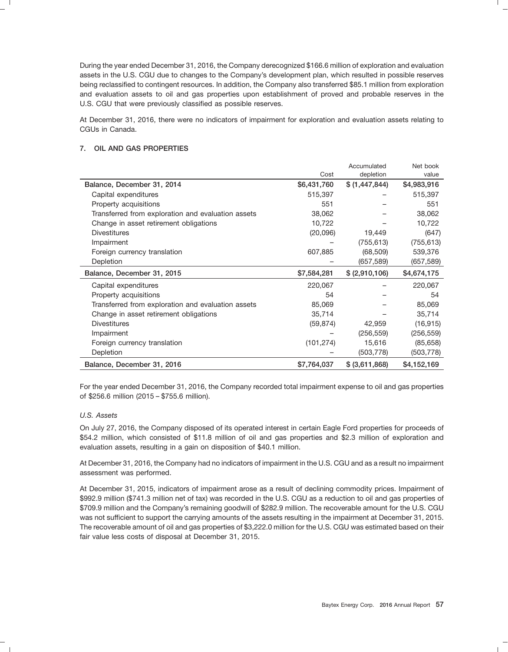During the year ended December 31, 2016, the Company derecognized \$166.6 million of exploration and evaluation assets in the U.S. CGU due to changes to the Company's development plan, which resulted in possible reserves being reclassified to contingent resources. In addition, the Company also transferred \$85.1 million from exploration and evaluation assets to oil and gas properties upon establishment of proved and probable reserves in the U.S. CGU that were previously classified as possible reserves.

At December 31, 2016, there were no indicators of impairment for exploration and evaluation assets relating to CGUs in Canada.

## **7. OIL AND GAS PROPERTIES**

|                                                    | Cost        | Accumulated<br>depletion | Net book<br>value |
|----------------------------------------------------|-------------|--------------------------|-------------------|
| Balance, December 31, 2014                         | \$6,431,760 | \$ (1,447,844)           | \$4,983,916       |
| Capital expenditures                               | 515,397     |                          | 515,397           |
| Property acquisitions                              | 551         |                          | 551               |
| Transferred from exploration and evaluation assets | 38,062      |                          | 38,062            |
| Change in asset retirement obligations             | 10,722      |                          | 10,722            |
| <b>Divestitures</b>                                | (20,096)    | 19,449                   | (647)             |
| Impairment                                         |             | (755, 613)               | (755, 613)        |
| Foreign currency translation                       | 607,885     | (68, 509)                | 539,376           |
| Depletion                                          |             | (657, 589)               | (657, 589)        |
|                                                    |             |                          |                   |
| Balance, December 31, 2015                         | \$7,584,281 | \$ (2,910,106)           | \$4,674,175       |
| Capital expenditures                               | 220,067     |                          | 220,067           |
| Property acquisitions                              | 54          |                          | 54                |
| Transferred from exploration and evaluation assets | 85,069      |                          | 85,069            |
| Change in asset retirement obligations             | 35,714      |                          | 35,714            |
| <b>Divestitures</b>                                | (59, 874)   | 42,959                   | (16, 915)         |
| Impairment                                         |             | (256, 559)               | (256, 559)        |
| Foreign currency translation                       | (101, 274)  | 15,616                   | (85, 658)         |
| Depletion                                          |             | (503,778)                | (503,778)         |

For the year ended December 31, 2016, the Company recorded total impairment expense to oil and gas properties of \$256.6 million (2015 – \$755.6 million).

## *U.S. Assets*

On July 27, 2016, the Company disposed of its operated interest in certain Eagle Ford properties for proceeds of \$54.2 million, which consisted of \$11.8 million of oil and gas properties and \$2.3 million of exploration and evaluation assets, resulting in a gain on disposition of \$40.1 million.

At December 31, 2016, the Company had no indicators of impairment in the U.S. CGU and as a result no impairment assessment was performed.

At December 31, 2015, indicators of impairment arose as a result of declining commodity prices. Impairment of \$992.9 million (\$741.3 million net of tax) was recorded in the U.S. CGU as a reduction to oil and gas properties of \$709.9 million and the Company's remaining goodwill of \$282.9 million. The recoverable amount for the U.S. CGU was not sufficient to support the carrying amounts of the assets resulting in the impairment at December 31, 2015. The recoverable amount of oil and gas properties of \$3,222.0 million for the U.S. CGU was estimated based on their fair value less costs of disposal at December 31, 2015.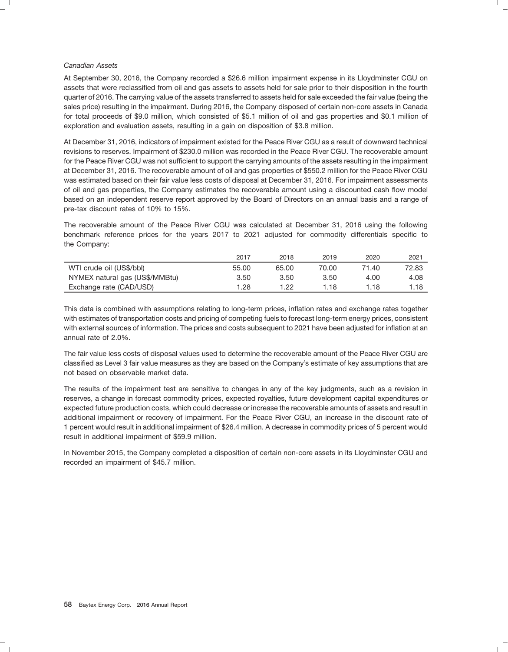#### *Canadian Assets*

At September 30, 2016, the Company recorded a \$26.6 million impairment expense in its Lloydminster CGU on assets that were reclassified from oil and gas assets to assets held for sale prior to their disposition in the fourth quarter of 2016. The carrying value of the assets transferred to assets held for sale exceeded the fair value (being the sales price) resulting in the impairment. During 2016, the Company disposed of certain non-core assets in Canada for total proceeds of \$9.0 million, which consisted of \$5.1 million of oil and gas properties and \$0.1 million of exploration and evaluation assets, resulting in a gain on disposition of \$3.8 million.

At December 31, 2016, indicators of impairment existed for the Peace River CGU as a result of downward technical revisions to reserves. Impairment of \$230.0 million was recorded in the Peace River CGU. The recoverable amount for the Peace River CGU was not sufficient to support the carrying amounts of the assets resulting in the impairment at December 31, 2016. The recoverable amount of oil and gas properties of \$550.2 million for the Peace River CGU was estimated based on their fair value less costs of disposal at December 31, 2016. For impairment assessments of oil and gas properties, the Company estimates the recoverable amount using a discounted cash flow model based on an independent reserve report approved by the Board of Directors on an annual basis and a range of pre-tax discount rates of 10% to 15%.

The recoverable amount of the Peace River CGU was calculated at December 31, 2016 using the following benchmark reference prices for the years 2017 to 2021 adjusted for commodity differentials specific to the Company:

|                                | 2017  | 2018  | 2019  | 2020  | 2021  |
|--------------------------------|-------|-------|-------|-------|-------|
| WTI crude oil (US\$/bbl)       | 55.00 | 65.00 | 70.00 | 71.40 | 72.83 |
| NYMEX natural gas (US\$/MMBtu) | 3.50  | 3.50  | 3.50  | 4.00  | 4.08  |
| Exchange rate (CAD/USD)        | 1.28  | 1.22  | 1.18  | 1.18  | 1.18  |

This data is combined with assumptions relating to long-term prices, inflation rates and exchange rates together with estimates of transportation costs and pricing of competing fuels to forecast long-term energy prices, consistent with external sources of information. The prices and costs subsequent to 2021 have been adjusted for inflation at an annual rate of 2.0%.

The fair value less costs of disposal values used to determine the recoverable amount of the Peace River CGU are classified as Level 3 fair value measures as they are based on the Company's estimate of key assumptions that are not based on observable market data.

The results of the impairment test are sensitive to changes in any of the key judgments, such as a revision in reserves, a change in forecast commodity prices, expected royalties, future development capital expenditures or expected future production costs, which could decrease or increase the recoverable amounts of assets and result in additional impairment or recovery of impairment. For the Peace River CGU, an increase in the discount rate of 1 percent would result in additional impairment of \$26.4 million. A decrease in commodity prices of 5 percent would result in additional impairment of \$59.9 million.

In November 2015, the Company completed a disposition of certain non-core assets in its Lloydminster CGU and recorded an impairment of \$45.7 million.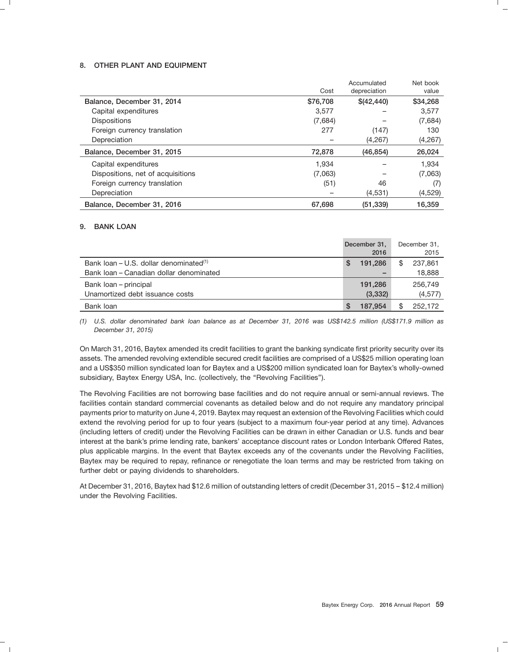## **8. OTHER PLANT AND EQUIPMENT**

|                                   | Cost     | Accumulated<br>depreciation | Net book<br>value |
|-----------------------------------|----------|-----------------------------|-------------------|
| Balance, December 31, 2014        | \$76,708 | \$(42,440)                  | \$34,268          |
| Capital expenditures              | 3.577    |                             | 3.577             |
| <b>Dispositions</b>               | (7,684)  |                             | (7,684)           |
| Foreign currency translation      | 277      | (147)                       | 130               |
| Depreciation                      |          | (4,267)                     | (4,267)           |
| Balance, December 31, 2015        | 72,878   | (46, 854)                   | 26,024            |
| Capital expenditures              | 1.934    |                             | 1.934             |
| Dispositions, net of acquisitions | (7,063)  |                             | (7,063)           |
| Foreign currency translation      | (51)     | 46                          | (7)               |
| Depreciation                      |          | (4,531)                     | (4,529)           |
| Balance, December 31, 2016        | 67.698   | (51, 339)                   | 16.359            |

#### **9. BANK LOAN**

|                                                        |   | December 31,<br>2016 |    | December 31,<br>2015 |
|--------------------------------------------------------|---|----------------------|----|----------------------|
| Bank $\alpha$ – U.S. dollar denominated <sup>(1)</sup> | S | 191.286              | \$ | 237.861              |
| Bank Joan - Canadian dollar denominated                |   | -                    |    | 18,888               |
| Bank loan – principal                                  |   | 191,286              |    | 256,749              |
| Unamortized debt issuance costs                        |   | (3,332)              |    | (4, 577)             |
| Bank loan                                              | S | 187.954              | S  | 252.172              |

*(1) U.S. dollar denominated bank loan balance as at December 31, 2016 was US\$142.5 million (US\$171.9 million as December 31, 2015)*

On March 31, 2016, Baytex amended its credit facilities to grant the banking syndicate first priority security over its assets. The amended revolving extendible secured credit facilities are comprised of a US\$25 million operating loan and a US\$350 million syndicated loan for Baytex and a US\$200 million syndicated loan for Baytex's wholly-owned subsidiary, Baytex Energy USA, Inc. (collectively, the "Revolving Facilities").

The Revolving Facilities are not borrowing base facilities and do not require annual or semi-annual reviews. The facilities contain standard commercial covenants as detailed below and do not require any mandatory principal payments prior to maturity on June 4, 2019. Baytex may request an extension of the Revolving Facilities which could extend the revolving period for up to four years (subject to a maximum four-year period at any time). Advances (including letters of credit) under the Revolving Facilities can be drawn in either Canadian or U.S. funds and bear interest at the bank's prime lending rate, bankers' acceptance discount rates or London Interbank Offered Rates, plus applicable margins. In the event that Baytex exceeds any of the covenants under the Revolving Facilities, Baytex may be required to repay, refinance or renegotiate the loan terms and may be restricted from taking on further debt or paying dividends to shareholders.

At December 31, 2016, Baytex had \$12.6 million of outstanding letters of credit (December 31, 2015 – \$12.4 million) under the Revolving Facilities.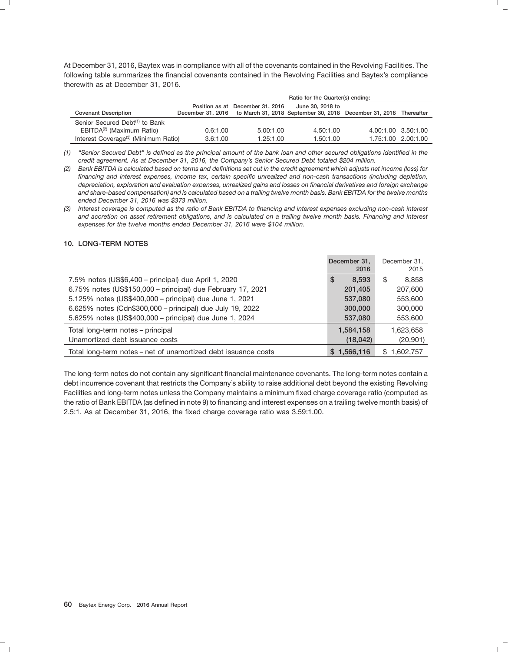At December 31, 2016, Baytex was in compliance with all of the covenants contained in the Revolving Facilities. The following table summarizes the financial covenants contained in the Revolving Facilities and Baytex's compliance therewith as at December 31, 2016.

|                                                  |          | Ratio for the Quarter(s) ending: |                                                                                     |                     |                     |  |  |  |
|--------------------------------------------------|----------|----------------------------------|-------------------------------------------------------------------------------------|---------------------|---------------------|--|--|--|
|                                                  |          | Position as at December 31, 2016 | June 30, 2018 to                                                                    |                     |                     |  |  |  |
| <b>Covenant Description</b>                      |          |                                  | December 31, 2016 to March 31, 2018 September 30, 2018 December 31, 2018 Thereafter |                     |                     |  |  |  |
| Senior Secured Debt <sup>(1)</sup> to Bank       |          |                                  |                                                                                     |                     |                     |  |  |  |
| EBITDA <sup>(2)</sup> (Maximum Ratio)            | 0.6:1.00 | 5.00:1.00                        | 4.50:1.00                                                                           | 4.00:1.00 3.50:1.00 |                     |  |  |  |
| Interest Coverage <sup>(3)</sup> (Minimum Ratio) | 3.6:1.00 | 1.25:1.00                        | 1.50:1.00                                                                           |                     | 1.75:1.00 2.00:1.00 |  |  |  |

*(1) ''Senior Secured Debt'' is defined as the principal amount of the bank loan and other secured obligations identified in the credit agreement. As at December 31, 2016, the Company's Senior Secured Debt totaled \$204 million.*

*(2) Bank EBITDA is calculated based on terms and definitions set out in the credit agreement which adjusts net income (loss) for financing and interest expenses, income tax, certain specific unrealized and non-cash transactions (including depletion, depreciation, exploration and evaluation expenses, unrealized gains and losses on financial derivatives and foreign exchange and share-based compensation) and is calculated based on a trailing twelve month basis. Bank EBITDA for the twelve months ended December 31, 2016 was \$373 million.*

*(3) Interest coverage is computed as the ratio of Bank EBITDA to financing and interest expenses excluding non-cash interest and accretion on asset retirement obligations, and is calculated on a trailing twelve month basis. Financing and interest expenses for the twelve months ended December 31, 2016 were \$104 million.*

## **10. LONG-TERM NOTES**

|                                                                | December 31,<br>2016 | December 31.<br>2015 |
|----------------------------------------------------------------|----------------------|----------------------|
| 7.5% notes (US\$6,400 – principal) due April 1, 2020           | S<br>8.593           | \$<br>8,858          |
| 6.75% notes (US\$150,000 - principal) due February 17, 2021    | 201,405              | 207,600              |
| 5.125% notes (US\$400,000 - principal) due June 1, 2021        | 537,080              | 553,600              |
| 6.625% notes (Cdn\$300,000 - principal) due July 19, 2022      | 300,000              | 300,000              |
| 5.625% notes (US\$400,000 - principal) due June 1, 2024        | 537,080              | 553,600              |
| Total long-term notes - principal                              | 1,584,158            | 1,623,658            |
| Unamortized debt issuance costs                                | (18,042)             | (20, 901)            |
| Total long-term notes – net of unamortized debt issuance costs | \$1,566,116          | 1,602,757<br>SS.     |

The long-term notes do not contain any significant financial maintenance covenants. The long-term notes contain a debt incurrence covenant that restricts the Company's ability to raise additional debt beyond the existing Revolving Facilities and long-term notes unless the Company maintains a minimum fixed charge coverage ratio (computed as the ratio of Bank EBITDA (as defined in note 9) to financing and interest expenses on a trailing twelve month basis) of 2.5:1. As at December 31, 2016, the fixed charge coverage ratio was 3.59:1.00.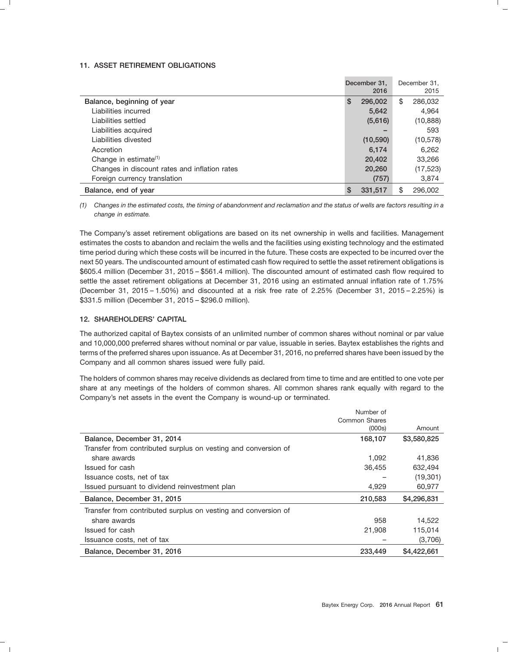## **11. ASSET RETIREMENT OBLIGATIONS**

|                                               |   | December 31.<br>2016 | December 31.<br>2015 |
|-----------------------------------------------|---|----------------------|----------------------|
| Balance, beginning of year                    | S | 296,002              | \$<br>286,032        |
| Liabilities incurred                          |   | 5,642                | 4,964                |
| Liabilities settled                           |   | (5,616)              | (10, 888)            |
| Liabilities acquired                          |   |                      | 593                  |
| Liabilities divested                          |   | (10, 590)            | (10, 578)            |
| Accretion                                     |   | 6,174                | 6,262                |
| Change in estimate <sup>(1)</sup>             |   | 20,402               | 33,266               |
| Changes in discount rates and inflation rates |   | 20,260               | (17, 523)            |
| Foreign currency translation                  |   | (757)                | 3,874                |
| Balance, end of year                          | S | 331.517              | \$<br>296.002        |

*(1) Changes in the estimated costs, the timing of abandonment and reclamation and the status of wells are factors resulting in a change in estimate.*

The Company's asset retirement obligations are based on its net ownership in wells and facilities. Management estimates the costs to abandon and reclaim the wells and the facilities using existing technology and the estimated time period during which these costs will be incurred in the future. These costs are expected to be incurred over the next 50 years. The undiscounted amount of estimated cash flow required to settle the asset retirement obligations is \$605.4 million (December 31, 2015 – \$561.4 million). The discounted amount of estimated cash flow required to settle the asset retirement obligations at December 31, 2016 using an estimated annual inflation rate of 1.75% (December 31, 2015 – 1.50%) and discounted at a risk free rate of 2.25% (December 31, 2015 – 2.25%) is \$331.5 million (December 31, 2015 – \$296.0 million).

## **12. SHAREHOLDERS' CAPITAL**

The authorized capital of Baytex consists of an unlimited number of common shares without nominal or par value and 10,000,000 preferred shares without nominal or par value, issuable in series. Baytex establishes the rights and terms of the preferred shares upon issuance. As at December 31, 2016, no preferred shares have been issued by the Company and all common shares issued were fully paid.

The holders of common shares may receive dividends as declared from time to time and are entitled to one vote per share at any meetings of the holders of common shares. All common shares rank equally with regard to the Company's net assets in the event the Company is wound-up or terminated.

|                                                                | Number of<br>Common Shares |             |
|----------------------------------------------------------------|----------------------------|-------------|
|                                                                | (000s)                     | Amount      |
| Balance, December 31, 2014                                     | 168,107                    | \$3,580,825 |
| Transfer from contributed surplus on vesting and conversion of |                            |             |
| share awards                                                   | 1,092                      | 41,836      |
| Issued for cash                                                | 36,455                     | 632,494     |
| Issuance costs, net of tax                                     |                            | (19, 301)   |
| Issued pursuant to dividend reinvestment plan                  | 4,929                      | 60,977      |
| Balance, December 31, 2015                                     | 210,583                    | \$4,296,831 |
| Transfer from contributed surplus on vesting and conversion of |                            |             |
| share awards                                                   | 958                        | 14,522      |
| Issued for cash                                                | 21,908                     | 115,014     |
| Issuance costs, net of tax                                     |                            | (3,706)     |
| Balance, December 31, 2016                                     | 233,449                    | \$4,422,661 |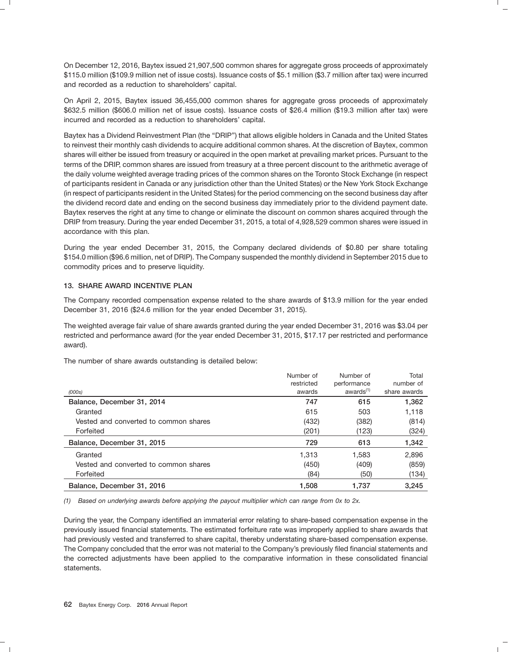On December 12, 2016, Baytex issued 21,907,500 common shares for aggregate gross proceeds of approximately \$115.0 million (\$109.9 million net of issue costs). Issuance costs of \$5.1 million (\$3.7 million after tax) were incurred and recorded as a reduction to shareholders' capital.

On April 2, 2015, Baytex issued 36,455,000 common shares for aggregate gross proceeds of approximately \$632.5 million (\$606.0 million net of issue costs). Issuance costs of \$26.4 million (\$19.3 million after tax) were incurred and recorded as a reduction to shareholders' capital.

Baytex has a Dividend Reinvestment Plan (the "DRIP") that allows eligible holders in Canada and the United States to reinvest their monthly cash dividends to acquire additional common shares. At the discretion of Baytex, common shares will either be issued from treasury or acquired in the open market at prevailing market prices. Pursuant to the terms of the DRIP, common shares are issued from treasury at a three percent discount to the arithmetic average of the daily volume weighted average trading prices of the common shares on the Toronto Stock Exchange (in respect of participants resident in Canada or any jurisdiction other than the United States) or the New York Stock Exchange (in respect of participants resident in the United States) for the period commencing on the second business day after the dividend record date and ending on the second business day immediately prior to the dividend payment date. Baytex reserves the right at any time to change or eliminate the discount on common shares acquired through the DRIP from treasury. During the year ended December 31, 2015, a total of 4,928,529 common shares were issued in accordance with this plan.

During the year ended December 31, 2015, the Company declared dividends of \$0.80 per share totaling \$154.0 million (\$96.6 million, net of DRIP). The Company suspended the monthly dividend in September 2015 due to commodity prices and to preserve liquidity.

## **13. SHARE AWARD INCENTIVE PLAN**

The Company recorded compensation expense related to the share awards of \$13.9 million for the year ended December 31, 2016 (\$24.6 million for the year ended December 31, 2015).

The weighted average fair value of share awards granted during the year ended December 31, 2016 was \$3.04 per restricted and performance award (for the year ended December 31, 2015, \$17.17 per restricted and performance award).

The number of share awards outstanding is detailed below:

| (000s)                                | Number of<br>restricted<br>awards | Number of<br>performance<br>awards <sup>(1)</sup> | Total<br>number of<br>share awards |
|---------------------------------------|-----------------------------------|---------------------------------------------------|------------------------------------|
| Balance, December 31, 2014            | 747                               | 615                                               | 1,362                              |
| Granted                               | 615                               | 503                                               | 1,118                              |
| Vested and converted to common shares | (432)                             | (382)                                             | (814)                              |
| Forfeited                             | (201)                             | (123)                                             | (324)                              |
| Balance, December 31, 2015            | 729                               | 613                                               | 1,342                              |
| Granted                               | 1.313                             | 1,583                                             | 2,896                              |
| Vested and converted to common shares | (450)                             | (409)                                             | (859)                              |
| Forfeited                             | (84)                              | (50)                                              | (134)                              |
| Balance, December 31, 2016            | 1,508                             | 1.737                                             | 3,245                              |

*(1) Based on underlying awards before applying the payout multiplier which can range from 0x to 2x.*

During the year, the Company identified an immaterial error relating to share-based compensation expense in the previously issued financial statements. The estimated forfeiture rate was improperly applied to share awards that had previously vested and transferred to share capital, thereby understating share-based compensation expense. The Company concluded that the error was not material to the Company's previously filed financial statements and the corrected adjustments have been applied to the comparative information in these consolidated financial statements.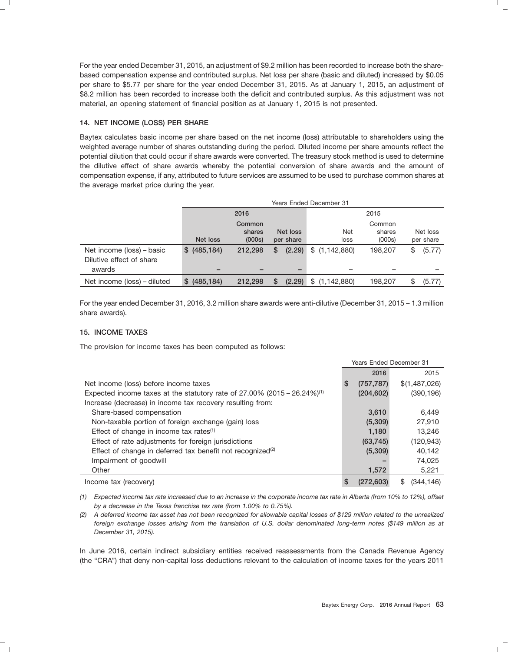For the year ended December 31, 2015, an adjustment of \$9.2 million has been recorded to increase both the sharebased compensation expense and contributed surplus. Net loss per share (basic and diluted) increased by \$0.05 per share to \$5.77 per share for the year ended December 31, 2015. As at January 1, 2015, an adjustment of \$8.2 million has been recorded to increase both the deficit and contributed surplus. As this adjustment was not material, an opening statement of financial position as at January 1, 2015 is not presented.

# **14. NET INCOME (LOSS) PER SHARE**

Baytex calculates basic income per share based on the net income (loss) attributable to shareholders using the weighted average number of shares outstanding during the period. Diluted income per share amounts reflect the potential dilution that could occur if share awards were converted. The treasury stock method is used to determine the dilutive effect of share awards whereby the potential conversion of share awards and the amount of compensation expense, if any, attributed to future services are assumed to be used to purchase common shares at the average market price during the year.

|                                                       | <b>Years Ended December 31</b> |                  |              |                     |                  |              |  |
|-------------------------------------------------------|--------------------------------|------------------|--------------|---------------------|------------------|--------------|--|
|                                                       |                                | 2016             |              | 2015                |                  |              |  |
|                                                       |                                | Common<br>shares | Net loss     | Net                 | Common<br>shares | Net loss     |  |
|                                                       | Net loss                       | (000s)           | per share    | loss                | (000s)           | per share    |  |
| Net income (loss) – basic<br>Dilutive effect of share | \$ (485, 184)                  | 212.298          | \$<br>(2.29) | \$<br>(1, 142, 880) | 198,207          | \$<br>(5.77) |  |
| awards                                                | -                              |                  |              |                     |                  |              |  |
| Net income (loss) – diluted                           | \$ (485, 184)                  | 212.298          | S<br>(2.29)  | (1, 142, 880)<br>\$ | 198,207          | \$<br>(5.77) |  |

For the year ended December 31, 2016, 3.2 million share awards were anti-dilutive (December 31, 2015 – 1.3 million share awards).

# **15. INCOME TAXES**

The provision for income taxes has been computed as follows:

|                                                                                         | <b>Years Ended December 31</b> |                 |  |
|-----------------------------------------------------------------------------------------|--------------------------------|-----------------|--|
|                                                                                         | 2016                           | 2015            |  |
| Net income (loss) before income taxes                                                   | S<br>(757, 787)                | \$(1,487,026)   |  |
| Expected income taxes at the statutory rate of $27.00\%$ (2015 - 26.24%) <sup>(1)</sup> | (204, 602)                     | (390, 196)      |  |
| Increase (decrease) in income tax recovery resulting from:                              |                                |                 |  |
| Share-based compensation                                                                | 3,610                          | 6,449           |  |
| Non-taxable portion of foreign exchange (gain) loss                                     | (5,309)                        | 27,910          |  |
| Effect of change in income tax rates $(1)$                                              | 1,180                          | 13.246          |  |
| Effect of rate adjustments for foreign jurisdictions                                    | (63, 745)                      | (120, 943)      |  |
| Effect of change in deferred tax benefit not recognized <sup>(2)</sup>                  | (5,309)                        | 40.142          |  |
| Impairment of goodwill                                                                  |                                | 74,025          |  |
| Other                                                                                   | 1,572                          | 5,221           |  |
| Income tax (recovery)                                                                   | \$<br>(272, 603)               | (344.146)<br>\$ |  |

*(1) Expected income tax rate increased due to an increase in the corporate income tax rate in Alberta (from 10% to 12%), offset by a decrease in the Texas franchise tax rate (from 1.00% to 0.75%).*

*(2) A deferred income tax asset has not been recognized for allowable capital losses of \$129 million related to the unrealized foreign exchange losses arising from the translation of U.S. dollar denominated long-term notes (\$149 million as at December 31, 2015).*

In June 2016, certain indirect subsidiary entities received reassessments from the Canada Revenue Agency (the ''CRA'') that deny non-capital loss deductions relevant to the calculation of income taxes for the years 2011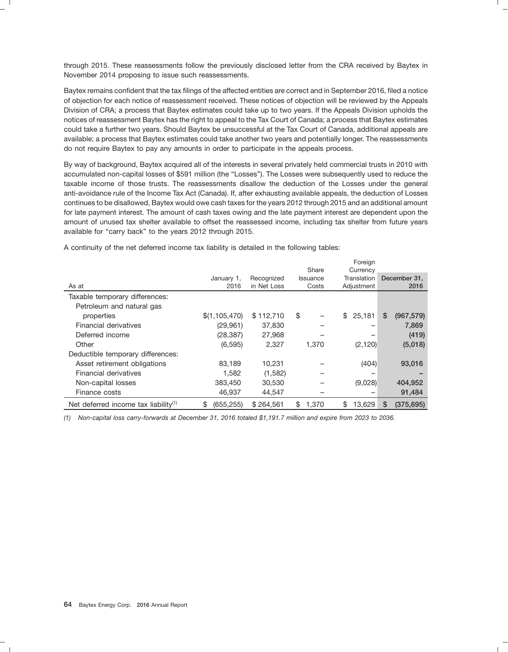through 2015. These reassessments follow the previously disclosed letter from the CRA received by Baytex in November 2014 proposing to issue such reassessments.

Baytex remains confident that the tax filings of the affected entities are correct and in September 2016, filed a notice of objection for each notice of reassessment received. These notices of objection will be reviewed by the Appeals Division of CRA; a process that Baytex estimates could take up to two years. If the Appeals Division upholds the notices of reassessment Baytex has the right to appeal to the Tax Court of Canada; a process that Baytex estimates could take a further two years. Should Baytex be unsuccessful at the Tax Court of Canada, additional appeals are available; a process that Baytex estimates could take another two years and potentially longer. The reassessments do not require Baytex to pay any amounts in order to participate in the appeals process.

By way of background, Baytex acquired all of the interests in several privately held commercial trusts in 2010 with accumulated non-capital losses of \$591 million (the ''Losses''). The Losses were subsequently used to reduce the taxable income of those trusts. The reassessments disallow the deduction of the Losses under the general anti-avoidance rule of the Income Tax Act (Canada). If, after exhausting available appeals, the deduction of Losses continues to be disallowed, Baytex would owe cash taxes for the years 2012 through 2015 and an additional amount for late payment interest. The amount of cash taxes owing and the late payment interest are dependent upon the amount of unused tax shelter available to offset the reassessed income, including tax shelter from future years available for "carry back" to the years 2012 through 2015.

|                                                  |                  |             | Share       | Foreign<br>Currency |                  |
|--------------------------------------------------|------------------|-------------|-------------|---------------------|------------------|
|                                                  | January 1,       | Recognized  | Issuance    | Translation         | December 31.     |
| As at                                            | 2016             | in Net Loss | Costs       | Adjustment          | 2016             |
| Taxable temporary differences:                   |                  |             |             |                     |                  |
| Petroleum and natural gas                        |                  |             |             |                     |                  |
| properties                                       | \$(1,105,470)    | \$112,710   | \$          | 25,181<br>\$        | \$<br>(967, 579) |
| Financial derivatives                            | (29, 961)        | 37,830      |             |                     | 7,869            |
| Deferred income                                  | (28, 387)        | 27,968      |             |                     | (419)            |
| Other                                            | (6, 595)         | 2,327       | 1,370       | (2, 120)            | (5,018)          |
| Deductible temporary differences:                |                  |             |             |                     |                  |
| Asset retirement obligations                     | 83,189           | 10,231      |             | (404)               | 93,016           |
| Financial derivatives                            | 1.582            | (1,582)     |             |                     |                  |
| Non-capital losses                               | 383,450          | 30,530      |             | (9,028)             | 404,952          |
| Finance costs                                    | 46,937           | 44,547      |             |                     | 91,484           |
| Net deferred income tax liability <sup>(1)</sup> | (655, 255)<br>\$ | \$264,561   | \$<br>1,370 | \$<br>13,629        | \$<br>(375, 695) |

A continuity of the net deferred income tax liability is detailed in the following tables:

*(1) Non-capital loss carry-forwards at December 31, 2016 totaled \$1,191.7 million and expire from 2023 to 2036.*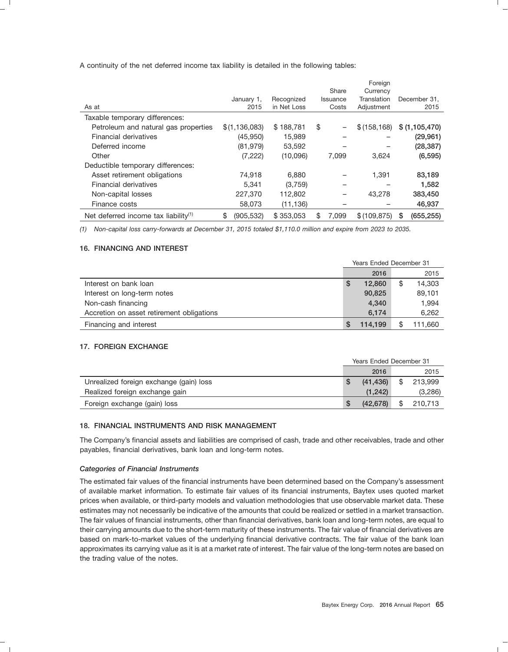A continuity of the net deferred income tax liability is detailed in the following tables:

|                                                  |                  |             |                        | Foreign       |                 |
|--------------------------------------------------|------------------|-------------|------------------------|---------------|-----------------|
|                                                  |                  |             | Share                  | Currency      |                 |
|                                                  | January 1,       | Recognized  | <i><b>Issuance</b></i> | Translation   | December 31.    |
| As at                                            | 2015             | in Net Loss | Costs                  | Adjustment    | 2015            |
| Taxable temporary differences:                   |                  |             |                        |               |                 |
| Petroleum and natural gas properties             | \$ (1,136,083)   | \$188,781   | \$<br>-                | \$ (158, 168) | \$ (1,105,470)  |
| Financial derivatives                            | (45, 950)        | 15,989      |                        |               | (29, 961)       |
| Deferred income                                  | (81, 979)        | 53,592      |                        |               | (28, 387)       |
| Other                                            | (7, 222)         | (10,096)    | 7,099                  | 3,624         | (6, 595)        |
| Deductible temporary differences:                |                  |             |                        |               |                 |
| Asset retirement obligations                     | 74.918           | 6,880       |                        | 1.391         | 83,189          |
| Financial derivatives                            | 5,341            | (3,759)     |                        |               | 1,582           |
| Non-capital losses                               | 227,370          | 112,802     |                        | 43,278        | 383,450         |
| Finance costs                                    | 58,073           | (11, 136)   |                        |               | 46.937          |
| Net deferred income tax liability <sup>(1)</sup> | (905, 532)<br>\$ | \$353,053   | 7.099<br>\$.           | \$ (109, 875) | (655, 255)<br>S |

*(1) Non-capital loss carry-forwards at December 31, 2015 totaled \$1,110.0 million and expire from 2023 to 2035.*

## **16. FINANCING AND INTEREST**

|                                           | <b>Years Ended December 31</b> |         |    |         |  |
|-------------------------------------------|--------------------------------|---------|----|---------|--|
|                                           |                                | 2016    |    | 2015    |  |
| Interest on bank loan                     |                                | 12,860  | \$ | 14,303  |  |
| Interest on long-term notes               |                                | 90,825  |    | 89,101  |  |
| Non-cash financing                        |                                | 4.340   |    | 1,994   |  |
| Accretion on asset retirement obligations |                                | 6.174   |    | 6,262   |  |
| Financing and interest                    |                                | 114.199 |    | 111.660 |  |

#### **17. FOREIGN EXCHANGE**

|                                         | <b>Years Ended December 31</b> |           |    |         |
|-----------------------------------------|--------------------------------|-----------|----|---------|
|                                         |                                | 2016      |    | 2015    |
| Unrealized foreign exchange (gain) loss |                                | (41, 436) | \$ | 213,999 |
| Realized foreign exchange gain          |                                | (1.242)   |    | (3,286) |
| Foreign exchange (gain) loss            |                                | (42.678)  |    | 210,713 |

#### **18. FINANCIAL INSTRUMENTS AND RISK MANAGEMENT**

The Company's financial assets and liabilities are comprised of cash, trade and other receivables, trade and other payables, financial derivatives, bank loan and long-term notes.

#### *Categories of Financial Instruments*

The estimated fair values of the financial instruments have been determined based on the Company's assessment of available market information. To estimate fair values of its financial instruments, Baytex uses quoted market prices when available, or third-party models and valuation methodologies that use observable market data. These estimates may not necessarily be indicative of the amounts that could be realized or settled in a market transaction. The fair values of financial instruments, other than financial derivatives, bank loan and long-term notes, are equal to their carrying amounts due to the short-term maturity of these instruments. The fair value of financial derivatives are based on mark-to-market values of the underlying financial derivative contracts. The fair value of the bank loan approximates its carrying value as it is at a market rate of interest. The fair value of the long-term notes are based on the trading value of the notes.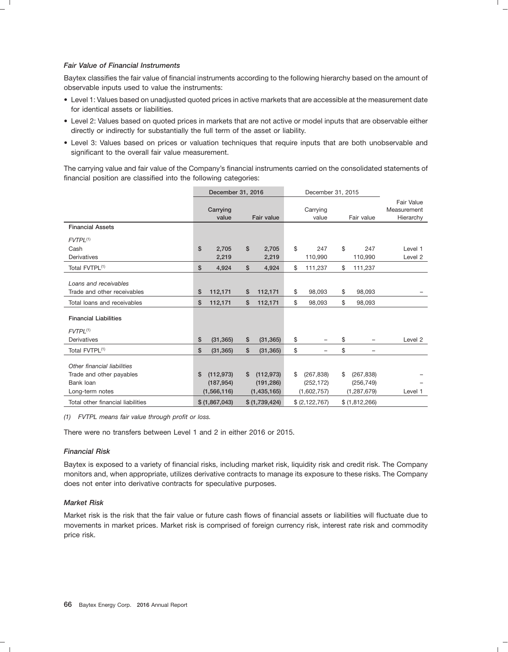## *Fair Value of Financial Instruments*

Baytex classifies the fair value of financial instruments according to the following hierarchy based on the amount of observable inputs used to value the instruments:

- Level 1: Values based on unadjusted quoted prices in active markets that are accessible at the measurement date for identical assets or liabilities.
- Level 2: Values based on quoted prices in markets that are not active or model inputs that are observable either directly or indirectly for substantially the full term of the asset or liability.
- Level 3: Values based on prices or valuation techniques that require inputs that are both unobservable and significant to the overall fair value measurement.

The carrying value and fair value of the Company's financial instruments carried on the consolidated statements of financial position are classified into the following categories:

|                                   | December 31, 2016 |                   |    |                |    | December 31, 2015 |                  |                                               |
|-----------------------------------|-------------------|-------------------|----|----------------|----|-------------------|------------------|-----------------------------------------------|
|                                   |                   | Carrying<br>value |    | Fair value     |    | Carrying<br>value | Fair value       | <b>Fair Value</b><br>Measurement<br>Hierarchy |
| <b>Financial Assets</b>           |                   |                   |    |                |    |                   |                  |                                               |
| $FVTPL^{(1)}$                     |                   |                   |    |                |    |                   |                  |                                               |
| Cash                              | \$                | 2,705             | \$ | 2,705          | \$ | 247               | \$<br>247        | Level 1                                       |
| Derivatives                       |                   | 2,219             |    | 2,219          |    | 110,990           | 110,990          | Level 2                                       |
| Total FVTPL(1)                    | \$                | 4,924             | \$ | 4,924          | \$ | 111,237           | \$<br>111,237    |                                               |
|                                   |                   |                   |    |                |    |                   |                  |                                               |
| Loans and receivables             |                   |                   |    |                |    |                   |                  |                                               |
| Trade and other receivables       | \$                | 112,171           | \$ | 112,171        | \$ | 98,093            | \$<br>98,093     |                                               |
| Total loans and receivables       | \$                | 112,171           | \$ | 112,171        | \$ | 98,093            | \$<br>98,093     |                                               |
| <b>Financial Liabilities</b>      |                   |                   |    |                |    |                   |                  |                                               |
| $FVTPL^{(1)}$                     |                   |                   |    |                |    |                   |                  |                                               |
| Derivatives                       | \$                | (31, 365)         | \$ | (31, 365)      | \$ |                   | \$               | Level <sub>2</sub>                            |
| Total FVTPL <sup>(1)</sup>        | \$                | (31, 365)         | \$ | (31, 365)      | \$ |                   | \$<br>—          |                                               |
| Other financial liabilities       |                   |                   |    |                |    |                   |                  |                                               |
| Trade and other payables          | S                 | (112, 973)        | \$ | (112, 973)     | \$ | (267, 838)        | \$<br>(267, 838) |                                               |
| Bank loan                         |                   | (187, 954)        |    | (191, 286)     |    | (252, 172)        | (256, 749)       |                                               |
| Long-term notes                   |                   | (1, 566, 116)     |    | (1,435,165)    |    | (1,602,757)       | (1, 287, 679)    | Level 1                                       |
| Total other financial liabilities |                   | \$(1,867,043)     |    | \$ (1,739,424) |    | \$ (2, 122, 767)  | \$ (1,812,266)   |                                               |

*(1) FVTPL means fair value through profit or loss.*

There were no transfers between Level 1 and 2 in either 2016 or 2015.

# *Financial Risk*

Baytex is exposed to a variety of financial risks, including market risk, liquidity risk and credit risk. The Company monitors and, when appropriate, utilizes derivative contracts to manage its exposure to these risks. The Company does not enter into derivative contracts for speculative purposes.

## *Market Risk*

Market risk is the risk that the fair value or future cash flows of financial assets or liabilities will fluctuate due to movements in market prices. Market risk is comprised of foreign currency risk, interest rate risk and commodity price risk.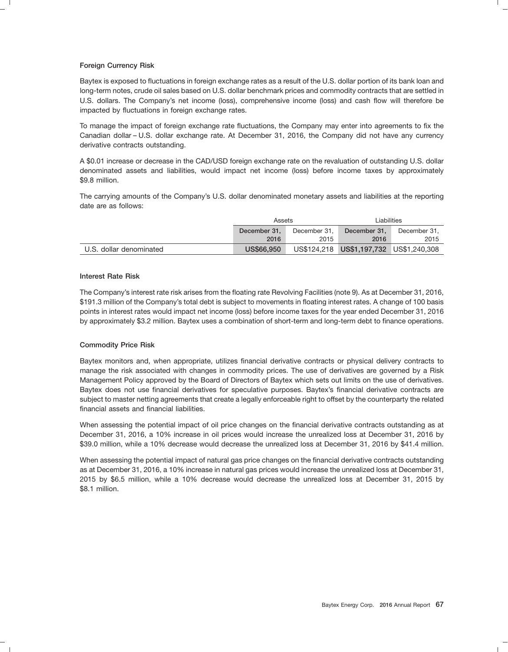## **Foreign Currency Risk**

Baytex is exposed to fluctuations in foreign exchange rates as a result of the U.S. dollar portion of its bank loan and long-term notes, crude oil sales based on U.S. dollar benchmark prices and commodity contracts that are settled in U.S. dollars. The Company's net income (loss), comprehensive income (loss) and cash flow will therefore be impacted by fluctuations in foreign exchange rates.

To manage the impact of foreign exchange rate fluctuations, the Company may enter into agreements to fix the Canadian dollar – U.S. dollar exchange rate. At December 31, 2016, the Company did not have any currency derivative contracts outstanding.

A \$0.01 increase or decrease in the CAD/USD foreign exchange rate on the revaluation of outstanding U.S. dollar denominated assets and liabilities, would impact net income (loss) before income taxes by approximately \$9.8 million.

The carrying amounts of the Company's U.S. dollar denominated monetary assets and liabilities at the reporting date are as follows:

|                         | Assets       |              | Liabilities                                   |              |  |  |
|-------------------------|--------------|--------------|-----------------------------------------------|--------------|--|--|
|                         | December 31. | December 31. | December 31.                                  | December 31. |  |  |
|                         | 2016         | 2015         | 2016                                          | 2015         |  |  |
| U.S. dollar denominated | US\$66,950   |              | US\$124,218    US\$1,197,732    US\$1,240,308 |              |  |  |

## **Interest Rate Risk**

The Company's interest rate risk arises from the floating rate Revolving Facilities (note 9). As at December 31, 2016, \$191.3 million of the Company's total debt is subject to movements in floating interest rates. A change of 100 basis points in interest rates would impact net income (loss) before income taxes for the year ended December 31, 2016 by approximately \$3.2 million. Baytex uses a combination of short-term and long-term debt to finance operations.

## **Commodity Price Risk**

Baytex monitors and, when appropriate, utilizes financial derivative contracts or physical delivery contracts to manage the risk associated with changes in commodity prices. The use of derivatives are governed by a Risk Management Policy approved by the Board of Directors of Baytex which sets out limits on the use of derivatives. Baytex does not use financial derivatives for speculative purposes. Baytex's financial derivative contracts are subject to master netting agreements that create a legally enforceable right to offset by the counterparty the related financial assets and financial liabilities.

When assessing the potential impact of oil price changes on the financial derivative contracts outstanding as at December 31, 2016, a 10% increase in oil prices would increase the unrealized loss at December 31, 2016 by \$39.0 million, while a 10% decrease would decrease the unrealized loss at December 31, 2016 by \$41.4 million.

When assessing the potential impact of natural gas price changes on the financial derivative contracts outstanding as at December 31, 2016, a 10% increase in natural gas prices would increase the unrealized loss at December 31, 2015 by \$6.5 million, while a 10% decrease would decrease the unrealized loss at December 31, 2015 by \$8.1 million.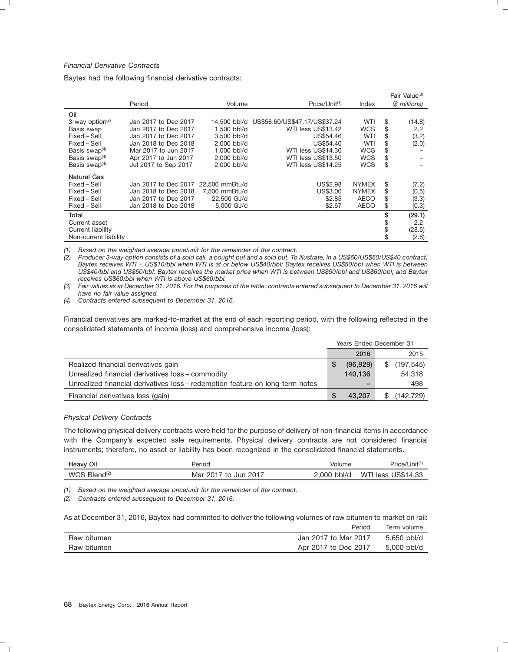#### *Financial Derivative Contracts*

Baytex had the following financial derivative contracts:

|                                |                      |                |                               |              | Fair Value <sup>(3)</sup> |
|--------------------------------|----------------------|----------------|-------------------------------|--------------|---------------------------|
|                                | Period               | Volume         | $Price/Unit^{(1)}$            | Index        | (\$ millions)             |
| Oil                            |                      |                |                               |              |                           |
| $3$ -way option <sup>(2)</sup> | Jan 2017 to Dec 2017 | 14.500 bbl/d   | US\$58.60/US\$47.17/US\$37.24 | WTI          | \$<br>(14.8)              |
| Basis swap                     | Jan 2017 to Dec 2017 | 1.500 bbl/d    | WTI less US\$13.42            | <b>WCS</b>   | \$<br>2.2                 |
| Fixed - Sell                   | Jan 2017 to Dec 2017 | 3.500 bbl/d    | US\$54.46                     | WTI          | \$<br>(3.2)               |
| Fixed - Sell                   | Jan 2018 to Dec 2018 | 2.000 bbl/d    | US\$54.40                     | WTI          | \$<br>(2.0)               |
| Basis swap $(4)$               | Mar 2017 to Jun 2017 | 1.000 bbl/d    | WTI less US\$14.30            | <b>WCS</b>   | \$                        |
| Basis swap $(4)$               | Apr 2017 to Jun 2017 | 2.000 bbl/d    | WTI less US\$13.50            | <b>WCS</b>   | \$                        |
| Basis swap $(4)$               | Jul 2017 to Sep 2017 | 2,000 bbl/d    | WTI less US\$14.25            | <b>WCS</b>   | \$                        |
| <b>Natural Gas</b>             |                      |                |                               |              |                           |
| Fixed - Sell                   | Jan 2017 to Dec 2017 | 22,500 mmBtu/d | US\$2.98                      | <b>NYMEX</b> | \$<br>(7.2)               |
| Fixed - Sell                   | Jan 2018 to Dec 2018 | 7,500 mmBtu/d  | US\$3.00                      | <b>NYMEX</b> | \$<br>(0.5)               |
| Fixed - Sell                   | Jan 2017 to Dec 2017 | 22,500 GJ/d    | \$2.85                        | <b>AECO</b>  | \$<br>(3.3)               |
| Fixed - Sell                   | Jan 2018 to Dec 2018 | 5,000 GJ/d     | \$2.67                        | <b>AECO</b>  | \$<br>(0.3)               |
| Total                          |                      |                |                               |              | \$<br>(29.1)              |
| Current asset                  |                      |                |                               |              | \$<br>2.2                 |
| Current liability              |                      |                |                               |              | \$<br>(28.5)              |
| Non-current liability          |                      |                |                               |              | \$<br>(2.8)               |

*(1) Based on the weighted average price/unit for the remainder of the contract.*

*(2) Producer 3-way option consists of a sold call, a bought put and a sold put. To illustrate, in a US\$60/US\$50/US\$40 contract, Baytex receives WTI + US\$10/bbl when WTI is at or below US\$40/bbl; Baytex receives US\$50/bbl when WTI is between US\$40/bbl and US\$50/bbl; Baytex receives the market price when WTI is between US\$50/bbl and US\$60/bbl; and Baytex receives US\$60/bbl when WTI is above US\$60/bbl.*

*(3) Fair values as at December 31, 2016. For the purposes of the table, contracts entered subsequent to December 31, 2016 will have no fair value assigned.*

*(4) Contracts entered subsequent to December 31, 2016.*

Financial derivatives are marked-to-market at the end of each reporting period, with the following reflected in the consolidated statements of income (loss) and comprehensive income (loss):

|                                                                               | <b>Years Ended December 31</b> |                          |    |            |
|-------------------------------------------------------------------------------|--------------------------------|--------------------------|----|------------|
|                                                                               |                                | 2016                     |    | 2015       |
| Realized financial derivatives gain                                           |                                | (96, 929)                | \$ | (197, 545) |
| Unrealized financial derivatives loss - commodity                             |                                | 140.136                  |    | 54.318     |
| Unrealized financial derivatives loss – redemption feature on long-term notes |                                | $\overline{\phantom{0}}$ |    | 498        |
| Financial derivatives loss (gain)                                             |                                | 43.207                   | \$ | (142, 729) |

#### *Physical Delivery Contracts*

The following physical delivery contracts were held for the purpose of delivery of non-financial items in accordance with the Company's expected sale requirements. Physical delivery contracts are not considered financial instruments; therefore, no asset or liability has been recognized in the consolidated financial statements.

| <b>Heavy Oil</b>         | Period                 | Volume      | .14<br>′Unit∖<br>، ۱۳۱۴ |
|--------------------------|------------------------|-------------|-------------------------|
| WCS Blend <sup>(2)</sup> | to Jun 2017<br>Mar 201 | 2.000 bbl/d | ' less US\$14.33<br>WTI |

*(1) Based on the weighted average price/unit for the remainder of the contract.*

*(2) Contracts entered subsequent to December 31, 2016.*

As at December 31, 2016, Baytex had committed to deliver the following volumes of raw bitumen to market on rail:

|             | Period               | Term volume |
|-------------|----------------------|-------------|
| Raw bitumen | Jan 2017 to Mar 2017 | 5.650 bbl/d |
| Raw bitumen | Apr 2017 to Dec 2017 | 5.000 bbl/d |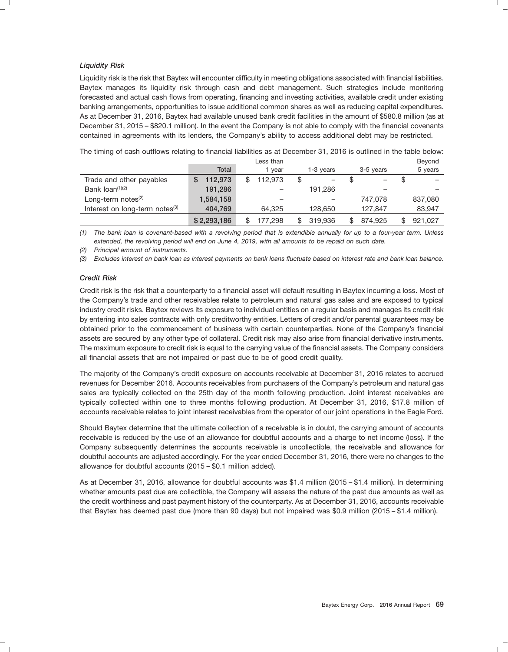## *Liquidity Risk*

Liquidity risk is the risk that Baytex will encounter difficulty in meeting obligations associated with financial liabilities. Baytex manages its liquidity risk through cash and debt management. Such strategies include monitoring forecasted and actual cash flows from operating, financing and investing activities, available credit under existing banking arrangements, opportunities to issue additional common shares as well as reducing capital expenditures. As at December 31, 2016, Baytex had available unused bank credit facilities in the amount of \$580.8 million (as at December 31, 2015 – \$820.1 million). In the event the Company is not able to comply with the financial covenants contained in agreements with its lenders, the Company's ability to access additional debt may be restricted.

The timing of cash outflows relating to financial liabilities as at December 31, 2016 is outlined in the table below:

|                                            |              | Less than     |           |           | Beyond  |
|--------------------------------------------|--------------|---------------|-----------|-----------|---------|
|                                            | <b>Total</b> | vear          | 1-3 vears | 3-5 years | 5 years |
| Trade and other payables                   | 112,973      | 112.973<br>\$ |           |           | \$.     |
| Bank $\text{Ioan}^{(1)(2)}$                | 191,286      | -             | 191.286   |           |         |
| Long-term notes $(2)$                      | 1,584,158    |               |           | 747.078   | 837,080 |
| Interest on long-term notes <sup>(3)</sup> | 404.769      | 64.325        | 128.650   | 127.847   | 83,947  |
|                                            | \$2,293,186  | 177.298       | 319,936   | 874.925   | 921,027 |

*(1) The bank loan is covenant-based with a revolving period that is extendible annually for up to a four-year term. Unless extended, the revolving period will end on June 4, 2019, with all amounts to be repaid on such date.*

*(2) Principal amount of instruments.*

*(3) Excludes interest on bank loan as interest payments on bank loans fluctuate based on interest rate and bank loan balance.*

## *Credit Risk*

Credit risk is the risk that a counterparty to a financial asset will default resulting in Baytex incurring a loss. Most of the Company's trade and other receivables relate to petroleum and natural gas sales and are exposed to typical industry credit risks. Baytex reviews its exposure to individual entities on a regular basis and manages its credit risk by entering into sales contracts with only creditworthy entities. Letters of credit and/or parental guarantees may be obtained prior to the commencement of business with certain counterparties. None of the Company's financial assets are secured by any other type of collateral. Credit risk may also arise from financial derivative instruments. The maximum exposure to credit risk is equal to the carrying value of the financial assets. The Company considers all financial assets that are not impaired or past due to be of good credit quality.

The majority of the Company's credit exposure on accounts receivable at December 31, 2016 relates to accrued revenues for December 2016. Accounts receivables from purchasers of the Company's petroleum and natural gas sales are typically collected on the 25th day of the month following production. Joint interest receivables are typically collected within one to three months following production. At December 31, 2016, \$17.8 million of accounts receivable relates to joint interest receivables from the operator of our joint operations in the Eagle Ford.

Should Baytex determine that the ultimate collection of a receivable is in doubt, the carrying amount of accounts receivable is reduced by the use of an allowance for doubtful accounts and a charge to net income (loss). If the Company subsequently determines the accounts receivable is uncollectible, the receivable and allowance for doubtful accounts are adjusted accordingly. For the year ended December 31, 2016, there were no changes to the allowance for doubtful accounts (2015 – \$0.1 million added).

As at December 31, 2016, allowance for doubtful accounts was \$1.4 million (2015 – \$1.4 million). In determining whether amounts past due are collectible, the Company will assess the nature of the past due amounts as well as the credit worthiness and past payment history of the counterparty. As at December 31, 2016, accounts receivable that Baytex has deemed past due (more than 90 days) but not impaired was \$0.9 million (2015 – \$1.4 million).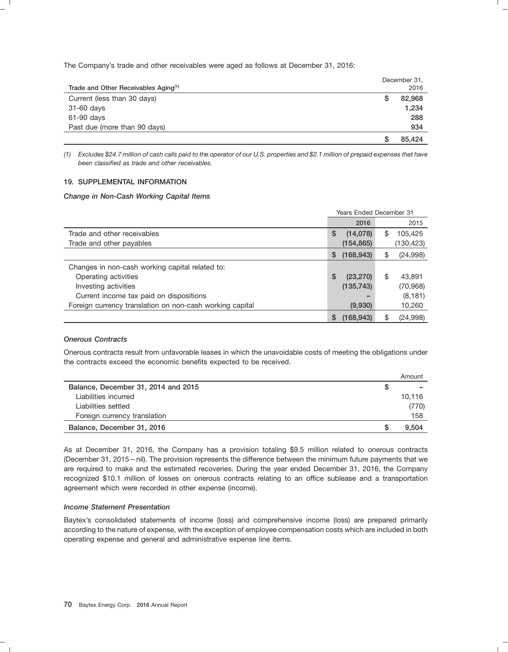The Company's trade and other receivables were aged as follows at December 31, 2016:

| Trade and Other Receivables Aging <sup>(1)</sup> |   | December 31,<br>2016 |
|--------------------------------------------------|---|----------------------|
| Current (less than 30 days)                      | S | 82,968               |
| 31-60 days                                       |   | 1,234                |
| 61-90 days                                       |   | 288                  |
| Past due (more than 90 days)                     |   | 934                  |
|                                                  |   | 85.424               |

*(1) Excludes \$24.7 million of cash calls paid to the operator of our U.S. properties and \$2.1 million of prepaid expenses that have been classified as trade and other receivables.*

#### **19. SUPPLEMENTAL INFORMATION**

#### *Change in Non-Cash Working Capital Items*

|                                                          | <b>Years Ended December 31</b> |            |    |            |
|----------------------------------------------------------|--------------------------------|------------|----|------------|
|                                                          |                                | 2016       |    | 2015       |
| Trade and other receivables                              | S                              | (14,078)   | \$ | 105,425    |
| Trade and other payables                                 |                                | (154, 865) |    | (130, 423) |
|                                                          | \$                             | (168, 943) | \$ | (24, 998)  |
| Changes in non-cash working capital related to:          |                                |            |    |            |
| Operating activities                                     | S                              | (23, 270)  | \$ | 43,891     |
| Investing activities                                     |                                | (135, 743) |    | (70, 968)  |
| Current income tax paid on dispositions                  |                                |            |    | (8, 181)   |
| Foreign currency translation on non-cash working capital |                                | (9,930)    |    | 10,260     |
|                                                          |                                | (168, 943) | \$ | (24, 998)  |

## *Onerous Contracts*

Onerous contracts result from unfavorable leases in which the unavoidable costs of meeting the obligations under the contracts exceed the economic benefits expected to be received.

|                                     | Amount |
|-------------------------------------|--------|
| Balance, December 31, 2014 and 2015 |        |
| Liabilities incurred                | 10.116 |
| Liabilities settled                 | (770)  |
| Foreign currency translation        | 158    |
| Balance, December 31, 2016          | 9.504  |

As at December 31, 2016, the Company has a provision totaling \$9.5 million related to onerous contracts (December 31, 2015 – nil). The provision represents the difference between the minimum future payments that we are required to make and the estimated recoveries. During the year ended December 31, 2016, the Company recognized \$10.1 million of losses on onerous contracts relating to an office sublease and a transportation agreement which were recorded in other expense (income).

#### *Income Statement Presentation*

Baytex's consolidated statements of income (loss) and comprehensive income (loss) are prepared primarily according to the nature of expense, with the exception of employee compensation costs which are included in both operating expense and general and administrative expense line items.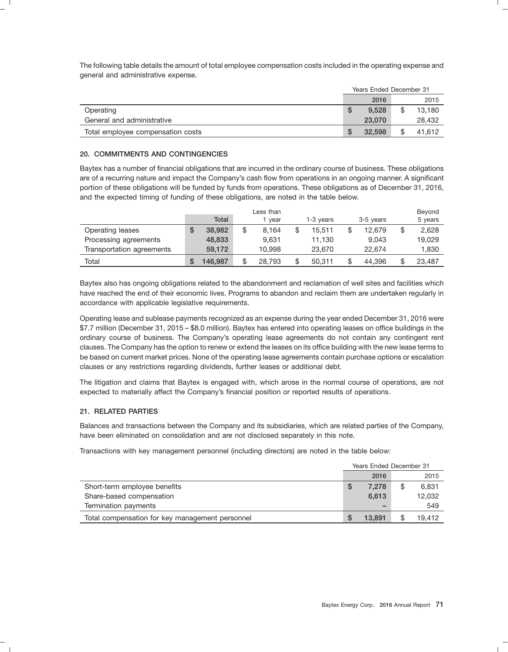The following table details the amount of total employee compensation costs included in the operating expense and general and administrative expense.

|                                   | Years Ended December 31 |        |    |        |
|-----------------------------------|-------------------------|--------|----|--------|
|                                   |                         | 2016   |    | 2015   |
| Operating                         | S                       | 9.528  | \$ | 13,180 |
| General and administrative        |                         | 23,070 |    | 28.432 |
| Total employee compensation costs |                         | 32.598 | \$ | 41.612 |

# **20. COMMITMENTS AND CONTINGENCIES**

Baytex has a number of financial obligations that are incurred in the ordinary course of business. These obligations are of a recurring nature and impact the Company's cash flow from operations in an ongoing manner. A significant portion of these obligations will be funded by funds from operations. These obligations as of December 31, 2016, and the expected timing of funding of these obligations, are noted in the table below.

|                           |         | Less than   |              |           | Beyond       |
|---------------------------|---------|-------------|--------------|-----------|--------------|
|                           | Total   | vear        | 1-3 years    | 3-5 years | 5 years      |
| Operating leases          | 38,982  | \$<br>8.164 | \$<br>15.511 | 12.679    | \$<br>2,628  |
| Processing agreements     | 48,833  | 9.631       | 11.130       | 9.043     | 19,029       |
| Transportation agreements | 59.172  | 10.998      | 23,670       | 22.674    | 1,830        |
| Total                     | 146.987 | 28.793      | \$<br>50.311 | 44.396    | \$<br>23,487 |

Baytex also has ongoing obligations related to the abandonment and reclamation of well sites and facilities which have reached the end of their economic lives. Programs to abandon and reclaim them are undertaken regularly in accordance with applicable legislative requirements.

Operating lease and sublease payments recognized as an expense during the year ended December 31, 2016 were \$7.7 million (December 31, 2015 – \$8.0 million). Baytex has entered into operating leases on office buildings in the ordinary course of business. The Company's operating lease agreements do not contain any contingent rent clauses. The Company has the option to renew or extend the leases on its office building with the new lease terms to be based on current market prices. None of the operating lease agreements contain purchase options or escalation clauses or any restrictions regarding dividends, further leases or additional debt.

The litigation and claims that Baytex is engaged with, which arose in the normal course of operations, are not expected to materially affect the Company's financial position or reported results of operations.

### **21. RELATED PARTIES**

Balances and transactions between the Company and its subsidiaries, which are related parties of the Company, have been eliminated on consolidation and are not disclosed separately in this note.

Transactions with key management personnel (including directors) are noted in the table below:

|                                                 | Years Ended December 31 |                          |    |        |
|-------------------------------------------------|-------------------------|--------------------------|----|--------|
|                                                 |                         | 2016                     |    | 2015   |
| Short-term employee benefits                    | S                       | 7.278                    | \$ | 6,831  |
| Share-based compensation                        |                         | 6.613                    |    | 12,032 |
| Termination payments                            |                         | $\overline{\phantom{0}}$ |    | 549    |
| Total compensation for key management personnel |                         | 13.891                   | \$ | 19.412 |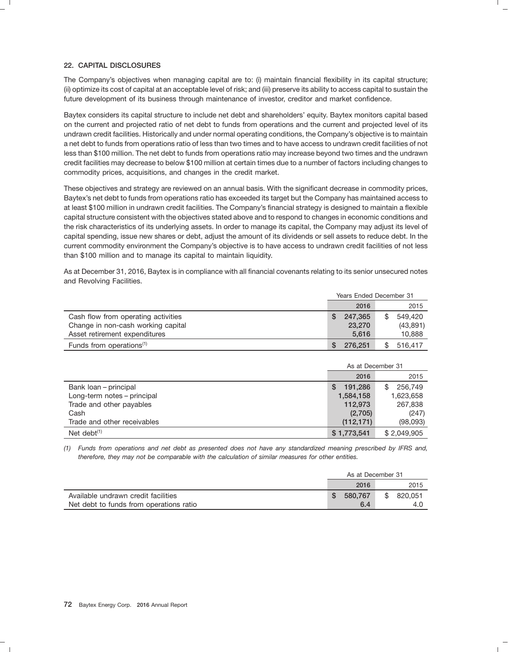### **22. CAPITAL DISCLOSURES**

The Company's objectives when managing capital are to: (i) maintain financial flexibility in its capital structure; (ii) optimize its cost of capital at an acceptable level of risk; and (iii) preserve its ability to access capital to sustain the future development of its business through maintenance of investor, creditor and market confidence.

Baytex considers its capital structure to include net debt and shareholders' equity. Baytex monitors capital based on the current and projected ratio of net debt to funds from operations and the current and projected level of its undrawn credit facilities. Historically and under normal operating conditions, the Company's objective is to maintain a net debt to funds from operations ratio of less than two times and to have access to undrawn credit facilities of not less than \$100 million. The net debt to funds from operations ratio may increase beyond two times and the undrawn credit facilities may decrease to below \$100 million at certain times due to a number of factors including changes to commodity prices, acquisitions, and changes in the credit market.

These objectives and strategy are reviewed on an annual basis. With the significant decrease in commodity prices, Baytex's net debt to funds from operations ratio has exceeded its target but the Company has maintained access to at least \$100 million in undrawn credit facilities. The Company's financial strategy is designed to maintain a flexible capital structure consistent with the objectives stated above and to respond to changes in economic conditions and the risk characteristics of its underlying assets. In order to manage its capital, the Company may adjust its level of capital spending, issue new shares or debt, adjust the amount of its dividends or sell assets to reduce debt. In the current commodity environment the Company's objective is to have access to undrawn credit facilities of not less than \$100 million and to manage its capital to maintain liquidity.

As at December 31, 2016, Baytex is in compliance with all financial covenants relating to its senior unsecured notes and Revolving Facilities.

|                                      | <b>Years Ended December 31</b> |         |    |           |
|--------------------------------------|--------------------------------|---------|----|-----------|
|                                      |                                | 2016    |    | 2015      |
| Cash flow from operating activities  |                                | 247.365 | \$ | 549.420   |
| Change in non-cash working capital   |                                | 23,270  |    | (43, 891) |
| Asset retirement expenditures        |                                | 5.616   |    | 10,888    |
| Funds from operations <sup>(1)</sup> |                                | 276.251 | \$ | 516.417   |

|                             | As at December 31 |               |  |  |
|-----------------------------|-------------------|---------------|--|--|
|                             | 2016              | 2015          |  |  |
| Bank loan – principal       | 191.286<br>S      | 256,749<br>\$ |  |  |
| Long-term notes - principal | 1,584,158         | 1,623,658     |  |  |
| Trade and other payables    | 112,973           | 267,838       |  |  |
| Cash                        | (2,705)           | (247)         |  |  |
| Trade and other receivables | (112, 171)        | (98,093)      |  |  |
| Net debt $(1)$              | \$1,773,541       | \$2,049,905   |  |  |

*(1) Funds from operations and net debt as presented does not have any standardized meaning prescribed by IFRS and, therefore, they may not be comparable with the calculation of similar measures for other entities.*

|                                         |  | As at December 31 |    |         |
|-----------------------------------------|--|-------------------|----|---------|
|                                         |  | 2015              |    |         |
| Available undrawn credit facilities     |  | 580.767           | \$ | 820,051 |
| Net debt to funds from operations ratio |  | 6.4               |    | 4.0     |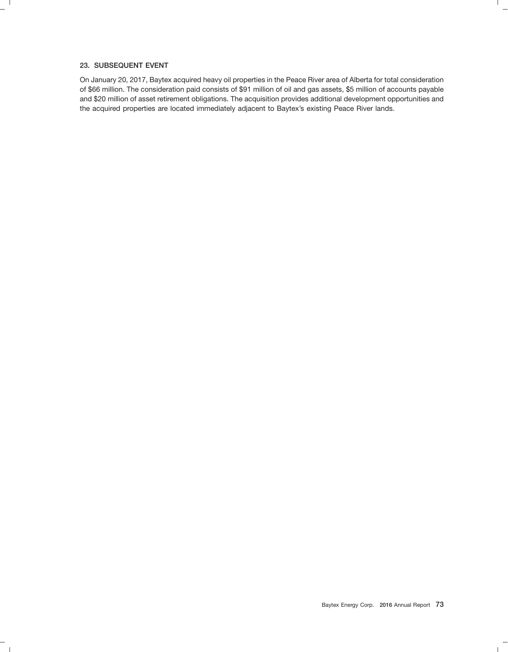# **23. SUBSEQUENT EVENT**

On January 20, 2017, Baytex acquired heavy oil properties in the Peace River area of Alberta for total consideration of \$66 million. The consideration paid consists of \$91 million of oil and gas assets, \$5 million of accounts payable and \$20 million of asset retirement obligations. The acquisition provides additional development opportunities and the acquired properties are located immediately adjacent to Baytex's existing Peace River lands.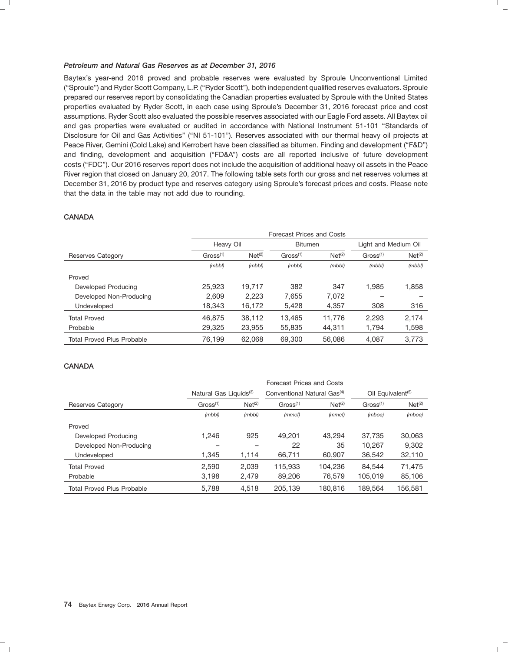#### *Petroleum and Natural Gas Reserves as at December 31, 2016*

Baytex's year-end 2016 proved and probable reserves were evaluated by Sproule Unconventional Limited (''Sproule'') and Ryder Scott Company, L.P. (''Ryder Scott''), both independent qualified reserves evaluators. Sproule prepared our reserves report by consolidating the Canadian properties evaluated by Sproule with the United States properties evaluated by Ryder Scott, in each case using Sproule's December 31, 2016 forecast price and cost assumptions. Ryder Scott also evaluated the possible reserves associated with our Eagle Ford assets. All Baytex oil and gas properties were evaluated or audited in accordance with National Instrument 51-101 ''Standards of Disclosure for Oil and Gas Activities'' (''NI 51-101''). Reserves associated with our thermal heavy oil projects at Peace River, Gemini (Cold Lake) and Kerrobert have been classified as bitumen. Finding and development ("F&D") and finding, development and acquisition ("FD&A") costs are all reported inclusive of future development costs (''FDC''). Our 2016 reserves report does not include the acquisition of additional heavy oil assets in the Peace River region that closed on January 20, 2017. The following table sets forth our gross and net reserves volumes at December 31, 2016 by product type and reserves category using Sproule's forecast prices and costs. Please note that the data in the table may not add due to rounding.

# **CANADA**

|                                   | Forecast Prices and Costs |                    |                      |                    |                      |                    |  |  |
|-----------------------------------|---------------------------|--------------------|----------------------|--------------------|----------------------|--------------------|--|--|
|                                   | Heavy Oil                 |                    | <b>Bitumen</b>       |                    | Light and Medium Oil |                    |  |  |
| Reserves Category                 | Gross <sup>(1)</sup>      | Net <sup>(2)</sup> | Gross <sup>(1)</sup> | Net <sup>(2)</sup> | Gross <sup>(1)</sup> | Net <sup>(2)</sup> |  |  |
|                                   | (mbb)                     | (mbb)              | (mbb)                | (mbb)              | (mbb)                | (mbb)              |  |  |
| Proved                            |                           |                    |                      |                    |                      |                    |  |  |
| Developed Producing               | 25,923                    | 19.717             | 382                  | 347                | 1,985                | 1,858              |  |  |
| Developed Non-Producing           | 2.609                     | 2.223              | 7.655                | 7,072              |                      |                    |  |  |
| Undeveloped                       | 18,343                    | 16,172             | 5,428                | 4,357              | 308                  | 316                |  |  |
| <b>Total Proved</b>               | 46.875                    | 38.112             | 13.465               | 11.776             | 2.293                | 2,174              |  |  |
| Probable                          | 29,325                    | 23,955             | 55,835               | 44,311             | 1,794                | 1,598              |  |  |
| <b>Total Proved Plus Probable</b> | 76,199                    | 62.068             | 69,300               | 56,086             | 4.087                | 3,773              |  |  |

#### **CANADA**

|                                   | Forecast Prices and Costs          |                    |                                         |                    |                               |                    |  |  |
|-----------------------------------|------------------------------------|--------------------|-----------------------------------------|--------------------|-------------------------------|--------------------|--|--|
|                                   | Natural Gas Liquids <sup>(3)</sup> |                    | Conventional Natural Gas <sup>(4)</sup> |                    | Oil Equivalent <sup>(5)</sup> |                    |  |  |
| Reserves Category                 | Gross <sup>(1)</sup>               | Net <sup>(2)</sup> | Gross <sup>(1)</sup>                    | Net <sup>(2)</sup> | Gross <sup>(1)</sup>          | Net <sup>(2)</sup> |  |  |
|                                   | (mbb)                              | (mbb)              | (mmcf)                                  | (mmcf)             | (mboe)                        | (mboe)             |  |  |
| Proved                            |                                    |                    |                                         |                    |                               |                    |  |  |
| Developed Producing               | 1.246                              | 925                | 49.201                                  | 43.294             | 37.735                        | 30,063             |  |  |
| Developed Non-Producing           |                                    |                    | 22                                      | 35                 | 10.267                        | 9,302              |  |  |
| Undeveloped                       | 1,345                              | 1.114              | 66,711                                  | 60,907             | 36,542                        | 32,110             |  |  |
| <b>Total Proved</b>               | 2,590                              | 2,039              | 115.933                                 | 104.236            | 84.544                        | 71.475             |  |  |
| Probable                          | 3,198                              | 2,479              | 89,206                                  | 76,579             | 105,019                       | 85,106             |  |  |
| <b>Total Proved Plus Probable</b> | 5,788                              | 4.518              | 205.139                                 | 180.816            | 189.564                       | 156.581            |  |  |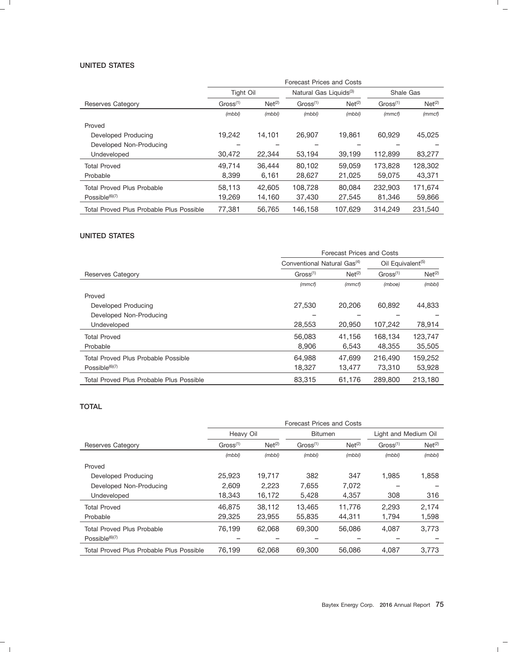# **UNITED STATES**

|                                          | Forecast Prices and Costs |                    |                                    |                    |                      |                    |  |  |
|------------------------------------------|---------------------------|--------------------|------------------------------------|--------------------|----------------------|--------------------|--|--|
|                                          | Tight Oil                 |                    | Natural Gas Liquids <sup>(3)</sup> |                    | Shale Gas            |                    |  |  |
| Reserves Category                        | Gross <sup>(1)</sup>      | Net <sup>(2)</sup> | Gross <sup>(1)</sup>               | Net <sup>(2)</sup> | Gross <sup>(1)</sup> | Net <sup>(2)</sup> |  |  |
|                                          | (mbb)                     | (mbb)              | (mbb)                              | (mbb)              | (mmcf)               | (mmcf)             |  |  |
| Proved                                   |                           |                    |                                    |                    |                      |                    |  |  |
| Developed Producing                      | 19,242                    | 14,101             | 26,907                             | 19.861             | 60.929               | 45,025             |  |  |
| Developed Non-Producing                  |                           |                    |                                    |                    |                      |                    |  |  |
| Undeveloped                              | 30.472                    | 22.344             | 53.194                             | 39.199             | 112.899              | 83,277             |  |  |
| <b>Total Proved</b>                      | 49.714                    | 36.444             | 80.102                             | 59,059             | 173.828              | 128.302            |  |  |
| Probable                                 | 8.399                     | 6,161              | 28,627                             | 21,025             | 59.075               | 43,371             |  |  |
| Total Proved Plus Probable               | 58.113                    | 42.605             | 108.728                            | 80,084             | 232.903              | 171.674            |  |  |
| Possible $^{(6)(7)}$                     | 19,269                    | 14,160             | 37,430                             | 27,545             | 81,346               | 59,866             |  |  |
| Total Proved Plus Probable Plus Possible | 77.381                    | 56.765             | 146.158                            | 107.629            | 314.249              | 231.540            |  |  |

# **UNITED STATES**

|                                                 | <b>Forecast Prices and Costs</b>        |                    |                               |                    |  |  |
|-------------------------------------------------|-----------------------------------------|--------------------|-------------------------------|--------------------|--|--|
|                                                 | Conventional Natural Gas <sup>(4)</sup> |                    | Oil Equivalent <sup>(5)</sup> |                    |  |  |
| Reserves Category                               | Gross <sup>(1)</sup>                    | Net <sup>(2)</sup> | Gross <sup>(1)</sup>          | Net <sup>(2)</sup> |  |  |
|                                                 | (mmcf)                                  | (mmcf)             | (mboe)                        | (mbb)              |  |  |
| Proved                                          |                                         |                    |                               |                    |  |  |
| Developed Producing                             | 27,530                                  | 20,206             | 60.892                        | 44,833             |  |  |
| Developed Non-Producing                         |                                         |                    |                               |                    |  |  |
| Undeveloped                                     | 28,553                                  | 20,950             | 107,242                       | 78,914             |  |  |
| <b>Total Proved</b>                             | 56,083                                  | 41,156             | 168,134                       | 123,747            |  |  |
| Probable                                        | 8.906                                   | 6.543              | 48.355                        | 35,505             |  |  |
| Total Proved Plus Probable Possible             | 64,988                                  | 47.699             | 216,490                       | 159,252            |  |  |
| Possible <sup>(6)(7)</sup>                      | 18,327                                  | 13,477             | 73,310                        | 53,928             |  |  |
| <b>Total Proved Plus Probable Plus Possible</b> | 83,315                                  | 61,176             | 289,800                       | 213,180            |  |  |

# **TOTAL**

|                                          | Forecast Prices and Costs |                    |                      |                    |                      |                    |  |  |
|------------------------------------------|---------------------------|--------------------|----------------------|--------------------|----------------------|--------------------|--|--|
|                                          | Heavy Oil                 |                    | <b>Bitumen</b>       |                    | Light and Medium Oil |                    |  |  |
| Reserves Category                        | Gross <sup>(1)</sup>      | Net <sup>(2)</sup> | Gross <sup>(1)</sup> | Net <sup>(2)</sup> | Gross <sup>(1)</sup> | Net <sup>(2)</sup> |  |  |
|                                          | (mbb)                     | (mbb)              | (mbb)                | (mbb)              | (mbb)                | (mbb)              |  |  |
| Proved                                   |                           |                    |                      |                    |                      |                    |  |  |
| Developed Producing                      | 25,923                    | 19,717             | 382                  | 347                | 1,985                | 1,858              |  |  |
| Developed Non-Producing                  | 2.609                     | 2.223              | 7.655                | 7,072              |                      |                    |  |  |
| Undeveloped                              | 18,343                    | 16,172             | 5,428                | 4,357              | 308                  | 316                |  |  |
| <b>Total Proved</b>                      | 46.875                    | 38.112             | 13.465               | 11.776             | 2.293                | 2,174              |  |  |
| Probable                                 | 29,325                    | 23,955             | 55,835               | 44,311             | 1,794                | 1,598              |  |  |
| <b>Total Proved Plus Probable</b>        | 76,199                    | 62,068             | 69,300               | 56,086             | 4,087                | 3,773              |  |  |
| $Possible^{(6)(7)}$                      |                           |                    |                      |                    |                      |                    |  |  |
| Total Proved Plus Probable Plus Possible | 76,199                    | 62.068             | 69,300               | 56,086             | 4.087                | 3,773              |  |  |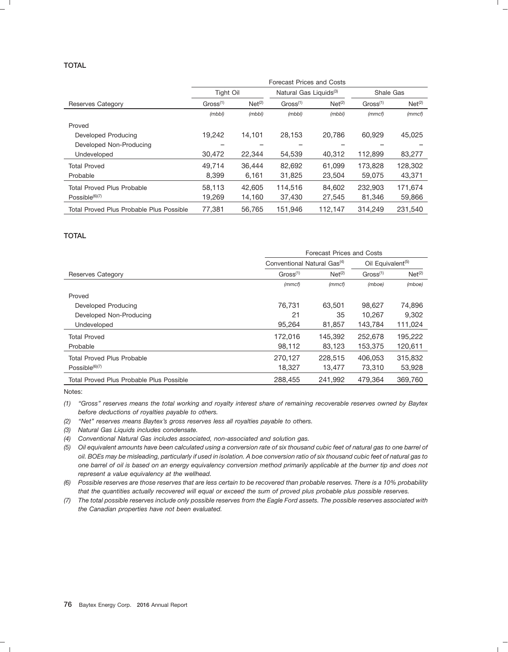# **TOTAL**

|                                          | Forecast Prices and Costs |                    |                                    |                    |                      |                    |  |  |
|------------------------------------------|---------------------------|--------------------|------------------------------------|--------------------|----------------------|--------------------|--|--|
|                                          | <b>Tight Oil</b>          |                    | Natural Gas Liquids <sup>(3)</sup> |                    | Shale Gas            |                    |  |  |
| <b>Reserves Category</b>                 | Gross <sup>(1)</sup>      | Net <sup>(2)</sup> | Gross <sup>(1)</sup>               | Net <sup>(2)</sup> | Gross <sup>(1)</sup> | Net <sup>(2)</sup> |  |  |
|                                          | (mbb)                     | (mbb)              | (mbb)                              | (mbb)              | (mmcf)               | (mmcf)             |  |  |
| Proved                                   |                           |                    |                                    |                    |                      |                    |  |  |
| Developed Producing                      | 19.242                    | 14,101             | 28,153                             | 20.786             | 60.929               | 45,025             |  |  |
| Developed Non-Producing                  |                           |                    |                                    |                    |                      |                    |  |  |
| Undeveloped                              | 30,472                    | 22,344             | 54,539                             | 40,312             | 112.899              | 83,277             |  |  |
| <b>Total Proved</b>                      | 49.714                    | 36.444             | 82.692                             | 61.099             | 173.828              | 128,302            |  |  |
| Probable                                 | 8.399                     | 6.161              | 31.825                             | 23,504             | 59,075               | 43.371             |  |  |
| <b>Total Proved Plus Probable</b>        | 58.113                    | 42.605             | 114.516                            | 84.602             | 232.903              | 171.674            |  |  |
| Possible $(6)(7)$                        | 19,269                    | 14,160             | 37,430                             | 27,545             | 81,346               | 59,866             |  |  |
| Total Proved Plus Probable Plus Possible | 77.381                    | 56.765             | 151.946                            | 112.147            | 314.249              | 231.540            |  |  |

# **TOTAL**

|                                          | Forecast Prices and Costs               |                    |                               |                    |  |  |  |
|------------------------------------------|-----------------------------------------|--------------------|-------------------------------|--------------------|--|--|--|
|                                          | Conventional Natural Gas <sup>(4)</sup> |                    | Oil Equivalent <sup>(5)</sup> |                    |  |  |  |
| Reserves Category                        | Gross <sup>(1)</sup>                    | Net <sup>(2)</sup> | Gross <sup>(1)</sup>          | Net <sup>(2)</sup> |  |  |  |
|                                          | (mmcf)                                  | (mmcf)             | (mboe)                        | (mboe)             |  |  |  |
| Proved                                   |                                         |                    |                               |                    |  |  |  |
| Developed Producing                      | 76.731                                  | 63.501             | 98.627                        | 74,896             |  |  |  |
| Developed Non-Producing                  | 21                                      | 35                 | 10.267                        | 9.302              |  |  |  |
| Undeveloped                              | 95.264                                  | 81.857             | 143.784                       | 111,024            |  |  |  |
| <b>Total Proved</b>                      | 172,016                                 | 145.392            | 252,678                       | 195,222            |  |  |  |
| Probable                                 | 98,112                                  | 83,123             | 153,375                       | 120,611            |  |  |  |
| <b>Total Proved Plus Probable</b>        | 270,127                                 | 228,515            | 406.053                       | 315,832            |  |  |  |
| Possible $^{(6)(7)}$                     | 18,327                                  | 13,477             | 73,310                        | 53,928             |  |  |  |
| Total Proved Plus Probable Plus Possible | 288,455                                 | 241.992            | 479.364                       | 369,760            |  |  |  |

Notes:

*(1) ''Gross'' reserves means the total working and royalty interest share of remaining recoverable reserves owned by Baytex before deductions of royalties payable to others.*

*(2) ''Net'' reserves means Baytex's gross reserves less all royalties payable to others.*

*(3) Natural Gas Liquids includes condensate.*

*(4) Conventional Natural Gas includes associated, non-associated and solution gas.*

*(5) Oil equivalent amounts have been calculated using a conversion rate of six thousand cubic feet of natural gas to one barrel of oil. BOEs may be misleading, particularly if used in isolation. A boe conversion ratio of six thousand cubic feet of natural gas to one barrel of oil is based on an energy equivalency conversion method primarily applicable at the burner tip and does not represent a value equivalency at the wellhead.*

*(6) Possible reserves are those reserves that are less certain to be recovered than probable reserves. There is a 10% probability that the quantities actually recovered will equal or exceed the sum of proved plus probable plus possible reserves.*

*(7) The total possible reserves include only possible reserves from the Eagle Ford assets. The possible reserves associated with the Canadian properties have not been evaluated.*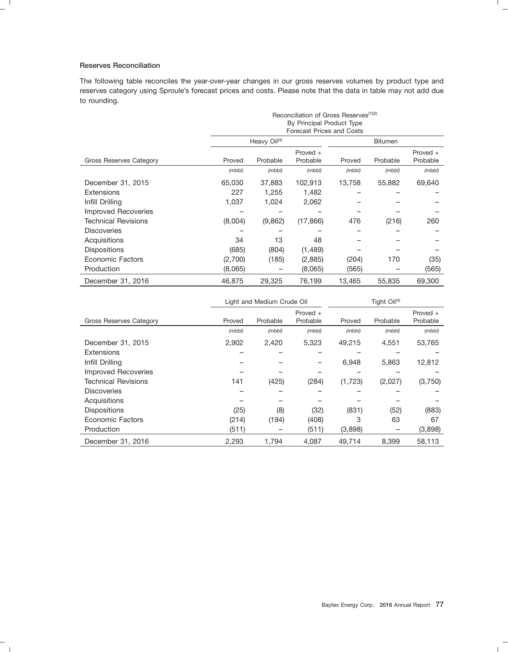# **Reserves Reconciliation**

The following table reconciles the year-over-year changes in our gross reserves volumes by product type and reserves category using Sproule's forecast prices and costs. Please note that the data in table may not add due to rounding.

|                                | Reconciliation of Gross Reserves <sup>(1)(2)</sup> |                          |                           |        |                |          |  |  |  |  |
|--------------------------------|----------------------------------------------------|--------------------------|---------------------------|--------|----------------|----------|--|--|--|--|
|                                |                                                    |                          | By Principal Product Type |        |                |          |  |  |  |  |
|                                |                                                    |                          | Forecast Prices and Costs |        |                |          |  |  |  |  |
|                                |                                                    | Heavy Oil <sup>(3)</sup> |                           |        | <b>Bitumen</b> |          |  |  |  |  |
|                                |                                                    |                          | Proved +                  |        |                | Proved + |  |  |  |  |
| <b>Gross Reserves Category</b> | Proved                                             | Probable                 | Probable                  | Proved | Probable       | Probable |  |  |  |  |
|                                | (mbb)                                              | (mbb)                    | (mbb)                     | (mbb)  | (mbb)          | (mbb)    |  |  |  |  |
| December 31, 2015              | 65,030                                             | 37,883                   | 102,913                   | 13,758 | 55,882         | 69,640   |  |  |  |  |
| <b>Extensions</b>              | 227                                                | 1,255                    | 1,482                     |        |                |          |  |  |  |  |
| Infill Drilling                | 1,037                                              | 1,024                    | 2,062                     |        |                |          |  |  |  |  |
| <b>Improved Recoveries</b>     |                                                    |                          |                           |        |                |          |  |  |  |  |
| Technical Revisions            | (8,004)                                            | (9,862)                  | (17, 866)                 | 476    | (216)          | 260      |  |  |  |  |
| <b>Discoveries</b>             |                                                    |                          |                           |        |                |          |  |  |  |  |
| Acquisitions                   | 34                                                 | 13                       | 48                        |        |                |          |  |  |  |  |
| <b>Dispositions</b>            | (685)                                              | (804)                    | (1,489)                   |        |                |          |  |  |  |  |
| Economic Factors               | (2,700)                                            | (185)                    | (2,885)                   | (204)  | 170            | (35)     |  |  |  |  |
| Production                     | (8,065)                                            |                          | (8,065)                   | (565)  |                | (565)    |  |  |  |  |
| December 31, 2016              | 46,875                                             | 29,325                   | 76,199                    | 13,465 | 55,835         | 69,300   |  |  |  |  |

|                                |        | Light and Medium Crude Oil |          | Tight Oil <sup>(4)</sup> |            |          |  |
|--------------------------------|--------|----------------------------|----------|--------------------------|------------|----------|--|
|                                |        |                            |          |                          | Proved $+$ |          |  |
| <b>Gross Reserves Category</b> | Proved | Probable                   | Probable | Proved                   | Probable   | Probable |  |
|                                | (mbb)  | (mbb)                      | (mbb)    | (mbb)                    | (mbb)      | (mbb)    |  |
| December 31, 2015              | 2,902  | 2,420                      | 5,323    | 49.215                   | 4,551      | 53,765   |  |
| <b>Extensions</b>              |        |                            |          |                          |            |          |  |
| Infill Drilling                |        |                            |          | 6,948                    | 5,863      | 12,812   |  |
| <b>Improved Recoveries</b>     |        |                            |          |                          |            |          |  |
| <b>Technical Revisions</b>     | 141    | (425)                      | (284)    | (1,723)                  | (2,027)    | (3,750)  |  |
| <b>Discoveries</b>             |        |                            |          |                          |            |          |  |
| Acquisitions                   |        |                            |          |                          |            |          |  |
| <b>Dispositions</b>            | (25)   | (8)                        | (32)     | (831)                    | (52)       | (883)    |  |
| Economic Factors               | (214)  | (194)                      | (408)    | 3                        | 63         | 67       |  |
| Production                     | (511)  |                            | (511)    | (3,898)                  |            | (3,898)  |  |
| December 31, 2016              | 2,293  | 1.794                      | 4.087    | 49.714                   | 8.399      | 58,113   |  |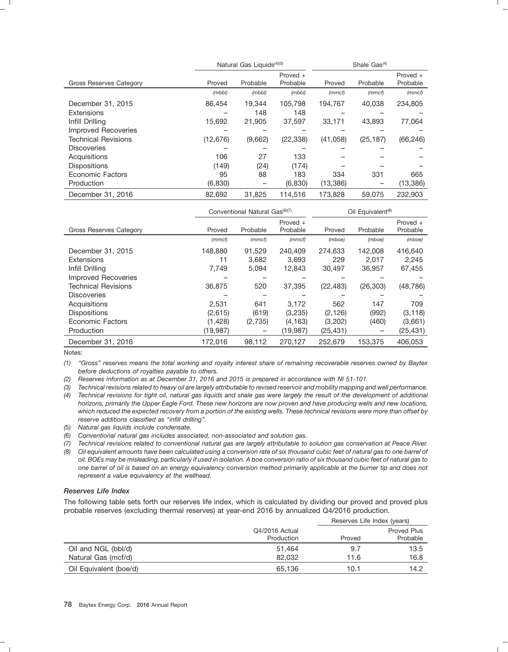|                                |           | Natural Gas Liquids <sup>(4)(5)</sup> |                        | Shale $Gas(4)$ |           |                      |  |
|--------------------------------|-----------|---------------------------------------|------------------------|----------------|-----------|----------------------|--|
| <b>Gross Reserves Category</b> | Proved    | Probable                              | $Proved +$<br>Probable | Proved         | Probable  | Proved +<br>Probable |  |
|                                | (mbb)     | (mbb)                                 | (mbb)                  | (mmcf)         | (mmcf)    | (mmcf)               |  |
| December 31, 2015              | 86.454    | 19.344                                | 105,798                | 194.767        | 40.038    | 234.805              |  |
| <b>Extensions</b>              |           | 148                                   | 148                    |                |           |                      |  |
| Infill Drilling                | 15,692    | 21,905                                | 37.597                 | 33,171         | 43.893    | 77,064               |  |
| <b>Improved Recoveries</b>     |           |                                       |                        |                |           |                      |  |
| <b>Technical Revisions</b>     | (12, 676) | (9,662)                               | (22, 338)              | (41, 058)      | (25, 187) | (66, 246)            |  |
| <b>Discoveries</b>             |           |                                       |                        |                |           |                      |  |
| Acquisitions                   | 106       | 27                                    | 133                    |                |           |                      |  |
| <b>Dispositions</b>            | (149)     | (24)                                  | (174)                  |                |           |                      |  |
| <b>Economic Factors</b>        | 95        | 88                                    | 183                    | 334            | 331       | 665                  |  |
| Production                     | (6,830)   |                                       | (6,830)                | (13, 386)      |           | (13, 386)            |  |
| December 31, 2016              | 82.692    | 31.825                                | 114.516                | 173.828        | 59.075    | 232.903              |  |

|                            |           | Conventional Natural Gas <sup>(6)(7)</sup> |                        | Oil Equivalent <sup>(8)</sup> |           |                      |  |
|----------------------------|-----------|--------------------------------------------|------------------------|-------------------------------|-----------|----------------------|--|
| Gross Reserves Category    | Proved    | Probable                                   | Proved $+$<br>Probable | Proved                        | Probable  | Proved +<br>Probable |  |
|                            | (mmcf)    | (mmcf)                                     | (mmcf)                 | (mboe)                        | (mboe)    | (mboe)               |  |
| December 31, 2015          | 148,880   | 91.529                                     | 240,409                | 274.633                       | 142.008   | 416.640              |  |
| Extensions                 | 11        | 3,682                                      | 3,693                  | 229                           | 2.017     | 2.245                |  |
| Infill Drilling            | 7.749     | 5.094                                      | 12,843                 | 30.497                        | 36.957    | 67,455               |  |
| <b>Improved Recoveries</b> |           |                                            |                        |                               |           |                      |  |
| <b>Technical Revisions</b> | 36,875    | 520                                        | 37,395                 | (22, 483)                     | (26, 303) | (48, 786)            |  |
| <b>Discoveries</b>         |           |                                            |                        |                               |           |                      |  |
| Acquisitions               | 2.531     | 641                                        | 3.172                  | 562                           | 147       | 709                  |  |
| <b>Dispositions</b>        | (2,615)   | (619)                                      | (3,235)                | (2, 126)                      | (992)     | (3, 118)             |  |
| Economic Factors           | (1, 428)  | (2,735)                                    | (4, 163)               | (3,202)                       | (460)     | (3,661)              |  |
| Production                 | (19, 987) |                                            | (19, 987)              | (25, 431)                     |           | (25, 431)            |  |
| December 31, 2016          | 172.016   | 98.112                                     | 270.127                | 252.679                       | 153.375   | 406.053              |  |

Notes:

*(1) ''Gross'' reserves means the total working and royalty interest share of remaining recoverable reserves owned by Baytex before deductions of royalties payable to others.*

*(2) Reserves information as at December 31, 2016 and 2015 is prepared in accordance with NI 51-101.*

*(3) Technical revisions related to heavy oil are largely attributable to revised reservoir and mobility mapping and well performance.*

*(4) Technical revisions for tight oil, natural gas liquids and shale gas were largely the result of the development of additional horizons, primarily the Upper Eagle Ford. These new horizons are now proven and have producing wells and new locations, which reduced the expected recovery from a portion of the existing wells. These technical revisions were more than offset by reserve additions classified as ''infill drilling''.*

*(5) Natural gas liquids include condensate.*

*(6) Conventional natural gas includes associated, non-associated and solution gas.*

*(7) Technical revisions related to conventional natural gas are largely attributable to solution gas conservation at Peace River.*

*(8) Oil equivalent amounts have been calculated using a conversion rate of six thousand cubic feet of natural gas to one barrel of oil. BOEs may be misleading, particularly if used in isolation. A boe conversion ratio of six thousand cubic feet of natural gas to one barrel of oil is based on an energy equivalency conversion method primarily applicable at the burner tip and does not represent a value equivalency at the wellhead.*

#### *Reserves Life Index*

The following table sets forth our reserves life index, which is calculated by dividing our proved and proved plus probable reserves (excluding thermal reserves) at year-end 2016 by annualized Q4/2016 production.

|                        |                | Reserves Life Index (years) |             |
|------------------------|----------------|-----------------------------|-------------|
|                        | Q4/2016 Actual |                             | Proved Plus |
|                        | Production     | Proved                      | Probable    |
| Oil and NGL (bbl/d)    | 51.464         | 9.7                         | 13.5        |
| Natural Gas (mcf/d)    | 82.032         | 11.6                        | 16.8        |
| Oil Equivalent (boe/d) | 65.136         | 10.1                        | 14.2        |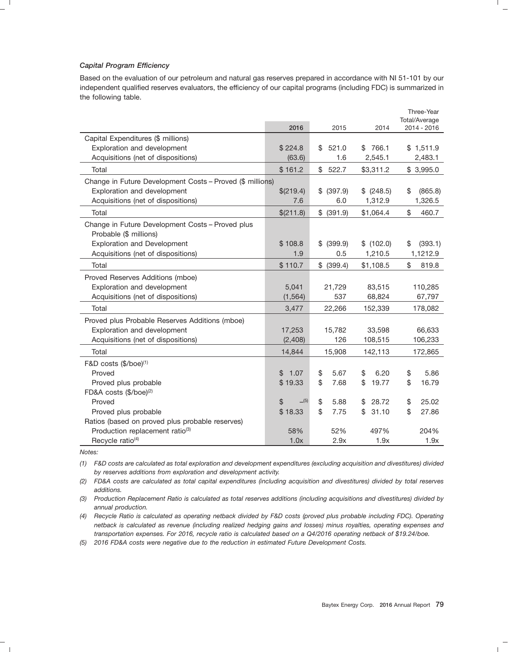### *Capital Program Efficiency*

Based on the evaluation of our petroleum and natural gas reserves prepared in accordance with NI 51-101 by our independent qualified reserves evaluators, the efficiency of our capital programs (including FDC) is summarized in the following table.

|                                                                            |              |               |             | Three-Year<br>Total/Average |
|----------------------------------------------------------------------------|--------------|---------------|-------------|-----------------------------|
|                                                                            | 2016         | 2015          | 2014        | 2014 - 2016                 |
| Capital Expenditures (\$ millions)                                         |              |               |             |                             |
| Exploration and development                                                | \$224.8      | 521.0<br>\$   | \$766.1     | \$1,511.9                   |
| Acquisitions (net of dispositions)                                         | (63.6)       | 1.6           | 2,545.1     | 2,483.1                     |
| Total                                                                      | \$161.2      | \$522.7       | \$3,311.2   | \$3,995.0                   |
| Change in Future Development Costs - Proved (\$ millions)                  |              |               |             |                             |
| Exploration and development                                                | \$(219.4)    | (397.9)<br>\$ | $$$ (248.5) | \$<br>(865.8)               |
| Acquisitions (net of dispositions)                                         | 7.6          | 6.0           | 1,312.9     | 1,326.5                     |
| Total                                                                      | \$(211.8)    | \$ (391.9)    | \$1,064.4   | \$<br>460.7                 |
| Change in Future Development Costs - Proved plus<br>Probable (\$ millions) |              |               |             |                             |
| <b>Exploration and Development</b>                                         | \$108.8      | \$ (399.9)    | \$(102.0)   | \$<br>(393.1)               |
| Acquisitions (net of dispositions)                                         | 1.9          | 0.5           | 1,210.5     | 1,1212.9                    |
| Total                                                                      | \$110.7      | \$ (399.4)    | \$1,108.5   | \$<br>819.8                 |
| Proved Reserves Additions (mboe)                                           |              |               |             |                             |
| Exploration and development                                                | 5,041        | 21,729        | 83,515      | 110,285                     |
| Acquisitions (net of dispositions)                                         | (1, 564)     | 537           | 68,824      | 67,797                      |
| Total                                                                      | 3,477        | 22,266        | 152,339     | 178,082                     |
| Proved plus Probable Reserves Additions (mboe)                             |              |               |             |                             |
| Exploration and development                                                | 17,253       | 15,782        | 33,598      | 66,633                      |
| Acquisitions (net of dispositions)                                         | (2,408)      | 126           | 108,515     | 106,233                     |
| Total                                                                      | 14,844       | 15,908        | 142,113     | 172,865                     |
| $F&D \text{ costs } (\$/boe)^{(1)}$                                        |              |               |             |                             |
| Proved                                                                     | \$<br>1.07   | \$<br>5.67    | \$<br>6.20  | \$<br>5.86                  |
| Proved plus probable                                                       | \$19.33      | \$<br>7.68    | \$<br>19.77 | \$<br>16.79                 |
| FD&A costs (\$/boe) <sup>(2)</sup>                                         |              |               |             |                             |
| Proved                                                                     | (5)<br>$\$\$ | \$<br>5.88    | 28.72<br>\$ | \$<br>25.02                 |
| Proved plus probable                                                       | \$18.33      | \$<br>7.75    | 31.10<br>\$ | 27.86<br>\$                 |
| Ratios (based on proved plus probable reserves)                            |              |               |             |                             |
| Production replacement ratio(3)                                            | 58%          | 52%           | 497%        | 204%                        |
| Recycle ratio <sup>(4)</sup>                                               | 1.0x         | 2.9x          | 1.9x        | 1.9x                        |

*Notes:*

*(1) F&D costs are calculated as total exploration and development expenditures (excluding acquisition and divestitures) divided by reserves additions from exploration and development activity.*

*(2) FD&A costs are calculated as total capital expenditures (including acquisition and divestitures) divided by total reserves additions.*

*(3) Production Replacement Ratio is calculated as total reserves additions (including acquisitions and divestitures) divided by annual production.*

*(4) Recycle Ratio is calculated as operating netback divided by F&D costs (proved plus probable including FDC). Operating netback is calculated as revenue (including realized hedging gains and losses) minus royalties, operating expenses and transportation expenses. For 2016, recycle ratio is calculated based on a Q4/2016 operating netback of \$19.24/boe.*

*(5) 2016 FD&A costs were negative due to the reduction in estimated Future Development Costs.*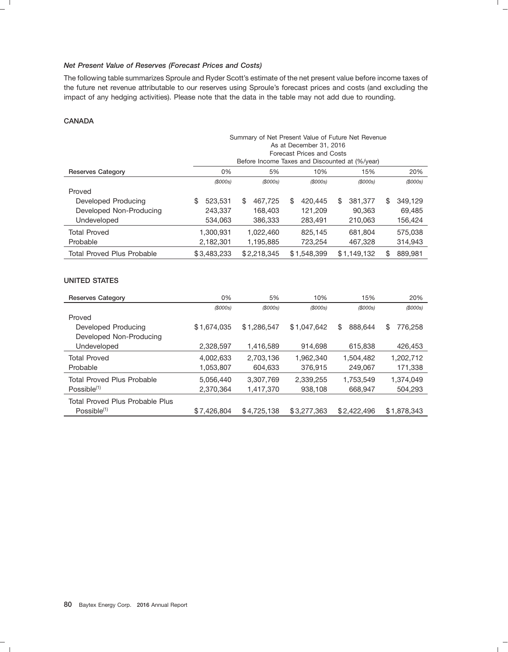# *Net Present Value of Reserves (Forecast Prices and Costs)*

The following table summarizes Sproule and Ryder Scott's estimate of the net present value before income taxes of the future net revenue attributable to our reserves using Sproule's forecast prices and costs (and excluding the impact of any hedging activities). Please note that the data in the table may not add due to rounding.

# **CANADA**

|                                   | Summary of Net Present Value of Future Net Revenue<br>As at December 31, 2016<br>Forecast Prices and Costs<br>Before Income Taxes and Discounted at (%/year) |                |              |               |               |  |  |  |  |
|-----------------------------------|--------------------------------------------------------------------------------------------------------------------------------------------------------------|----------------|--------------|---------------|---------------|--|--|--|--|
| <b>Reserves Category</b>          | 0%                                                                                                                                                           | 5%             | 10%          | 15%           | 20%           |  |  |  |  |
|                                   | (S000s)                                                                                                                                                      | (S000s)        | (S000s)      | (S000s)       | (S000s)       |  |  |  |  |
| Proved                            |                                                                                                                                                              |                |              |               |               |  |  |  |  |
| Developed Producing               | 523.531<br>\$.                                                                                                                                               | 467.725<br>\$. | 420,445<br>S | \$<br>381.377 | \$<br>349,129 |  |  |  |  |
| Developed Non-Producing           | 243,337                                                                                                                                                      | 168,403        | 121.209      | 90.363        | 69,485        |  |  |  |  |
| Undeveloped                       | 534,063                                                                                                                                                      | 386,333        | 283,491      | 210.063       | 156,424       |  |  |  |  |
| <b>Total Proved</b>               | 1.300.931                                                                                                                                                    | 1.022.460      | 825.145      | 681.804       | 575,038       |  |  |  |  |
| Probable                          | 2,182,301                                                                                                                                                    | 1,195,885      | 723.254      | 467.328       | 314,943       |  |  |  |  |
| <b>Total Proved Plus Probable</b> | \$3,483,233                                                                                                                                                  | \$2,218,345    | \$1,548,399  | \$1.149.132   | 889,981<br>\$ |  |  |  |  |

# **UNITED STATES**

| <b>Reserves Category</b>          | 0%          | 5%          | 10%         | 15%           | 20%           |
|-----------------------------------|-------------|-------------|-------------|---------------|---------------|
|                                   | (S000s)     | (S000s)     | (S000s)     | (S000s)       | (S000s)       |
| Proved                            |             |             |             |               |               |
| Developed Producing               | \$1,674,035 | \$1,286,547 | \$1,047,642 | 888.644<br>\$ | \$<br>776.258 |
| Developed Non-Producing           |             |             |             |               |               |
| Undeveloped                       | 2,328,597   | 1.416.589   | 914.698     | 615,838       | 426,453       |
| <b>Total Proved</b>               | 4,002,633   | 2.703.136   | 1,962,340   | 1,504,482     | 1,202,712     |
| Probable                          | 1,053,807   | 604,633     | 376.915     | 249,067       | 171,338       |
| <b>Total Proved Plus Probable</b> | 5.056.440   | 3,307,769   | 2,339,255   | 1.753.549     | 1,374,049     |
| $Possible^{(1)}$                  | 2,370,364   | 1,417,370   | 938.108     | 668,947       | 504,293       |
| Total Proved Plus Probable Plus   |             |             |             |               |               |
| Possible <sup>(1)</sup>           | \$7,426,804 | \$4.725.138 | \$3,277,363 | \$2,422,496   | \$1,878,343   |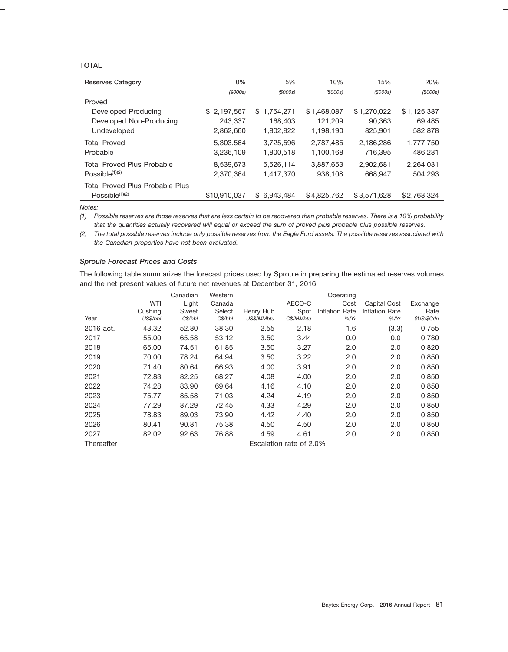### **TOTAL**

| <b>Reserves Category</b>        | 0%           | 5%               | 10%         | 15%         | 20%         |
|---------------------------------|--------------|------------------|-------------|-------------|-------------|
|                                 | (S000s)      | (S000s)          | (S000s)     | (S000s)     | (S000s)     |
| Proved                          |              |                  |             |             |             |
| Developed Producing             | \$2,197,567  | 1,754,271<br>\$. | \$1,468,087 | \$1,270,022 | \$1,125,387 |
| Developed Non-Producing         | 243,337      | 168,403          | 121,209     | 90,363      | 69,485      |
| Undeveloped                     | 2,862,660    | 1,802,922        | 1.198.190   | 825,901     | 582,878     |
| <b>Total Proved</b>             | 5.303.564    | 3,725,596        | 2.787.485   | 2,186,286   | 1.777.750   |
| Probable                        | 3,236,109    | 1,800,518        | 1,100,168   | 716,395     | 486,281     |
| Total Proved Plus Probable      | 8,539,673    | 5,526,114        | 3,887,653   | 2.902.681   | 2.264.031   |
| $Possible^{(1)(2)}$             | 2.370.364    | 1.417.370        | 938,108     | 668,947     | 504.293     |
| Total Proved Plus Probable Plus |              |                  |             |             |             |
| Possible $(1)(2)$               | \$10,910,037 | \$ 6,943,484     | \$4,825,762 | \$3,571,628 | \$2,768,324 |
|                                 |              |                  |             |             |             |

*Notes:*

*(1) Possible reserves are those reserves that are less certain to be recovered than probable reserves. There is a 10% probability that the quantities actually recovered will equal or exceed the sum of proved plus probable plus possible reserves.*

*(2) The total possible reserves include only possible reserves from the Eagle Ford assets. The possible reserves associated with the Canadian properties have not been evaluated.*

### *Sproule Forecast Prices and Costs*

The following table summarizes the forecast prices used by Sproule in preparing the estimated reserves volumes and the net present values of future net revenues at December 31, 2016.

|            |            | Canadian | Western |            |                         | Operating             |                       |            |
|------------|------------|----------|---------|------------|-------------------------|-----------------------|-----------------------|------------|
|            | <b>WTI</b> | Light    | Canada  |            | AECO-C                  | Cost                  | Capital Cost          | Exchange   |
|            | Cushing    | Sweet    | Select  | Henry Hub  | Spot                    | <b>Inflation Rate</b> | <b>Inflation Rate</b> | Rate       |
| Year       | US\$/bbl   | C\$/bbI  | C\$/bbI | US\$/MMbtu | C\$/MMbtu               | $%$ /Yr               | $%$ /Yr               | \$US/\$Cdn |
| 2016 act.  | 43.32      | 52.80    | 38.30   | 2.55       | 2.18                    | 1.6                   | (3.3)                 | 0.755      |
| 2017       | 55.00      | 65.58    | 53.12   | 3.50       | 3.44                    | 0.0                   | 0.0                   | 0.780      |
| 2018       | 65.00      | 74.51    | 61.85   | 3.50       | 3.27                    | 2.0                   | 2.0                   | 0.820      |
| 2019       | 70.00      | 78.24    | 64.94   | 3.50       | 3.22                    | 2.0                   | 2.0                   | 0.850      |
| 2020       | 71.40      | 80.64    | 66.93   | 4.00       | 3.91                    | 2.0                   | 2.0                   | 0.850      |
| 2021       | 72.83      | 82.25    | 68.27   | 4.08       | 4.00                    | 2.0                   | 2.0                   | 0.850      |
| 2022       | 74.28      | 83.90    | 69.64   | 4.16       | 4.10                    | 2.0                   | 2.0                   | 0.850      |
| 2023       | 75.77      | 85.58    | 71.03   | 4.24       | 4.19                    | 2.0                   | 2.0                   | 0.850      |
| 2024       | 77.29      | 87.29    | 72.45   | 4.33       | 4.29                    | 2.0                   | 2.0                   | 0.850      |
| 2025       | 78.83      | 89.03    | 73.90   | 4.42       | 4.40                    | 2.0                   | 2.0                   | 0.850      |
| 2026       | 80.41      | 90.81    | 75.38   | 4.50       | 4.50                    | 2.0                   | 2.0                   | 0.850      |
| 2027       | 82.02      | 92.63    | 76.88   | 4.59       | 4.61                    | 2.0                   | 2.0                   | 0.850      |
| Thereafter |            |          |         |            | Escalation rate of 2.0% |                       |                       |            |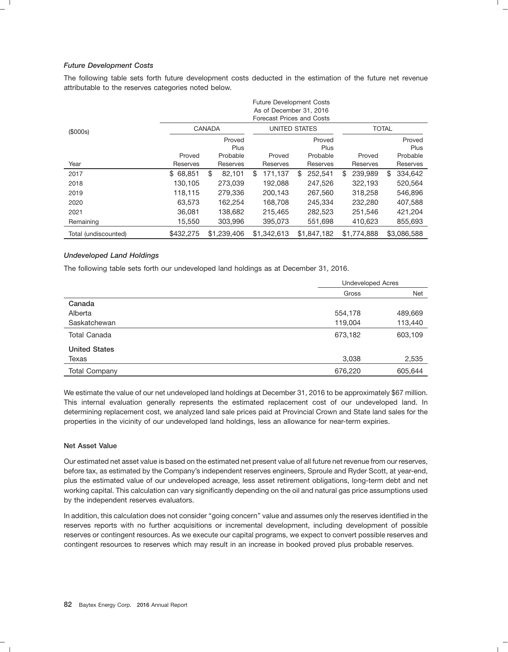### *Future Development Costs*

The following table sets forth future development costs deducted in the estimation of the future net revenue attributable to the reserves categories noted below.

|                      | <b>Future Development Costs</b> |    |                |   |                         |    |                |    |              |    |                |
|----------------------|---------------------------------|----|----------------|---|-------------------------|----|----------------|----|--------------|----|----------------|
|                      |                                 |    |                |   | As of December 31, 2016 |    |                |    |              |    |                |
|                      | Forecast Prices and Costs       |    |                |   |                         |    |                |    |              |    |                |
| (\$000s)             | <b>CANADA</b>                   |    |                |   | <b>UNITED STATES</b>    |    |                |    | <b>TOTAL</b> |    |                |
|                      |                                 |    | Proved<br>Plus |   |                         |    | Proved<br>Plus |    |              |    | Proved<br>Plus |
|                      | Proved                          |    | Probable       |   | Proved                  |    | Probable       |    | Proved       |    | Probable       |
| Year                 | Reserves                        |    | Reserves       |   | Reserves                |    | Reserves       |    | Reserves     |    | Reserves       |
| 2017                 | \$ 68,851                       | \$ | 82.101         | S | 171,137                 | \$ | 252,541        | \$ | 239,989      | \$ | 334,642        |
| 2018                 | 130.105                         |    | 273.039        |   | 192.088                 |    | 247.526        |    | 322,193      |    | 520.564        |
| 2019                 | 118.115                         |    | 279.336        |   | 200.143                 |    | 267,560        |    | 318,258      |    | 546,896        |
| 2020                 | 63,573                          |    | 162,254        |   | 168,708                 |    | 245,334        |    | 232,280      |    | 407,588        |
| 2021                 | 36,081                          |    | 138,682        |   | 215,465                 |    | 282,523        |    | 251,546      |    | 421,204        |
| Remaining            | 15,550                          |    | 303,996        |   | 395,073                 |    | 551,698        |    | 410,623      |    | 855,693        |
| Total (undiscounted) | \$432,275                       |    | \$1,239,406    |   | \$1,342,613             |    | \$1,847,182    |    | \$1,774,888  |    | \$3.086.588    |

# *Undeveloped Land Holdings*

The following table sets forth our undeveloped land holdings as at December 31, 2016.

|                      | <b>Undeveloped Acres</b> |            |
|----------------------|--------------------------|------------|
|                      | Gross                    | <b>Net</b> |
| Canada               |                          |            |
| Alberta              | 554,178                  | 489,669    |
| Saskatchewan         | 119,004                  | 113,440    |
| <b>Total Canada</b>  | 673,182                  | 603,109    |
| <b>United States</b> |                          |            |
| Texas                | 3,038                    | 2,535      |
| <b>Total Company</b> | 676,220                  | 605,644    |

We estimate the value of our net undeveloped land holdings at December 31, 2016 to be approximately \$67 million. This internal evaluation generally represents the estimated replacement cost of our undeveloped land. In determining replacement cost, we analyzed land sale prices paid at Provincial Crown and State land sales for the properties in the vicinity of our undeveloped land holdings, less an allowance for near-term expiries.

### **Net Asset Value**

Our estimated net asset value is based on the estimated net present value of all future net revenue from our reserves, before tax, as estimated by the Company's independent reserves engineers, Sproule and Ryder Scott, at year-end, plus the estimated value of our undeveloped acreage, less asset retirement obligations, long-term debt and net working capital. This calculation can vary significantly depending on the oil and natural gas price assumptions used by the independent reserves evaluators.

In addition, this calculation does not consider ''going concern'' value and assumes only the reserves identified in the reserves reports with no further acquisitions or incremental development, including development of possible reserves or contingent resources. As we execute our capital programs, we expect to convert possible reserves and contingent resources to reserves which may result in an increase in booked proved plus probable reserves.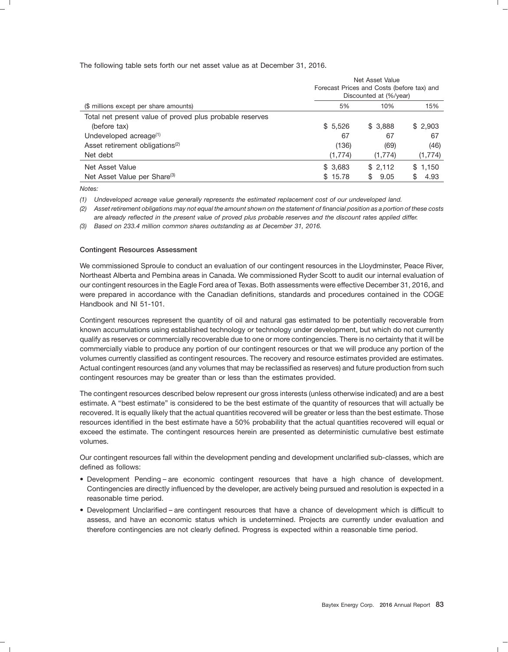The following table sets forth our net asset value as at December 31, 2016.

|                                                          | Net Asset Value<br>Forecast Prices and Costs (before tax) and<br>Discounted at (%/year) |           |           |
|----------------------------------------------------------|-----------------------------------------------------------------------------------------|-----------|-----------|
| (\$ millions except per share amounts)                   | 5%                                                                                      | 10%       | 15%       |
| Total net present value of proved plus probable reserves |                                                                                         |           |           |
| (before tax)                                             | \$5,526                                                                                 | \$3,888   | \$2,903   |
| Undeveloped acreage <sup>(1)</sup>                       | 67                                                                                      | 67        | 67        |
| Asset retirement obligations <sup>(2)</sup>              | (136)                                                                                   | (69)      | (46)      |
| Net debt                                                 | (1,774)                                                                                 | (1,774)   | (1, 774)  |
| Net Asset Value                                          | \$3,683                                                                                 | \$2,112   | \$1,150   |
| Net Asset Value per Share <sup>(3)</sup>                 | \$15.78                                                                                 | S<br>9.05 | 4.93<br>S |

*Notes:*

*(1) Undeveloped acreage value generally represents the estimated replacement cost of our undeveloped land.*

*(2) Asset retirement obligations may not equal the amount shown on the statement of financial position as a portion of these costs are already reflected in the present value of proved plus probable reserves and the discount rates applied differ.*

*(3) Based on 233.4 million common shares outstanding as at December 31, 2016.*

#### **Contingent Resources Assessment**

We commissioned Sproule to conduct an evaluation of our contingent resources in the Lloydminster, Peace River, Northeast Alberta and Pembina areas in Canada. We commissioned Ryder Scott to audit our internal evaluation of our contingent resources in the Eagle Ford area of Texas. Both assessments were effective December 31, 2016, and were prepared in accordance with the Canadian definitions, standards and procedures contained in the COGE Handbook and NI 51-101.

Contingent resources represent the quantity of oil and natural gas estimated to be potentially recoverable from known accumulations using established technology or technology under development, but which do not currently qualify as reserves or commercially recoverable due to one or more contingencies. There is no certainty that it will be commercially viable to produce any portion of our contingent resources or that we will produce any portion of the volumes currently classified as contingent resources. The recovery and resource estimates provided are estimates. Actual contingent resources (and any volumes that may be reclassified as reserves) and future production from such contingent resources may be greater than or less than the estimates provided.

The contingent resources described below represent our gross interests (unless otherwise indicated) and are a best estimate. A ''best estimate'' is considered to be the best estimate of the quantity of resources that will actually be recovered. It is equally likely that the actual quantities recovered will be greater or less than the best estimate. Those resources identified in the best estimate have a 50% probability that the actual quantities recovered will equal or exceed the estimate. The contingent resources herein are presented as deterministic cumulative best estimate volumes.

Our contingent resources fall within the development pending and development unclarified sub-classes, which are defined as follows:

- Development Pending are economic contingent resources that have a high chance of development. Contingencies are directly influenced by the developer, are actively being pursued and resolution is expected in a reasonable time period.
- Development Unclarified are contingent resources that have a chance of development which is difficult to assess, and have an economic status which is undetermined. Projects are currently under evaluation and therefore contingencies are not clearly defined. Progress is expected within a reasonable time period.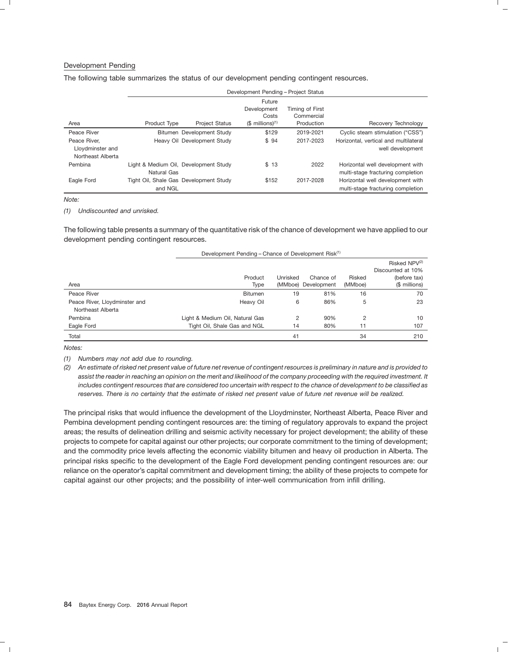#### Development Pending

The following table summarizes the status of our development pending contingent resources.

|                   | Development Pending - Project Status   |                             |                              |                 |                                       |
|-------------------|----------------------------------------|-----------------------------|------------------------------|-----------------|---------------------------------------|
|                   |                                        |                             | Future                       |                 |                                       |
|                   |                                        |                             | Development                  | Timing of First |                                       |
|                   |                                        |                             | Costs                        | Commercial      |                                       |
| Area              | Product Type                           | <b>Project Status</b>       | $$$ millions) <sup>(1)</sup> | Production      | Recovery Technology                   |
| Peace River       |                                        | Bitumen Development Study   | \$129                        | 2019-2021       | Cyclic steam stimulation ("CSS")      |
| Peace River.      |                                        | Heavy Oil Development Study | \$94                         | 2017-2023       | Horizontal, vertical and multilateral |
| Lloydminster and  |                                        |                             |                              |                 | well development                      |
| Northeast Alberta |                                        |                             |                              |                 |                                       |
| Pembina           | Light & Medium Oil, Development Study  |                             | \$13                         | 2022            | Horizontal well development with      |
|                   | Natural Gas                            |                             |                              |                 | multi-stage fracturing completion     |
| Eagle Ford        | Tight Oil, Shale Gas Development Study |                             | \$152                        | 2017-2028       | Horizontal well development with      |
|                   | and NGL                                |                             |                              |                 | multi-stage fracturing completion     |

*Note:*

# *(1) Undiscounted and unrisked.*

The following table presents a summary of the quantitative risk of the chance of development we have applied to our development pending contingent resources.

|                               | Development Pending – Chance of Development Risk <sup>(1)</sup> |          |                     |         |                           |
|-------------------------------|-----------------------------------------------------------------|----------|---------------------|---------|---------------------------|
|                               |                                                                 |          |                     |         | Risked NPV <sup>(2)</sup> |
|                               |                                                                 |          |                     |         | Discounted at 10%         |
|                               | Product                                                         | Unrisked | Chance of           | Risked  | (before tax)              |
| Area                          | <b>Type</b>                                                     |          | (MMboe) Development | (MMboe) | (\$ millions)             |
| Peace River                   | Bitumen                                                         | 19       | 81%                 | 16      | 70                        |
| Peace River, Lloydminster and | Heavy Oil                                                       | 6        | 86%                 | 5       | 23                        |
| Northeast Alberta             |                                                                 |          |                     |         |                           |
| Pembina                       | Light & Medium Oil, Natural Gas                                 | 2        | 90%                 | 2       | 10                        |
| Eagle Ford                    | Tight Oil, Shale Gas and NGL                                    | 14       | 80%                 | 11      | 107                       |
| Total                         |                                                                 | 41       |                     | 34      | 210                       |

#### *Notes:*

*(1) Numbers may not add due to rounding.*

*(2) An estimate of risked net present value of future net revenue of contingent resources is preliminary in nature and is provided to assist the reader in reaching an opinion on the merit and likelihood of the company proceeding with the required investment. It includes contingent resources that are considered too uncertain with respect to the chance of development to be classified as reserves. There is no certainty that the estimate of risked net present value of future net revenue will be realized.*

The principal risks that would influence the development of the Lloydminster, Northeast Alberta, Peace River and Pembina development pending contingent resources are: the timing of regulatory approvals to expand the project areas; the results of delineation drilling and seismic activity necessary for project development; the ability of these projects to compete for capital against our other projects; our corporate commitment to the timing of development; and the commodity price levels affecting the economic viability bitumen and heavy oil production in Alberta. The principal risks specific to the development of the Eagle Ford development pending contingent resources are: our reliance on the operator's capital commitment and development timing; the ability of these projects to compete for capital against our other projects; and the possibility of inter-well communication from infill drilling.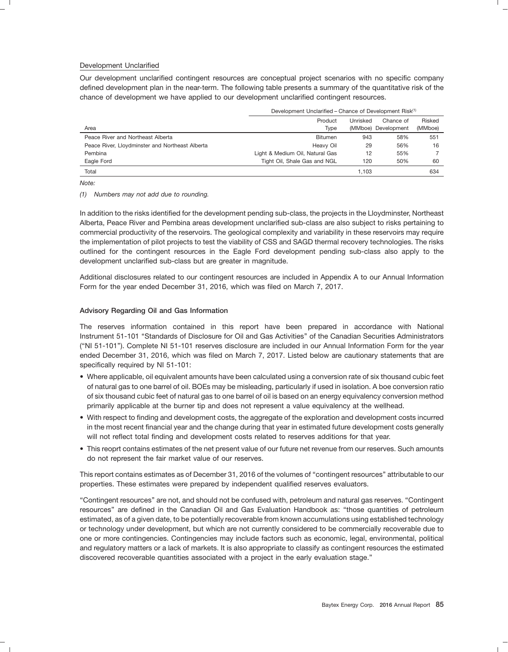#### Development Unclarified

Our development unclarified contingent resources are conceptual project scenarios with no specific company defined development plan in the near-term. The following table presents a summary of the quantitative risk of the chance of development we have applied to our development unclarified contingent resources.

|                                                 | Development Unclarified - Chance of Development Risk <sup>(1)</sup> |          |             |         |
|-------------------------------------------------|---------------------------------------------------------------------|----------|-------------|---------|
|                                                 | Product                                                             | Unrisked | Chance of   | Risked  |
| Area                                            | Type                                                                | (MMboe)  | Development | (MMboe) |
| Peace River and Northeast Alberta               | <b>Bitumen</b>                                                      | 943      | 58%         | 551     |
| Peace River, Lloydminster and Northeast Alberta | Heavy Oil                                                           | 29       | 56%         | 16      |
| Pembina                                         | Light & Medium Oil, Natural Gas                                     | 12       | 55%         |         |
| Eagle Ford                                      | Tight Oil, Shale Gas and NGL                                        | 120      | 50%         | 60      |
| Total                                           |                                                                     | 1.103    |             | 634     |

*Note:*

*(1) Numbers may not add due to rounding.*

In addition to the risks identified for the development pending sub-class, the projects in the Lloydminster, Northeast Alberta, Peace River and Pembina areas development unclarified sub-class are also subject to risks pertaining to commercial productivity of the reservoirs. The geological complexity and variability in these reservoirs may require the implementation of pilot projects to test the viability of CSS and SAGD thermal recovery technologies. The risks outlined for the contingent resources in the Eagle Ford development pending sub-class also apply to the development unclarified sub-class but are greater in magnitude.

Additional disclosures related to our contingent resources are included in Appendix A to our Annual Information Form for the year ended December 31, 2016, which was filed on March 7, 2017.

### **Advisory Regarding Oil and Gas Information**

The reserves information contained in this report have been prepared in accordance with National Instrument 51-101 ''Standards of Disclosure for Oil and Gas Activities'' of the Canadian Securities Administrators (''NI 51-101''). Complete NI 51-101 reserves disclosure are included in our Annual Information Form for the year ended December 31, 2016, which was filed on March 7, 2017. Listed below are cautionary statements that are specifically required by NI 51-101:

- Where applicable, oil equivalent amounts have been calculated using a conversion rate of six thousand cubic feet of natural gas to one barrel of oil. BOEs may be misleading, particularly if used in isolation. A boe conversion ratio of six thousand cubic feet of natural gas to one barrel of oil is based on an energy equivalency conversion method primarily applicable at the burner tip and does not represent a value equivalency at the wellhead.
- With respect to finding and development costs, the aggregate of the exploration and development costs incurred in the most recent financial year and the change during that year in estimated future development costs generally will not reflect total finding and development costs related to reserves additions for that year.
- This reoprt contains estimates of the net present value of our future net revenue from our reserves. Such amounts do not represent the fair market value of our reserves.

This report contains estimates as of December 31, 2016 of the volumes of ''contingent resources'' attributable to our properties. These estimates were prepared by independent qualified reserves evaluators.

''Contingent resources'' are not, and should not be confused with, petroleum and natural gas reserves. ''Contingent resources'' are defined in the Canadian Oil and Gas Evaluation Handbook as: ''those quantities of petroleum estimated, as of a given date, to be potentially recoverable from known accumulations using established technology or technology under development, but which are not currently considered to be commercially recoverable due to one or more contingencies. Contingencies may include factors such as economic, legal, environmental, political and regulatory matters or a lack of markets. It is also appropriate to classify as contingent resources the estimated discovered recoverable quantities associated with a project in the early evaluation stage.''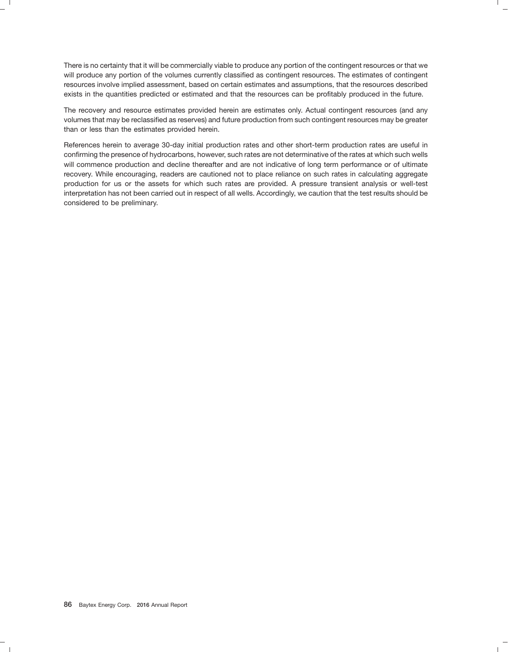There is no certainty that it will be commercially viable to produce any portion of the contingent resources or that we will produce any portion of the volumes currently classified as contingent resources. The estimates of contingent resources involve implied assessment, based on certain estimates and assumptions, that the resources described exists in the quantities predicted or estimated and that the resources can be profitably produced in the future.

The recovery and resource estimates provided herein are estimates only. Actual contingent resources (and any volumes that may be reclassified as reserves) and future production from such contingent resources may be greater than or less than the estimates provided herein.

References herein to average 30-day initial production rates and other short-term production rates are useful in confirming the presence of hydrocarbons, however, such rates are not determinative of the rates at which such wells will commence production and decline thereafter and are not indicative of long term performance or of ultimate recovery. While encouraging, readers are cautioned not to place reliance on such rates in calculating aggregate production for us or the assets for which such rates are provided. A pressure transient analysis or well-test interpretation has not been carried out in respect of all wells. Accordingly, we caution that the test results should be considered to be preliminary.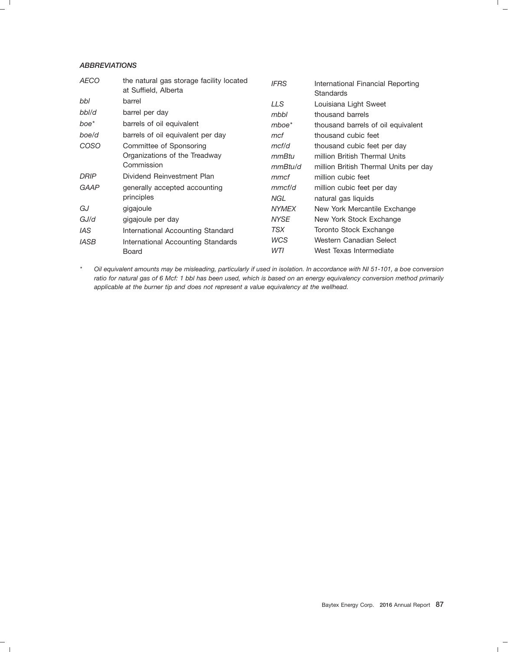# *ABBREVIATIONS*

| AECO        | the natural gas storage facility located<br>at Suffield, Alberta | <b>IFRS</b>  | International Financial Reporting<br><b>Standards</b> |
|-------------|------------------------------------------------------------------|--------------|-------------------------------------------------------|
| bbl         | barrel                                                           | LLS.         | Louisiana Light Sweet                                 |
| bbl/d       | barrel per day                                                   | mbbl         | thousand barrels                                      |
| boe*        | barrels of oil equivalent                                        | $m$ boe $*$  | thousand barrels of oil equivalent                    |
| boe/d       | barrels of oil equivalent per day                                | mcf          | thousand cubic feet                                   |
| COSO        | Committee of Sponsoring                                          | mcf/d        | thousand cubic feet per day                           |
|             | Organizations of the Treadway                                    | mmBtu        | million British Thermal Units                         |
|             | Commission                                                       | mmBtu/d      | million British Thermal Units per day                 |
| DRIP        | Dividend Reinvestment Plan                                       | mmcf         | million cubic feet                                    |
| GAAP        | generally accepted accounting                                    | mmcf/d       | million cubic feet per day                            |
|             | principles                                                       | NGL          | natural gas liquids                                   |
| GJ          | gigajoule                                                        | <b>NYMEX</b> | New York Mercantile Exchange                          |
| GJ/d        | gigajoule per day                                                | <b>NYSE</b>  | New York Stock Exchange                               |
| IAS         | International Accounting Standard                                | TSX          | Toronto Stock Exchange                                |
| <b>IASB</b> | International Accounting Standards                               | <b>WCS</b>   | Western Canadian Select                               |
|             | Board                                                            | WTI          | West Texas Intermediate                               |

*\* Oil equivalent amounts may be misleading, particularly if used in isolation. In accordance with NI 51-101, a boe conversion ratio for natural gas of 6 Mcf: 1 bbl has been used, which is based on an energy equivalency conversion method primarily applicable at the burner tip and does not represent a value equivalency at the wellhead.*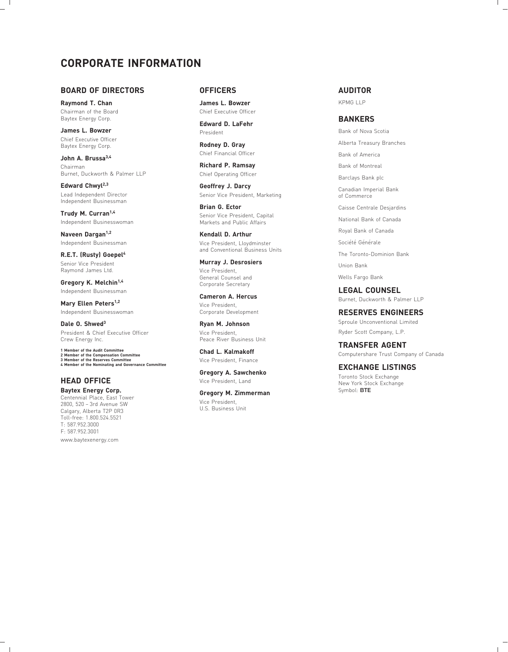# **CORPORATE INFORMATION**

### **BOARD OF DIRECTORS OFFICERS AUDITOR**

**Raymond T. Chan James L. Bowzer** KPMG LLP Chairman of the Board<br>
Baytex Energy Corp.<br>
Chief Executive Officer<br>
Chief Executive Officer

Chief Executive Officer

Chief Financial Officer Bank of America **John A. Brussa3,4** Chairman **Bank of Montreal**<br> **Richard P. Ramsay** Burnet, Duckworth & Palmer LLP<br> **References** Chief Operating Officer Burnet, Duckworth & Palmer LLP<br> **Edward Chwyl<sup>2,3</sup>** Chief Operating Officer<br> **Geoffrey J. Darcy** Chief Charles Bank plc

Independent Businessman

**Trudy M. Curran1,4** Senior Vice President, Capital National Bank of Canada Independent Businesswoman Markets and Public Affairs Markets and Public Affairs

Senior Vice President **Murray J. Desrosiers Murray I. Despiters** Union Bank<br> **Raymond James Ltd.** The Muse President, Communication of the Museum Communication Communication Communication Raymond James Ltd.

**Gregory K. Melchin<sup>1,4</sup>** 

**Dale 0. Shwed<sup>3</sup> <b>Ryan M. Johnson Ryan M. Johnson** Sproule Unconventional Limited President Accordinational Limited President. President & Chief Executive Officer Vice President, Crew Energy Inc.<br>
Crew Energy Inc.

1 Member of the Audit Committee<br>2 Member of the Audit Committee **Audit Committee Compensation Committee Compensation Committee Compensation Comm**<br>3 Member of the Reserves Committee **Audit Committee State Committee Audit Co** 

Toll-free: 1.800.524.5521 T: 587.952.3000 F: 587.952.3001 www.baytexenergy.com

Baytex Energy Corp. **BANKERS Edward D. LaFehr James L. Bowzer President** Bank of Nova Scotia **Bank of Nova Scotia** President **Bank of Nova Scotia** 

**Rodney D. Gray Rodney D. Gray Alberta Treasury Branches**<br>
Baytex Energy Corp. **Rodney D. Gray Chief Einancial Officer Alberta Treasury Branches Bank of America** 

**Edward Chwyl<sup>2,3</sup> Canadian Imperial Bank Chronic Canadian Imperial Bank Lead Independent Director Senior Vice President, Marketing <b>Canadian Imperial Bank** Lead Independent Director Senior Vice President, Marketing **of Co** 

**Brian G. Ector** Caisse Centrale Desjardins<br>
Senior Vice President, Capital<br>
Mathematic Change of Canada

Royal Bank of Canada **Naveen Dargan1,2 Kendall D. Arthur** Independent Businessman Vice President, Lloydminster and Conventional Business Units

General Counsel and<br>
Corporate Secretary<br>
Corporate Secretary

**Cameron A. Hercus**<br>
Vice President, **Burnet, Duckworth & Palmer LLP**<br>
Independent Businesswoman **Corporate Development Corporate Development RESERVES ENGINEERS** 

Peace River Business Unit.

**Baytex Energy Corp.** Symbol: **BTE Gregory M. Zimmerman** Centennial Place, East Tower Vice President, 2800, 520 – 3rd Avenue SW U.S. Business Unit Calgary, Alberta T2P 0R3<br>2800, 520 – 3rd Avenue SW Vice President, 2006,

**R.E.T. (Rusty) Goepel<sup>4</sup> The Toronto-Dominion Bank** and Conventional Business Onlis The Toronto-Dominion Bank

Independent Businessman **Cameron A. Hercus**<br> **Cameron A. Hercus** 

**RESERVES ENGINEERS** 

**4 Member of the Nominating and Governance Committee EXCHANGE LISTINGS Gregory A. Sawchenko** Toronto Stock Exchange **HEAD OFFICE** Vice President, Land New York Stock Exchange